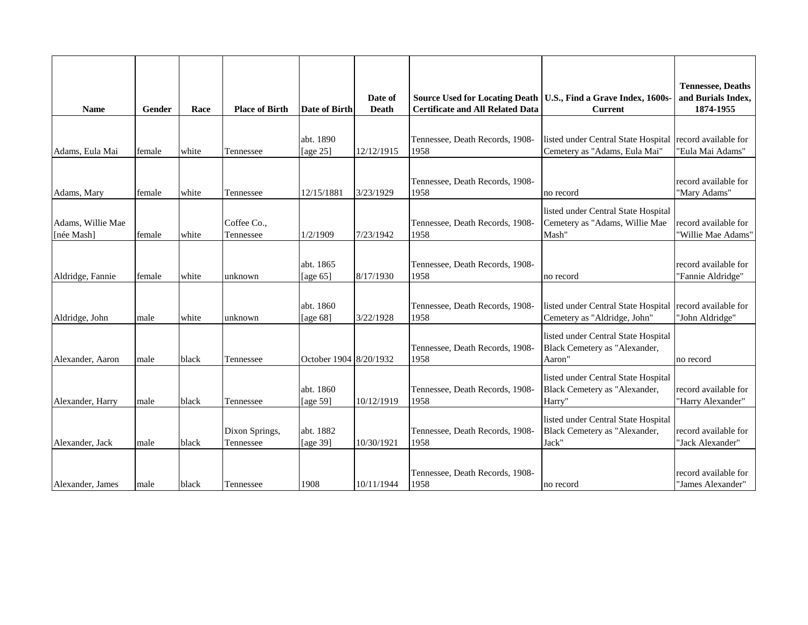| <b>Name</b>                     | Gender | Race  | <b>Place of Birth</b>       | Date of Birth            | Date of<br>Death | <b>Source Used for Locating Death</b><br><b>Certificate and All Related Data</b> | U.S., Find a Grave Index, 1600s-<br><b>Current</b>                                        | <b>Tennessee, Deaths</b><br>and Burials Index,<br>1874-1955 |
|---------------------------------|--------|-------|-----------------------------|--------------------------|------------------|----------------------------------------------------------------------------------|-------------------------------------------------------------------------------------------|-------------------------------------------------------------|
| Adams, Eula Mai                 | female | white | Tennessee                   | abt. 1890<br>[age $25$ ] | 12/12/1915       | Tennessee, Death Records, 1908-<br>1958                                          | listed under Central State Hospital record available for<br>Cemetery as "Adams, Eula Mai" | "Eula Mai Adams"                                            |
| Adams, Mary                     | female | white | Tennessee                   | 12/15/1881               | 3/23/1929        | Tennessee, Death Records, 1908-<br>1958                                          | no record                                                                                 | record available for<br>"Mary Adams"                        |
| Adams, Willie Mae<br>[née Mash] | female | white | Coffee Co.,<br>Tennessee    | 1/2/1909                 | 7/23/1942        | Tennessee, Death Records, 1908-<br>1958                                          | listed under Central State Hospital<br>Cemetery as "Adams, Willie Mae<br>Mash"            | record available for<br>"Willie Mae Adams"                  |
| Aldridge, Fannie                | female | white | unknown                     | abt. 1865<br>[age $65$ ] | 8/17/1930        | Tennessee, Death Records, 1908-<br>1958                                          | no record                                                                                 | record available for<br>'Fannie Aldridge"                   |
| Aldridge, John                  | male   | white | unknown                     | abt. 1860<br>[age $68$ ] | 3/22/1928        | Tennessee, Death Records, 1908-<br>1958                                          | listed under Central State Hospital<br>Cemetery as "Aldridge, John"                       | record available for<br>"John Aldridge"                     |
| Alexander, Aaron                | male   | black | Tennessee                   | October 1904 8/20/1932   |                  | Tennessee, Death Records, 1908-<br>1958                                          | listed under Central State Hospital<br>Black Cemetery as "Alexander,<br>Aaron"            | no record                                                   |
| Alexander, Harry                | male   | black | Tennessee                   | abt. 1860<br>[age $59$ ] | 10/12/1919       | Tennessee, Death Records, 1908-<br>1958                                          | listed under Central State Hospital<br>Black Cemetery as "Alexander,<br>Harry"            | record available for<br>"Harry Alexander"                   |
| Alexander, Jack                 | male   | black | Dixon Springs,<br>Tennessee | abt. 1882<br>[age 39]    | 10/30/1921       | Tennessee, Death Records, 1908-<br>1958                                          | listed under Central State Hospital<br>Black Cemetery as "Alexander,<br>Jack"             | record available for<br>"Jack Alexander"                    |
| Alexander, James                | male   | black | Tennessee                   | 1908                     | 10/11/1944       | Tennessee, Death Records, 1908-<br>1958                                          | no record                                                                                 | record available for<br>"James Alexander"                   |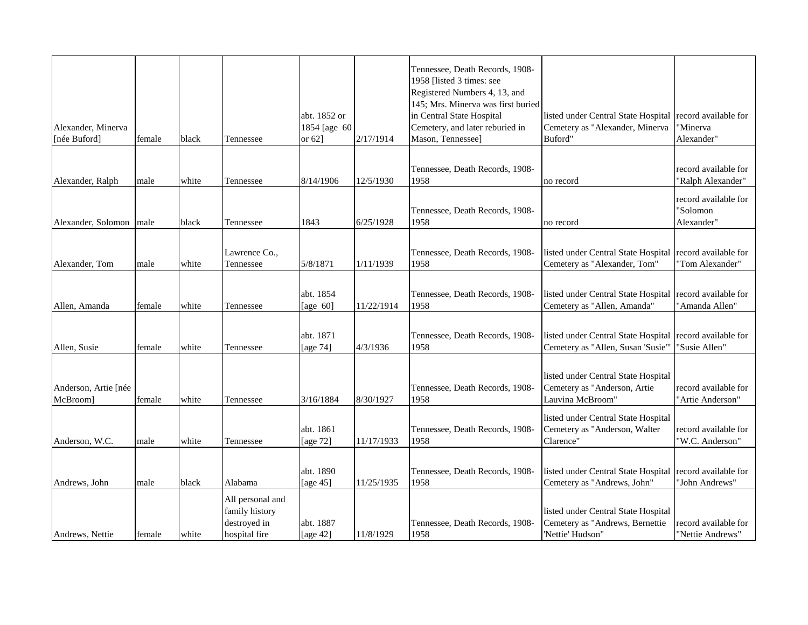|                         |        |       |                  |              |            | Tennessee, Death Records, 1908-                            |                                     |                      |
|-------------------------|--------|-------|------------------|--------------|------------|------------------------------------------------------------|-------------------------------------|----------------------|
|                         |        |       |                  |              |            | 1958 [listed 3 times: see<br>Registered Numbers 4, 13, and |                                     |                      |
|                         |        |       |                  |              |            | 145; Mrs. Minerva was first buried                         |                                     |                      |
|                         |        |       |                  | abt. 1852 or |            | in Central State Hospital                                  | listed under Central State Hospital | record available for |
| Alexander, Minerva      |        |       |                  | 1854 [age 60 |            | Cemetery, and later reburied in                            | Cemetery as "Alexander, Minerva     | 'Minerva             |
| [née Buford]            | female | black | Tennessee        | or $62$ ]    | 2/17/1914  | Mason, Tennessee]                                          | Buford"                             | Alexander"           |
|                         |        |       |                  |              |            | Tennessee, Death Records, 1908-                            |                                     | record available for |
| Alexander, Ralph        | male   | white | Tennessee        | 8/14/1906    | 12/5/1930  | 1958                                                       | no record                           | "Ralph Alexander"    |
|                         |        |       |                  |              |            |                                                            |                                     | record available for |
|                         |        |       |                  |              |            | Tennessee, Death Records, 1908-                            |                                     | 'Solomon             |
| Alexander, Solomon male |        | black | Tennessee        | 1843         | 6/25/1928  | 1958                                                       | no record                           | Alexander"           |
|                         |        |       | Lawrence Co.,    |              |            | Tennessee, Death Records, 1908-                            | listed under Central State Hospital | record available for |
| Alexander, Tom          | male   | white | Tennessee        | 5/8/1871     | 1/11/1939  | 1958                                                       | Cemetery as "Alexander, Tom"        | "Tom Alexander"      |
|                         |        |       |                  |              |            |                                                            |                                     |                      |
|                         |        |       |                  | abt. 1854    |            | Tennessee, Death Records, 1908-                            | listed under Central State Hospital | record available for |
| Allen, Amanda           | female | white | Tennessee        | [age $60$ ]  | 11/22/1914 | 1958                                                       | Cemetery as "Allen, Amanda"         | "Amanda Allen"       |
|                         |        |       |                  |              |            |                                                            |                                     |                      |
|                         |        |       |                  | abt. 1871    |            | Tennessee, Death Records, 1908-                            | listed under Central State Hospital | record available for |
| Allen, Susie            | female | white | Tennessee        | [age 74]     | 4/3/1936   | 1958                                                       | Cemetery as "Allen, Susan 'Susie"   | "Susie Allen"        |
|                         |        |       |                  |              |            |                                                            | listed under Central State Hospital |                      |
| Anderson, Artie [née    |        |       |                  |              |            | Tennessee, Death Records, 1908-                            | Cemetery as "Anderson, Artie        | record available for |
| McBroom]                | female | white | Tennessee        | 3/16/1884    | 8/30/1927  | 1958                                                       | Lauvina McBroom"                    | 'Artie Anderson"     |
|                         |        |       |                  |              |            |                                                            | listed under Central State Hospital |                      |
|                         |        |       |                  | abt. 1861    |            | Tennessee, Death Records, 1908-                            | Cemetery as "Anderson, Walter       | record available for |
| Anderson, W.C.          | male   | white | Tennessee        | [age 72]     | 11/17/1933 | 1958                                                       | Clarence"                           | "W.C. Anderson"      |
|                         |        |       |                  |              |            |                                                            |                                     |                      |
|                         |        |       |                  | abt. 1890    |            | Tennessee, Death Records, 1908-                            | listed under Central State Hospital | record available for |
| Andrews, John           | male   | black | Alabama          | [age $45$ ]  | 11/25/1935 | 1958                                                       | Cemetery as "Andrews, John"         | 'John Andrews'       |
|                         |        |       | All personal and |              |            |                                                            |                                     |                      |
|                         |        |       | family history   |              |            |                                                            | listed under Central State Hospital |                      |
|                         |        |       | destroyed in     | abt. 1887    |            | Tennessee, Death Records, 1908-                            | Cemetery as "Andrews, Bernettie     | record available for |
| Andrews, Nettie         | female | white | hospital fire    | [age 42]     | 11/8/1929  | 1958                                                       | 'Nettie' Hudson"                    | "Nettie Andrews"     |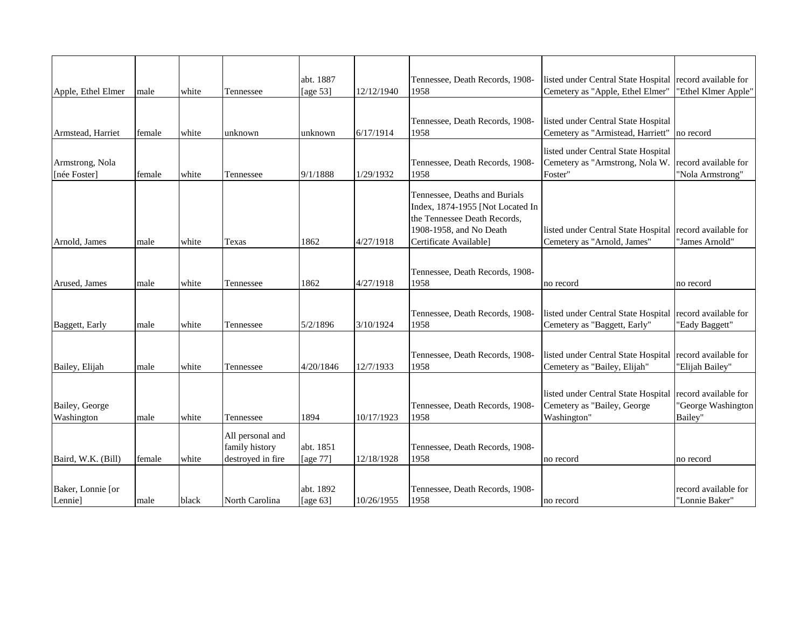|                    |        |       |                   | abt. 1887   |            | Tennessee, Death Records, 1908-                   | listed under Central State Hospital                                 | record available for                    |
|--------------------|--------|-------|-------------------|-------------|------------|---------------------------------------------------|---------------------------------------------------------------------|-----------------------------------------|
| Apple, Ethel Elmer | male   | white | Tennessee         | [age 53]    | 12/12/1940 | 1958                                              | Cemetery as "Apple, Ethel Elmer"                                    | "Ethel Klmer Apple"                     |
|                    |        |       |                   |             |            |                                                   |                                                                     |                                         |
|                    |        |       |                   |             |            | Tennessee, Death Records, 1908-                   | listed under Central State Hospital                                 |                                         |
| Armstead, Harriet  | female | white | unknown           | unknown     | 6/17/1914  | 1958                                              | Cemetery as "Armistead, Harriett"                                   | no record                               |
|                    |        |       |                   |             |            |                                                   | listed under Central State Hospital                                 |                                         |
| Armstrong, Nola    |        |       |                   |             |            | Tennessee, Death Records, 1908-                   | Cemetery as "Armstrong, Nola W.                                     | record available for                    |
| [née Foster]       | female | white | Tennessee         | 9/1/1888    | 1/29/1932  | 1958                                              | Foster"                                                             | "Nola Armstrong"                        |
|                    |        |       |                   |             |            | Tennessee, Deaths and Burials                     |                                                                     |                                         |
|                    |        |       |                   |             |            | Index, 1874-1955 [Not Located In                  |                                                                     |                                         |
|                    |        |       |                   |             |            | the Tennessee Death Records,                      |                                                                     |                                         |
| Arnold, James      | male   | white | Texas             | 1862        | 4/27/1918  | 1908-1958, and No Death<br>Certificate Available] | listed under Central State Hospital<br>Cemetery as "Arnold, James"  | record available for<br>"James Arnold"  |
|                    |        |       |                   |             |            |                                                   |                                                                     |                                         |
|                    |        |       |                   |             |            |                                                   |                                                                     |                                         |
| Arused, James      | male   | white | Tennessee         | 1862        | 4/27/1918  | Tennessee, Death Records, 1908-<br>1958           | no record                                                           | no record                               |
|                    |        |       |                   |             |            |                                                   |                                                                     |                                         |
|                    |        |       |                   |             |            |                                                   |                                                                     |                                         |
| Baggett, Early     | male   | white | Tennessee         | 5/2/1896    | 3/10/1924  | Tennessee, Death Records, 1908-<br>1958           | listed under Central State Hospital<br>Cemetery as "Baggett, Early" | record available for<br>'Eady Baggett"  |
|                    |        |       |                   |             |            |                                                   |                                                                     |                                         |
|                    |        |       |                   |             |            |                                                   |                                                                     |                                         |
| Bailey, Elijah     | male   | white | Tennessee         | 4/20/1846   | 12/7/1933  | Tennessee, Death Records, 1908-<br>1958           | listed under Central State Hospital<br>Cemetery as "Bailey, Elijah" | record available for<br>'Elijah Bailey" |
|                    |        |       |                   |             |            |                                                   |                                                                     |                                         |
|                    |        |       |                   |             |            |                                                   | listed under Central State Hospital                                 | record available for                    |
| Bailey, George     |        |       |                   |             |            | Tennessee, Death Records, 1908-                   | Cemetery as "Bailey, George                                         | 'George Washington                      |
| Washington         | male   | white | Tennessee         | 1894        | 10/17/1923 | 1958                                              | Washington"                                                         | Bailey"                                 |
|                    |        |       | All personal and  |             |            |                                                   |                                                                     |                                         |
|                    |        |       | family history    | abt. 1851   |            | Tennessee, Death Records, 1908-                   |                                                                     |                                         |
| Baird, W.K. (Bill) | female | white | destroyed in fire | [age 77]    | 12/18/1928 | 1958                                              | no record                                                           | no record                               |
|                    |        |       |                   |             |            |                                                   |                                                                     |                                         |
| Baker, Lonnie [or  |        |       |                   | abt. 1892   |            | Tennessee, Death Records, 1908-                   |                                                                     | record available for                    |
| Lennie]            | male   | black | North Carolina    | [age $63$ ] | 10/26/1955 | 1958                                              | no record                                                           | "Lonnie Baker"                          |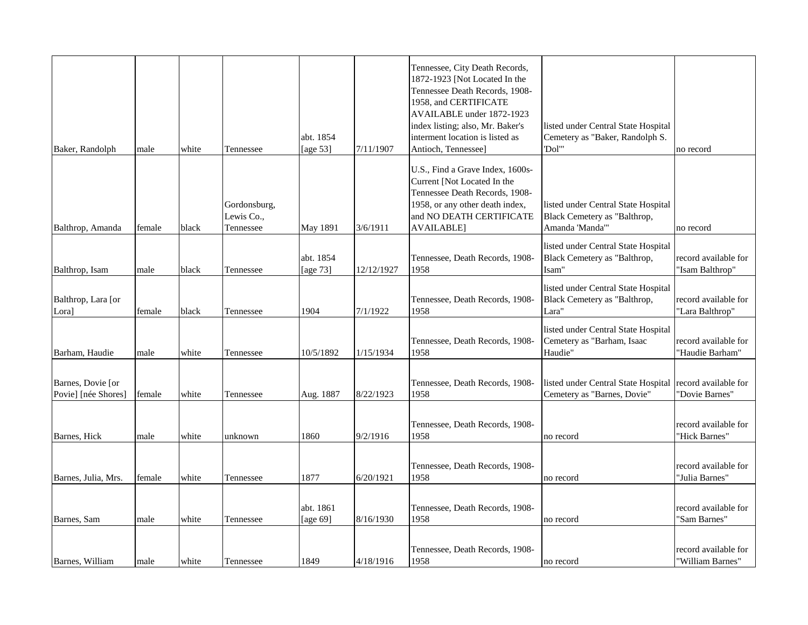| Baker, Randolph                          | male   | white | Tennessee                               | abt. 1854<br>[age 53] | 7/11/1907  | Tennessee, City Death Records,<br>1872-1923 [Not Located In the<br>Tennessee Death Records, 1908-<br>1958, and CERTIFICATE<br>AVAILABLE under 1872-1923<br>index listing; also, Mr. Baker's<br>interment location is listed as<br>Antioch, Tennessee] | listed under Central State Hospital<br>Cemetery as "Baker, Randolph S.<br>"Dol"        | no record                                |
|------------------------------------------|--------|-------|-----------------------------------------|-----------------------|------------|-------------------------------------------------------------------------------------------------------------------------------------------------------------------------------------------------------------------------------------------------------|----------------------------------------------------------------------------------------|------------------------------------------|
| Balthrop, Amanda                         | female | black | Gordonsburg,<br>Lewis Co.,<br>Tennessee | May 1891              | 3/6/1911   | U.S., Find a Grave Index, 1600s-<br>Current [Not Located In the<br>Tennessee Death Records, 1908-<br>1958, or any other death index,<br>and NO DEATH CERTIFICATE<br><b>AVAILABLE</b>                                                                  | listed under Central State Hospital<br>Black Cemetery as "Balthrop,<br>Amanda 'Manda'" | no record                                |
| Balthrop, Isam                           | male   | black | Tennessee                               | abt. 1854<br>[age 73] | 12/12/1927 | Tennessee, Death Records, 1908-<br>1958                                                                                                                                                                                                               | listed under Central State Hospital<br>Black Cemetery as "Balthrop,<br>Isam"           | record available for<br>"Isam Balthrop"  |
| Balthrop, Lara [or<br>Lora]              | female | black | Tennessee                               | 1904                  | 7/1/1922   | Tennessee, Death Records, 1908-<br>1958                                                                                                                                                                                                               | listed under Central State Hospital<br>Black Cemetery as "Balthrop,<br>Lara"           | record available for<br>"Lara Balthrop"  |
| Barham, Haudie                           | male   | white | Tennessee                               | 10/5/1892             | 1/15/1934  | Tennessee, Death Records, 1908-<br>1958                                                                                                                                                                                                               | listed under Central State Hospital<br>Cemetery as "Barham, Isaac<br>Haudie"           | record available for<br>'Haudie Barham"  |
| Barnes, Dovie [or<br>Povie] [née Shores] | female | white | Tennessee                               | Aug. 1887             | 8/22/1923  | Tennessee, Death Records, 1908-<br>1958                                                                                                                                                                                                               | listed under Central State Hospital<br>Cemetery as "Barnes, Dovie"                     | record available for<br>'Dovie Barnes"   |
| Barnes, Hick                             | male   | white | unknown                                 | 1860                  | 9/2/1916   | Tennessee, Death Records, 1908-<br>1958                                                                                                                                                                                                               | no record                                                                              | record available for<br>'Hick Barnes"    |
| Barnes, Julia, Mrs.                      | female | white | Tennessee                               | 1877                  | 6/20/1921  | Tennessee, Death Records, 1908-<br>1958                                                                                                                                                                                                               | no record                                                                              | record available for<br>'Julia Barnes"   |
| Barnes, Sam                              | male   | white | Tennessee                               | abt. 1861<br>[age 69] | 8/16/1930  | Tennessee, Death Records, 1908-<br>1958                                                                                                                                                                                                               | no record                                                                              | record available for<br>'Sam Barnes"     |
| Barnes, William                          | male   | white | Tennessee                               | 1849                  | 4/18/1916  | Tennessee, Death Records, 1908-<br>1958                                                                                                                                                                                                               | no record                                                                              | record available for<br>'William Barnes' |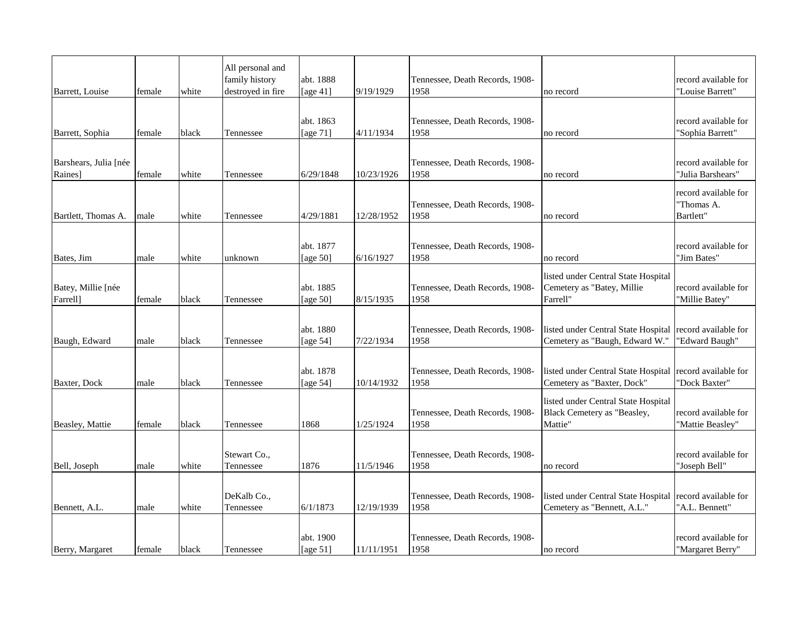| Barrett, Louise                  | female | white | All personal and<br>family history<br>destroyed in fire | abt. 1888<br>[age $41$ ] | 9/19/1929  | Tennessee, Death Records, 1908-<br>1958 | no record                                                                     | record available for<br>"Louise Barrett"        |
|----------------------------------|--------|-------|---------------------------------------------------------|--------------------------|------------|-----------------------------------------|-------------------------------------------------------------------------------|-------------------------------------------------|
|                                  |        |       |                                                         | abt. 1863                |            | Tennessee, Death Records, 1908-         |                                                                               | record available for                            |
| Barrett, Sophia                  | female | black | Tennessee                                               | [age 71]                 | 4/11/1934  | 1958                                    | no record                                                                     | "Sophia Barrett"                                |
| Barshears, Julia [née<br>Raines] | female | white | Tennessee                                               | 6/29/1848                | 10/23/1926 | Tennessee, Death Records, 1908-<br>1958 | no record                                                                     | record available for<br>"Julia Barshears"       |
| Bartlett, Thomas A.              | male   | white | Tennessee                                               | 4/29/1881                | 12/28/1952 | Tennessee, Death Records, 1908-<br>1958 | no record                                                                     | record available for<br>"Thomas A.<br>Bartlett" |
|                                  |        |       |                                                         |                          |            |                                         |                                                                               |                                                 |
| Bates, Jim                       | male   | white | unknown                                                 | abt. 1877<br>[age $50$ ] | 6/16/1927  | Tennessee, Death Records, 1908-<br>1958 | no record                                                                     | record available for<br>'Jim Bates"             |
| Batey, Millie [née<br>Farrell]   | female | black | Tennessee                                               | abt. 1885<br>[age $50$ ] | 8/15/1935  | Tennessee, Death Records, 1908-<br>1958 | listed under Central State Hospital<br>Cemetery as "Batey, Millie<br>Farrell" | record available for<br>"Millie Batey"          |
| Baugh, Edward                    | male   | black | Tennessee                                               | abt. 1880<br>[age $54$ ] | 7/22/1934  | Tennessee, Death Records, 1908-<br>1958 | listed under Central State Hospital<br>Cemetery as "Baugh, Edward W."         | record available for<br>"Edward Baugh"          |
| Baxter, Dock                     | male   | black | Tennessee                                               | abt. 1878<br>[age $54$ ] | 10/14/1932 | Tennessee, Death Records, 1908-<br>1958 | listed under Central State Hospital<br>Cemetery as "Baxter, Dock"             | record available for<br>"Dock Baxter"           |
| Beasley, Mattie                  | female | black | Tennessee                                               | 1868                     | 1/25/1924  | Tennessee, Death Records, 1908-<br>1958 | listed under Central State Hospital<br>Black Cemetery as "Beasley,<br>Mattie" | record available for<br>'Mattie Beasley"        |
|                                  |        |       | Stewart Co.,                                            |                          |            | Tennessee, Death Records, 1908-         |                                                                               | record available for                            |
| Bell, Joseph                     | male   | white | Tennessee                                               | 1876                     | 11/5/1946  | 1958                                    | no record                                                                     | "Joseph Bell"                                   |
| Bennett, A.L.                    | male   | white | DeKalb Co.,<br>Tennessee                                | 6/1/1873                 | 12/19/1939 | Tennessee, Death Records, 1908-<br>1958 | listed under Central State Hospital<br>Cemetery as "Bennett, A.L."            | record available for<br>"A.L. Bennett"          |
| Berry, Margaret                  | female | black | Tennessee                                               | abt. 1900<br>[age $51$ ] | 11/11/1951 | Tennessee, Death Records, 1908-<br>1958 | no record                                                                     | record available for<br>"Margaret Berry"        |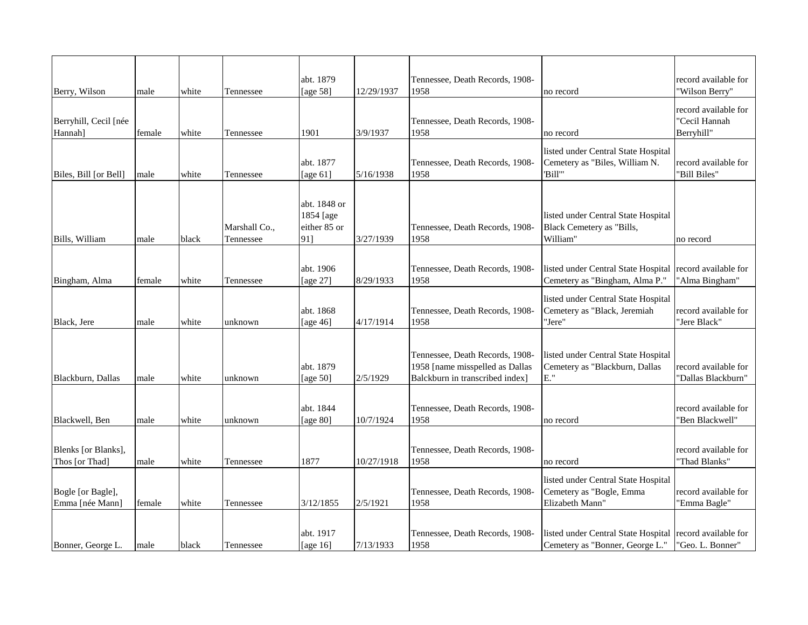| Berry, Wilson                         | male   | white | Tennessee                  | abt. 1879<br>[age 58]                            | 12/29/1937 | Tennessee, Death Records, 1908-<br>1958                                                               | no record                                                                          | record available for<br>"Wilson Berry"              |
|---------------------------------------|--------|-------|----------------------------|--------------------------------------------------|------------|-------------------------------------------------------------------------------------------------------|------------------------------------------------------------------------------------|-----------------------------------------------------|
| Berryhill, Cecil [née<br>Hannah]      | female | white | Tennessee                  | 1901                                             | 3/9/1937   | Tennessee, Death Records, 1908-<br>1958                                                               | no record                                                                          | record available for<br>"Cecil Hannah<br>Berryhill" |
| Biles, Bill [or Bell]                 | male   | white | Tennessee                  | abt. 1877<br>[age $61$ ]                         | 5/16/1938  | Tennessee, Death Records, 1908-<br>1958                                                               | listed under Central State Hospital<br>Cemetery as "Biles, William N.<br>'Bill"    | record available for<br>"Bill Biles"                |
| Bills, William                        | male   | black | Marshall Co.,<br>Tennessee | abt. 1848 or<br>1854 [age<br>either 85 or<br>91] | 3/27/1939  | Tennessee, Death Records, 1908-<br>1958                                                               | listed under Central State Hospital<br>Black Cemetery as "Bills,<br>William"       | no record                                           |
| Bingham, Alma                         | female | white | Tennessee                  | abt. 1906<br>[age 27]                            | 8/29/1933  | Tennessee, Death Records, 1908-<br>1958                                                               | listed under Central State Hospital<br>Cemetery as "Bingham, Alma P."              | record available for<br>"Alma Bingham"              |
| Black, Jere                           | male   | white | unknown                    | abt. 1868<br>[age 46]                            | 4/17/1914  | Tennessee, Death Records, 1908-<br>1958                                                               | listed under Central State Hospital<br>Cemetery as "Black, Jeremiah<br>'Jere"      | record available for<br>'Jere Black"                |
| Blackburn, Dallas                     | male   | white | unknown                    | abt. 1879<br>[age $50$ ]                         | 2/5/1929   | Tennessee, Death Records, 1908-<br>1958 [name misspelled as Dallas<br>Balckburn in transcribed index] | listed under Central State Hospital<br>Cemetery as "Blackburn, Dallas<br>E."       | record available for<br>"Dallas Blackburn"          |
| Blackwell, Ben                        | male   | white | unknown                    | abt. 1844<br>[age 80]                            | 10/7/1924  | Tennessee, Death Records, 1908-<br>1958                                                               | no record                                                                          | record available for<br>"Ben Blackwell"             |
| Blenks [or Blanks],<br>Thos [or Thad] | male   | white | Tennessee                  | 1877                                             | 10/27/1918 | Tennessee, Death Records, 1908-<br>1958                                                               | no record                                                                          | record available for<br>"Thad Blanks"               |
| Bogle [or Bagle],<br>Emma [née Mann]  | female | white | Tennessee                  | 3/12/1855                                        | 2/5/1921   | Tennessee, Death Records, 1908-<br>1958                                                               | listed under Central State Hospital<br>Cemetery as "Bogle, Emma<br>Elizabeth Mann" | record available for<br>"Emma Bagle"                |
| Bonner, George L.                     | male   | black | Tennessee                  | abt. 1917<br>[age $16$ ]                         | 7/13/1933  | Tennessee, Death Records, 1908-<br>1958                                                               | listed under Central State Hospital<br>Cemetery as "Bonner, George L."             | record available for<br>"Geo. L. Bonner"            |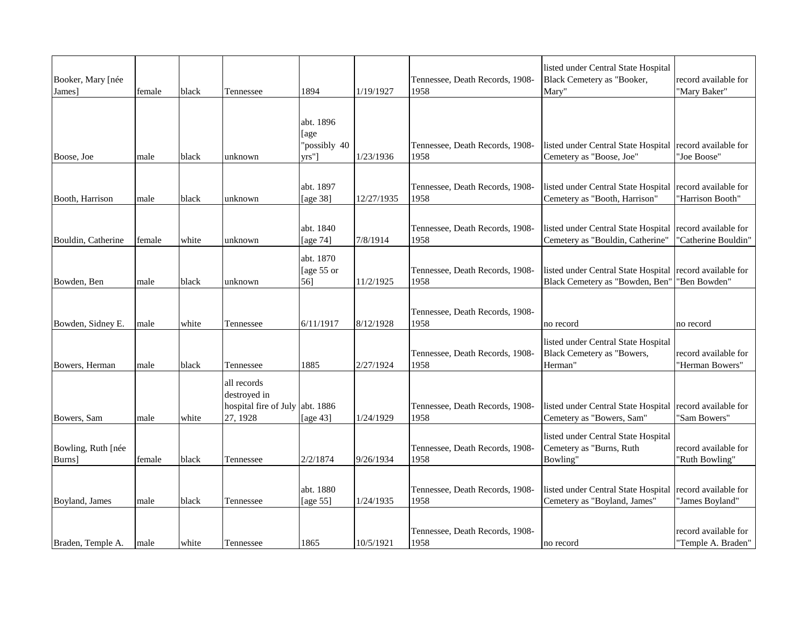| Booker, Mary [née<br>James]  | female | black | Tennessee                                                        | 1894                                       | 1/19/1927  | Tennessee, Death Records, 1908-<br>1958 | listed under Central State Hospital<br>Black Cemetery as "Booker,<br>Mary"                  | record available for<br>"Mary Baker"        |
|------------------------------|--------|-------|------------------------------------------------------------------|--------------------------------------------|------------|-----------------------------------------|---------------------------------------------------------------------------------------------|---------------------------------------------|
| Boose, Joe                   | male   | black | unknown                                                          | abt. 1896<br>[age<br>"possibly 40<br>vrs"] | 1/23/1936  | Tennessee, Death Records, 1908-<br>1958 | listed under Central State Hospital record available for<br>Cemetery as "Boose, Joe"        | "Joe Boose"                                 |
| Booth, Harrison              | male   | black | unknown                                                          | abt. 1897<br>[age 38]                      | 12/27/1935 | Tennessee, Death Records, 1908-<br>1958 | listed under Central State Hospital   record available for<br>Cemetery as "Booth, Harrison" | 'Harrison Booth"                            |
| Bouldin, Catherine           | female | white | unknown                                                          | abt. 1840<br>[age 74]                      | 7/8/1914   | Tennessee, Death Records, 1908-<br>1958 | listed under Central State Hospital<br>Cemetery as "Bouldin, Catherine"                     | record available for<br>"Catherine Bouldin" |
| Bowden, Ben                  | male   | black | unknown                                                          | abt. 1870<br>[age 55 or<br>56]             | 11/2/1925  | Tennessee, Death Records, 1908-<br>1958 | listed under Central State Hospital<br>Black Cemetery as "Bowden, Ben"                      | record available for<br>"Ben Bowden"        |
| Bowden, Sidney E.            | male   | white | Tennessee                                                        | 6/11/1917                                  | 8/12/1928  | Tennessee, Death Records, 1908-<br>1958 | no record                                                                                   | no record                                   |
| Bowers, Herman               | male   | black | Tennessee                                                        | 1885                                       | 2/27/1924  | Tennessee, Death Records, 1908-<br>1958 | listed under Central State Hospital<br>Black Cemetery as "Bowers,<br>Herman"                | record available for<br>"Herman Bowers"     |
| Bowers, Sam                  | male   | white | all records<br>destroyed in<br>hospital fire of July<br>27, 1928 | abt. 1886<br>[age 43]                      | 1/24/1929  | Tennessee, Death Records, 1908-<br>1958 | listed under Central State Hospital<br>Cemetery as "Bowers, Sam"                            | record available for<br>"Sam Bowers"        |
| Bowling, Ruth [née<br>Burns] | female | black | Tennessee                                                        | 2/2/1874                                   | 9/26/1934  | Tennessee, Death Records, 1908-<br>1958 | listed under Central State Hospital<br>Cemetery as "Burns, Ruth<br>Bowling"                 | record available for<br>'Ruth Bowling"      |
| Boyland, James               | male   | black | Tennessee                                                        | abt. 1880<br>[age 55]                      | 1/24/1935  | Tennessee, Death Records, 1908-<br>1958 | listed under Central State Hospital<br>Cemetery as "Boyland, James"                         | record available for<br>"James Boyland"     |
| Braden, Temple A.            | male   | white | Tennessee                                                        | 1865                                       | 10/5/1921  | Tennessee, Death Records, 1908-<br>1958 | no record                                                                                   | record available for<br>"Temple A. Braden"  |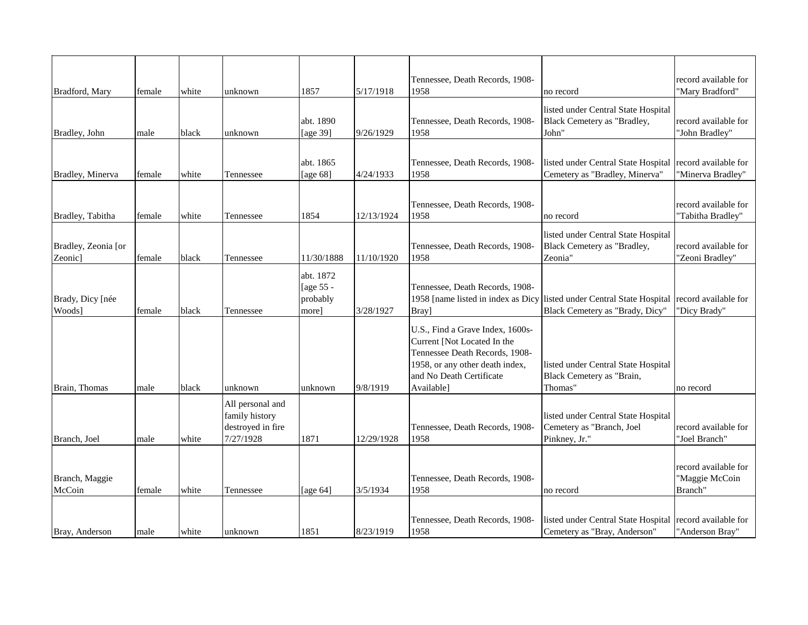| Bradford, Mary                             | female | white | unknown                                                              | 1857                                        | 5/17/1918  | Tennessee, Death Records, 1908-<br>1958                                                                                                                                        | no record                                                                                   | record available for<br>"Mary Bradford"           |
|--------------------------------------------|--------|-------|----------------------------------------------------------------------|---------------------------------------------|------------|--------------------------------------------------------------------------------------------------------------------------------------------------------------------------------|---------------------------------------------------------------------------------------------|---------------------------------------------------|
| Bradley, John                              | male   | black | unknown                                                              | abt. 1890<br>[age 39]                       | 9/26/1929  | Tennessee, Death Records, 1908-<br>1958                                                                                                                                        | listed under Central State Hospital<br>Black Cemetery as "Bradley,<br>John'                 | record available for<br>"John Bradley"            |
|                                            |        |       |                                                                      |                                             |            |                                                                                                                                                                                |                                                                                             |                                                   |
| Bradley, Minerva                           | female | white | Tennessee                                                            | abt. 1865<br>[age $68$ ]                    | 4/24/1933  | Tennessee, Death Records, 1908-<br>1958                                                                                                                                        | listed under Central State Hospital record available for<br>Cemetery as "Bradley, Minerva"  | "Minerva Bradley"                                 |
| Bradley, Tabitha                           | female | white | Tennessee                                                            | 1854                                        | 12/13/1924 | Tennessee, Death Records, 1908-<br>1958                                                                                                                                        | no record                                                                                   | record available for<br>"Tabitha Bradley"         |
| Bradley, Zeonia [or<br>Zeonic <sub>1</sub> | female | black | Tennessee                                                            | 11/30/1888                                  | 11/10/1920 | Tennessee, Death Records, 1908-<br>1958                                                                                                                                        | listed under Central State Hospital<br>Black Cemetery as "Bradley,<br>Zeonia"               | record available for<br>"Zeoni Bradley"           |
| Brady, Dicy [née<br>Woods]                 | female | black | Tennessee                                                            | abt. 1872<br>[age 55 -<br>probably<br>more] | 3/28/1927  | Tennessee, Death Records, 1908-<br>1958 [name listed in index as Dicy<br>Bray]                                                                                                 | listed under Central State Hospital record available for<br>Black Cemetery as "Brady, Dicy" | "Dicy Brady"                                      |
| Brain, Thomas                              | male   | black | unknown                                                              | unknown                                     | 9/8/1919   | U.S., Find a Grave Index, 1600s-<br>Current [Not Located In the<br>Tennessee Death Records, 1908-<br>1958, or any other death index,<br>and No Death Certificate<br>Available] | listed under Central State Hospital<br>Black Cemetery as "Brain,<br>Thomas"                 | no record                                         |
| Branch, Joel                               | male   | white | All personal and<br>family history<br>destroyed in fire<br>7/27/1928 | 1871                                        | 12/29/1928 | Tennessee, Death Records, 1908-<br>1958                                                                                                                                        | listed under Central State Hospital<br>Cemetery as "Branch, Joel<br>Pinkney, Jr."           | record available for<br>"Joel Branch"             |
| Branch, Maggie<br>McCoin                   | female | white | Tennessee                                                            | [age $64$ ]                                 | 3/5/1934   | Tennessee, Death Records, 1908-<br>1958                                                                                                                                        | no record                                                                                   | record available for<br>"Maggie McCoin<br>Branch" |
| Bray, Anderson                             | male   | white | unknown                                                              | 1851                                        | 8/23/1919  | Tennessee, Death Records, 1908-<br>1958                                                                                                                                        | listed under Central State Hospital<br>Cemetery as "Bray, Anderson"                         | record available for<br>"Anderson Bray"           |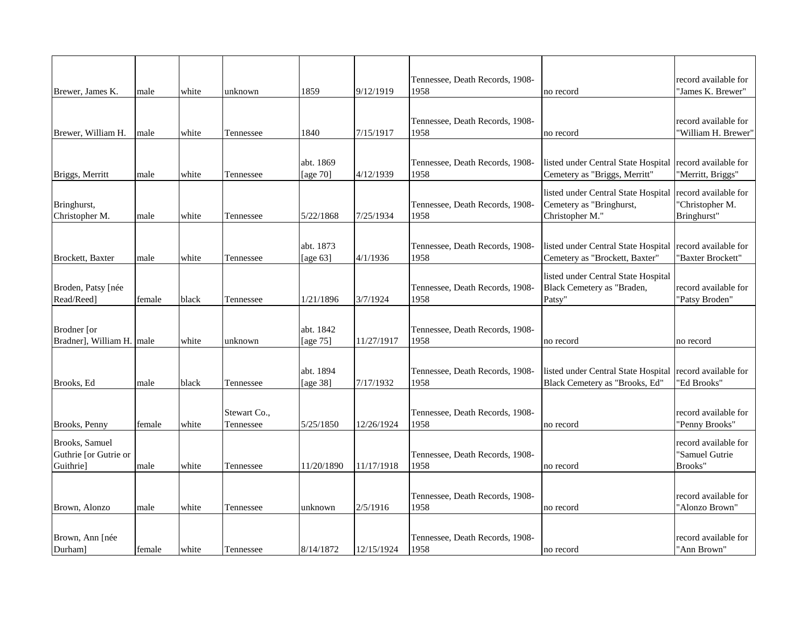|                           |        |       |              |             |            | Tennessee, Death Records, 1908- |                                     | record available for |
|---------------------------|--------|-------|--------------|-------------|------------|---------------------------------|-------------------------------------|----------------------|
| Brewer, James K.          | male   | white | unknown      | 1859        | 9/12/1919  | 1958                            | no record                           | "James K. Brewer"    |
|                           |        |       |              |             |            |                                 |                                     |                      |
|                           |        |       |              |             |            | Tennessee, Death Records, 1908- |                                     | record available for |
| Brewer, William H.        | male   | white | Tennessee    | 1840        | 7/15/1917  | 1958                            | no record                           | "William H. Brewer"  |
|                           |        |       |              |             |            |                                 |                                     |                      |
|                           |        |       |              | abt. 1869   |            | Tennessee, Death Records, 1908- | listed under Central State Hospital | record available for |
| Briggs, Merritt           | male   | white | Tennessee    | [age 70]    | 4/12/1939  | 1958                            | Cemetery as "Briggs, Merritt"       | "Merritt, Briggs"    |
|                           |        |       |              |             |            |                                 | listed under Central State Hospital | record available for |
| Bringhurst,               |        |       |              |             |            | Tennessee, Death Records, 1908- | Cemetery as "Bringhurst,            | 'Christopher M.      |
| Christopher M.            | male   | white | Tennessee    | 5/22/1868   | 7/25/1934  | 1958                            | Christopher M."                     | Bringhurst"          |
|                           |        |       |              |             |            |                                 |                                     |                      |
|                           |        |       |              | abt. 1873   |            | Tennessee, Death Records, 1908- | listed under Central State Hospital | record available for |
| Brockett, Baxter          | male   | white | Tennessee    | [age $63$ ] | 4/1/1936   | 1958                            | Cemetery as "Brockett, Baxter"      | "Baxter Brockett"    |
|                           |        |       |              |             |            |                                 | listed under Central State Hospital |                      |
| Broden, Patsy [née        |        |       |              |             |            | Tennessee, Death Records, 1908- | Black Cemetery as "Braden,          | record available for |
| Read/Reed]                | female | black | Tennessee    | 1/21/1896   | 3/7/1924   | 1958                            | Patsy"                              | "Patsy Broden"       |
|                           |        |       |              |             |            |                                 |                                     |                      |
| Brodner [or               |        |       |              | abt. 1842   |            | Tennessee, Death Records, 1908- |                                     |                      |
| Bradner], William H. male |        | white | unknown      | [age 75]    | 11/27/1917 | 1958                            | no record                           | no record            |
|                           |        |       |              |             |            |                                 |                                     |                      |
|                           |        |       |              | abt. 1894   |            | Tennessee, Death Records, 1908- | listed under Central State Hospital | record available for |
| Brooks, Ed                | male   | black | Tennessee    | [age 38]    | 7/17/1932  | 1958                            | Black Cemetery as "Brooks, Ed"      | 'Ed Brooks"          |
|                           |        |       |              |             |            |                                 |                                     |                      |
|                           |        |       | Stewart Co., |             |            | Tennessee, Death Records, 1908- |                                     | record available for |
| Brooks, Penny             | female | white | Tennessee    | 5/25/1850   | 12/26/1924 | 1958                            | no record                           | "Penny Brooks"       |
| Brooks, Samuel            |        |       |              |             |            |                                 |                                     | record available for |
| Guthrie [or Gutrie or     |        |       |              |             |            | Tennessee, Death Records, 1908- |                                     | "Samuel Gutrie       |
| <b>Guithriel</b>          | male   | white | Tennessee    | 11/20/1890  | 11/17/1918 | 1958                            | no record                           | Brooks"              |
|                           |        |       |              |             |            |                                 |                                     |                      |
|                           |        |       |              |             |            | Tennessee, Death Records, 1908- |                                     | record available for |
| Brown, Alonzo             | male   | white | Tennessee    | unknown     | 2/5/1916   | 1958                            | no record                           | "Alonzo Brown"       |
|                           |        |       |              |             |            |                                 |                                     |                      |
| Brown, Ann [née           |        |       |              |             |            | Tennessee, Death Records, 1908- |                                     | record available for |
| Durham]                   | female | white | Tennessee    | 8/14/1872   | 12/15/1924 | 1958                            | no record                           | "Ann Brown"          |
|                           |        |       |              |             |            |                                 |                                     |                      |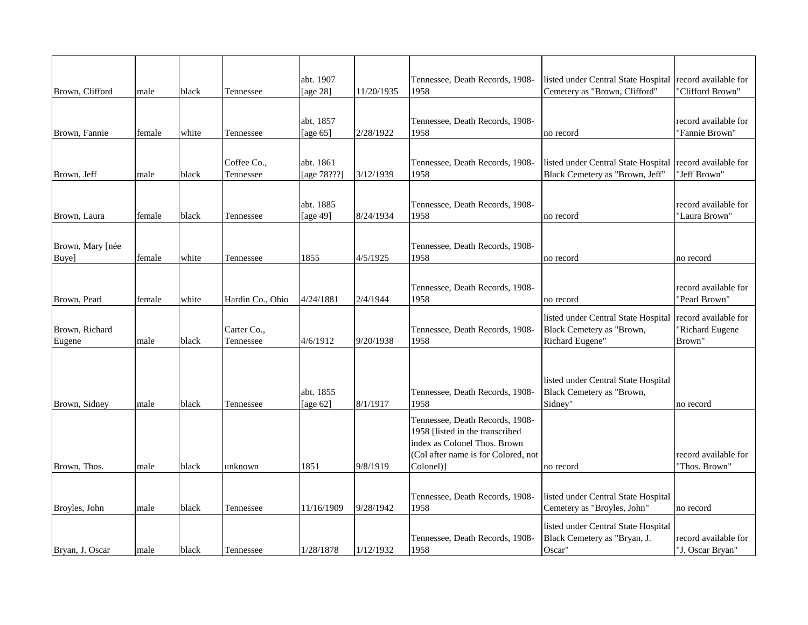| Brown, Clifford           | male   | black | Tennessee                | abt. 1907<br>[age 28]    | 11/20/1935 | Tennessee, Death Records, 1908-<br>1958                                                                                                                | listed under Central State Hospital record available for<br>Cemetery as "Brown, Clifford" | "Clifford Brown"                                  |
|---------------------------|--------|-------|--------------------------|--------------------------|------------|--------------------------------------------------------------------------------------------------------------------------------------------------------|-------------------------------------------------------------------------------------------|---------------------------------------------------|
| Brown, Fannie             | female | white | Tennessee                | abt. 1857<br>[age $65$ ] | 2/28/1922  | Tennessee, Death Records, 1908-<br>1958                                                                                                                | no record                                                                                 | record available for<br>"Fannie Brown"            |
| Brown, Jeff               | male   | black | Coffee Co.,<br>Tennessee | abt. 1861<br>[age 78???] | 3/12/1939  | Tennessee, Death Records, 1908-<br>1958                                                                                                                | listed under Central State Hospital<br>Black Cemetery as "Brown, Jeff"                    | record available for<br>"Jeff Brown"              |
| Brown, Laura              | female | black | Tennessee                | abt. 1885<br>[age 49]    | 8/24/1934  | Tennessee, Death Records, 1908-<br>1958                                                                                                                | no record                                                                                 | record available for<br>"Laura Brown"             |
| Brown, Mary [née<br>Buye] | female | white | Tennessee                | 1855                     | 4/5/1925   | Tennessee, Death Records, 1908-<br>1958                                                                                                                | no record                                                                                 | no record                                         |
| Brown, Pearl              | female | white | Hardin Co., Ohio         | 4/24/1881                | 2/4/1944   | Tennessee, Death Records, 1908-<br>1958                                                                                                                | no record                                                                                 | record available for<br>"Pearl Brown"             |
| Brown, Richard<br>Eugene  | male   | black | Carter Co.,<br>Tennessee | 4/6/1912                 | 9/20/1938  | Tennessee, Death Records, 1908-<br>1958                                                                                                                | listed under Central State Hospital<br>Black Cemetery as "Brown,<br>Richard Eugene"       | record available for<br>'Richard Eugene<br>Brown" |
| Brown, Sidney             | male   | black | Tennessee                | abt. 1855<br>[age 62]    | 8/1/1917   | Tennessee, Death Records, 1908-<br>1958                                                                                                                | listed under Central State Hospital<br>Black Cemetery as "Brown,<br>Sidney"               | no record                                         |
| Brown, Thos.              | male   | black | unknown                  | 1851                     | 9/8/1919   | Tennessee, Death Records, 1908-<br>1958 [listed in the transcribed<br>index as Colonel Thos. Brown<br>(Col after name is for Colored, not<br>Colonel)] | no record                                                                                 | record available for<br>"Thos. Brown"             |
| Broyles, John             | male   | black | Tennessee                | 11/16/1909               | 9/28/1942  | Tennessee, Death Records, 1908-<br>1958                                                                                                                | listed under Central State Hospital<br>Cemetery as "Broyles, John"                        | no record                                         |
| Bryan, J. Oscar           | male   | black | Tennessee                | 1/28/1878                | 1/12/1932  | Tennessee, Death Records, 1908-<br>1958                                                                                                                | listed under Central State Hospital<br>Black Cemetery as "Bryan, J.<br>Oscar"             | record available for<br>"J. Oscar Bryan"          |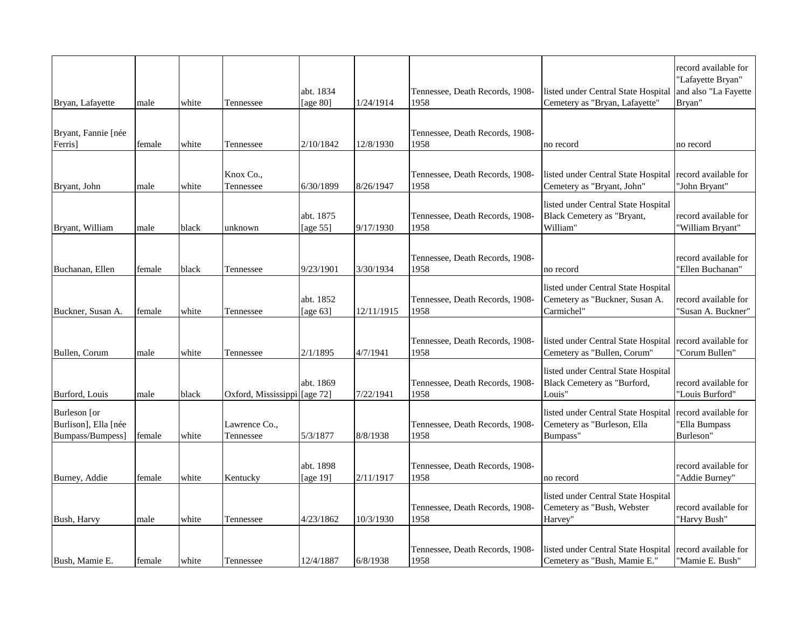| Bryan, Lafayette                                         | male   | white | Tennessee                    | abt. 1834<br>[age 80]    | 1/24/1914  | Tennessee, Death Records, 1908-<br>1958 | listed under Central State Hospital<br>Cemetery as "Bryan, Lafayette"               | record available for<br>"Lafayette Bryan"<br>and also "La Fayette<br>Bryan" |
|----------------------------------------------------------|--------|-------|------------------------------|--------------------------|------------|-----------------------------------------|-------------------------------------------------------------------------------------|-----------------------------------------------------------------------------|
| Bryant, Fannie [née                                      |        |       |                              |                          |            | Tennessee, Death Records, 1908-         |                                                                                     |                                                                             |
| Ferris]                                                  | female | white | Tennessee                    | 2/10/1842                | 12/8/1930  | 1958                                    | no record                                                                           | no record                                                                   |
|                                                          |        |       |                              |                          |            |                                         |                                                                                     |                                                                             |
| Bryant, John                                             | male   | white | Knox Co.,<br>Tennessee       | 6/30/1899                | 8/26/1947  | Tennessee, Death Records, 1908-<br>1958 | listed under Central State Hospital<br>Cemetery as "Bryant, John"                   | record available for<br>"John Bryant"                                       |
|                                                          |        |       |                              | abt. 1875                |            | Tennessee, Death Records, 1908-         | listed under Central State Hospital<br>Black Cemetery as "Bryant,                   | record available for                                                        |
| Bryant, William                                          | male   | black | unknown                      | [age 55]                 | 9/17/1930  | 1958                                    | William"                                                                            | "William Bryant"                                                            |
| Buchanan, Ellen                                          | female | black | Tennessee                    | 9/23/1901                | 3/30/1934  | Tennessee, Death Records, 1908-<br>1958 | no record                                                                           | record available for<br>'Ellen Buchanan"                                    |
| Buckner, Susan A.                                        | female | white | Tennessee                    | abt. 1852<br>[age $63$ ] | 12/11/1915 | Tennessee, Death Records, 1908-<br>1958 | listed under Central State Hospital<br>Cemetery as "Buckner, Susan A.<br>Carmichel" | record available for<br>"Susan A. Buckner"                                  |
| Bullen, Corum                                            | male   | white | Tennessee                    | 2/1/1895                 | 4/7/1941   | Tennessee, Death Records, 1908-<br>1958 | listed under Central State Hospital<br>Cemetery as "Bullen, Corum"                  | record available for<br>"Corum Bullen"                                      |
| Burford, Louis                                           | male   | black | Oxford, Mississippi [age 72] | abt. 1869                | 7/22/1941  | Tennessee, Death Records, 1908-<br>1958 | listed under Central State Hospital<br>Black Cemetery as "Burford,<br>Louis"        | record available for<br>"Louis Burford"                                     |
| Burleson [or<br>Burlison], Ella [née<br>Bumpass/Bumpess] | female | white | Lawrence Co.,<br>Tennessee   | 5/3/1877                 | 8/8/1938   | Tennessee, Death Records, 1908-<br>1958 | listed under Central State Hospital<br>Cemetery as "Burleson, Ella<br>Bumpass"      | record available for<br>"Ella Bumpass<br>Burleson"                          |
|                                                          |        |       |                              | abt. 1898                |            | Tennessee, Death Records, 1908-         |                                                                                     | record available for                                                        |
| Burney, Addie                                            | female | white | Kentucky                     | [age 19]                 | 2/11/1917  | 1958                                    | no record                                                                           | "Addie Burney"                                                              |
| Bush, Harvy                                              | male   | white | Tennessee                    | 4/23/1862                | 10/3/1930  | Tennessee, Death Records, 1908-<br>1958 | listed under Central State Hospital<br>Cemetery as "Bush, Webster<br>Harvey"        | record available for<br>"Harvy Bush"                                        |
|                                                          |        |       |                              |                          |            | Tennessee, Death Records, 1908-         | listed under Central State Hospital                                                 | record available for                                                        |
| Bush, Mamie E.                                           | female | white | Tennessee                    | 12/4/1887                | 6/8/1938   | 1958                                    | Cemetery as "Bush, Mamie E."                                                        | "Mamie E. Bush"                                                             |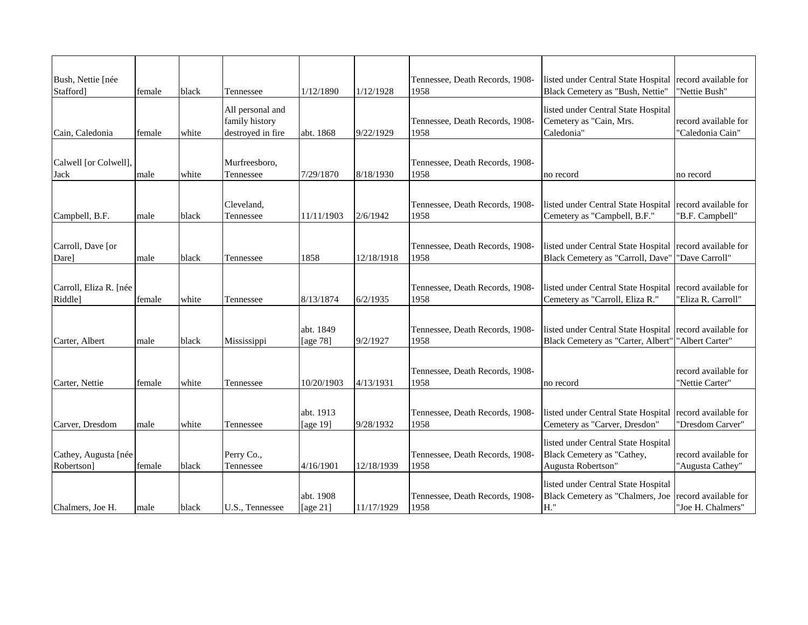| Bush, Nettie [née<br>Stafford] | female | black | Tennessee               | 1/12/1890  | 1/12/1928  | Tennessee, Death Records, 1908-<br>1958 | listed under Central State Hospital<br>Black Cemetery as "Bush, Nettie" | record available for<br>"Nettie Bush" |
|--------------------------------|--------|-------|-------------------------|------------|------------|-----------------------------------------|-------------------------------------------------------------------------|---------------------------------------|
|                                |        |       | All personal and        |            |            |                                         | listed under Central State Hospital                                     |                                       |
|                                |        |       | family history          |            |            | Tennessee, Death Records, 1908-         | Cemetery as "Cain, Mrs.                                                 | record available for                  |
| Cain, Caledonia                | female | white | destroyed in fire       | abt. 1868  | 9/22/1929  | 1958                                    | Caledonia"                                                              | "Caledonia Cain"                      |
|                                |        |       |                         |            |            |                                         |                                                                         |                                       |
| Calwell [or Colwell],          |        |       | Murfreesboro,           |            |            | Tennessee, Death Records, 1908-         |                                                                         |                                       |
| Jack                           | male   | white | Tennessee               | 7/29/1870  | 8/18/1930  | 1958                                    | no record                                                               | no record                             |
|                                |        |       |                         |            |            |                                         |                                                                         |                                       |
|                                |        |       |                         |            |            |                                         | listed under Central State Hospital record available for                |                                       |
|                                |        | black | Cleveland,<br>Tennessee | 11/11/1903 | 2/6/1942   | Tennessee, Death Records, 1908-<br>1958 | Cemetery as "Campbell, B.F."                                            | "B.F. Campbell"                       |
| Campbell, B.F.                 | male   |       |                         |            |            |                                         |                                                                         |                                       |
|                                |        |       |                         |            |            |                                         |                                                                         |                                       |
| Carroll, Dave [or              |        |       |                         |            |            | Tennessee, Death Records, 1908-         | listed under Central State Hospital record available for                |                                       |
| Dare]                          | male   | black | Tennessee               | 1858       | 12/18/1918 | 1958                                    | Black Cemetery as "Carroll, Dave"                                       | "Dave Carroll"                        |
|                                |        |       |                         |            |            |                                         |                                                                         |                                       |
| Carroll, Eliza R. [née         |        |       |                         |            |            | Tennessee, Death Records, 1908-         | listed under Central State Hospital                                     | record available for                  |
| Riddle]                        | female | white | Tennessee               | 8/13/1874  | 6/2/1935   | 1958                                    | Cemetery as "Carroll, Eliza R."                                         | "Eliza R. Carroll"                    |
|                                |        |       |                         |            |            |                                         |                                                                         |                                       |
|                                |        |       |                         | abt. 1849  |            | Tennessee, Death Records, 1908-         | listed under Central State Hospital record available for                |                                       |
| Carter, Albert                 | male   | black | Mississippi             | [age 78]   | 9/2/1927   | 1958                                    | Black Cemetery as "Carter, Albert"                                      | "Albert Carter"                       |
|                                |        |       |                         |            |            |                                         |                                                                         |                                       |
|                                |        |       |                         |            |            |                                         |                                                                         |                                       |
|                                |        |       |                         | 10/20/1903 |            | Tennessee, Death Records, 1908-         |                                                                         | record available for                  |
| Carter, Nettie                 | female | white | Tennessee               |            | 4/13/1931  | 1958                                    | no record                                                               | "Nettie Carter"                       |
|                                |        |       |                         |            |            |                                         |                                                                         |                                       |
|                                |        |       |                         | abt. 1913  |            | Tennessee, Death Records, 1908-         | listed under Central State Hospital                                     | record available for                  |
| Carver, Dresdom                | male   | white | Tennessee               | [age 19]   | 9/28/1932  | 1958                                    | Cemetery as "Carver, Dresdon"                                           | "Dresdom Carver"                      |
|                                |        |       |                         |            |            |                                         | listed under Central State Hospital                                     |                                       |
| Cathey, Augusta [née           |        |       | Perry Co.,              |            |            | Tennessee, Death Records, 1908-         | Black Cemetery as "Cathey,                                              | record available for                  |
| Robertson]                     | female | black | Tennessee               | 4/16/1901  | 12/18/1939 | 1958                                    | Augusta Robertson"                                                      | "Augusta Cathey"                      |
|                                |        |       |                         |            |            |                                         | listed under Central State Hospital                                     |                                       |
|                                |        |       |                         | abt. 1908  |            | Tennessee, Death Records, 1908-         | Black Cemetery as "Chalmers, Joe                                        | record available for                  |
| Chalmers. Joe H.               | male   | black | U.S., Tennessee         | [age 21]   | 11/17/1929 | 1958                                    | H."                                                                     | "Joe H. Chalmers"                     |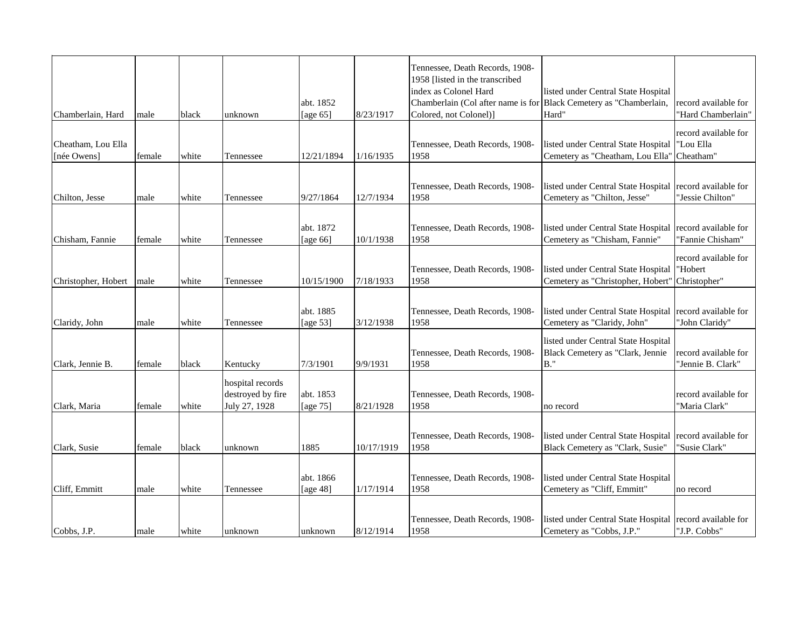|                     |        |       |                   |             |            | Tennessee, Death Records, 1908-                                    |                                                          |                      |
|---------------------|--------|-------|-------------------|-------------|------------|--------------------------------------------------------------------|----------------------------------------------------------|----------------------|
|                     |        |       |                   |             |            | 1958 [listed in the transcribed                                    |                                                          |                      |
|                     |        |       |                   |             |            | index as Colonel Hard                                              | listed under Central State Hospital                      |                      |
|                     |        |       |                   | abt. 1852   |            | Chamberlain (Col after name is for Black Cemetery as "Chamberlain, |                                                          | record available for |
| Chamberlain, Hard   | male   | black | unknown           | [age $65$ ] | 8/23/1917  | Colored, not Colonel)]                                             | Hard"                                                    | "Hard Chamberlain"   |
|                     |        |       |                   |             |            |                                                                    |                                                          | record available for |
| Cheatham, Lou Ella  |        |       |                   |             |            | Tennessee, Death Records, 1908-                                    | listed under Central State Hospital                      | "Lou Ella            |
| [née Owens]         | female | white | Tennessee         | 12/21/1894  | 1/16/1935  | 1958                                                               | Cemetery as "Cheatham, Lou Ella"                         | Cheatham"            |
|                     |        |       |                   |             |            |                                                                    |                                                          |                      |
|                     |        |       |                   |             |            | Tennessee, Death Records, 1908-                                    | listed under Central State Hospital                      | record available for |
| Chilton, Jesse      | male   | white | Tennessee         | 9/27/1864   | 12/7/1934  | 1958                                                               | Cemetery as "Chilton, Jesse"                             | "Jessie Chilton"     |
|                     |        |       |                   |             |            |                                                                    |                                                          |                      |
|                     |        |       |                   |             |            |                                                                    |                                                          |                      |
|                     |        |       |                   | abt. 1872   |            | Tennessee, Death Records, 1908-                                    | listed under Central State Hospital record available for |                      |
| Chisham, Fannie     | female | white | Tennessee         | [age $66$ ] | 10/1/1938  | 1958                                                               | Cemetery as "Chisham, Fannie"                            | 'Fannie Chisham''    |
|                     |        |       |                   |             |            |                                                                    |                                                          | record available for |
|                     |        |       |                   |             |            | Tennessee, Death Records, 1908-                                    | listed under Central State Hospital                      | "Hobert              |
| Christopher, Hobert | male   | white | Tennessee         | 10/15/1900  | 7/18/1933  | 1958                                                               | Cemetery as "Christopher, Hobert"                        | Christopher"         |
|                     |        |       |                   |             |            |                                                                    |                                                          |                      |
|                     |        |       |                   | abt. 1885   |            | Tennessee, Death Records, 1908-                                    | listed under Central State Hospital record available for |                      |
| Claridy, John       | male   | white | Tennessee         | [age $53$ ] | 3/12/1938  | 1958                                                               | Cemetery as "Claridy, John"                              | "John Claridy"       |
|                     |        |       |                   |             |            |                                                                    |                                                          |                      |
|                     |        |       |                   |             |            |                                                                    | listed under Central State Hospital                      |                      |
|                     |        |       |                   |             |            | Tennessee, Death Records, 1908-                                    | Black Cemetery as "Clark, Jennie                         | record available for |
| Clark, Jennie B.    | female | black | Kentucky          | 7/3/1901    | 9/9/1931   | 1958                                                               | $B.$ "                                                   | "Jennie B. Clark"    |
|                     |        |       | hospital records  |             |            |                                                                    |                                                          |                      |
|                     |        |       | destroyed by fire | abt. 1853   |            | Tennessee, Death Records, 1908-                                    |                                                          | record available for |
| Clark, Maria        | female | white | July 27, 1928     | [age 75]    | 8/21/1928  | 1958                                                               | no record                                                | "Maria Clark"        |
|                     |        |       |                   |             |            |                                                                    |                                                          |                      |
|                     |        |       |                   |             |            | Tennessee, Death Records, 1908-                                    | listed under Central State Hospital                      | record available for |
| Clark, Susie        | female | black | unknown           | 1885        | 10/17/1919 | 1958                                                               | Black Cemetery as "Clark, Susie"                         | "Susie Clark"        |
|                     |        |       |                   |             |            |                                                                    |                                                          |                      |
|                     |        |       |                   |             |            |                                                                    |                                                          |                      |
|                     |        |       |                   | abt. 1866   |            | Tennessee, Death Records, 1908-                                    | listed under Central State Hospital                      |                      |
| Cliff, Emmitt       | male   | white | Tennessee         | [age 48]    | 1/17/1914  | 1958                                                               | Cemetery as "Cliff, Emmitt"                              | no record            |
|                     |        |       |                   |             |            |                                                                    |                                                          |                      |
|                     |        |       |                   |             |            | Tennessee, Death Records, 1908-                                    | listed under Central State Hospital record available for |                      |
| Cobbs, J.P.         | male   | white | unknown           | unknown     | 8/12/1914  | 1958                                                               | Cemetery as "Cobbs, J.P."                                | "J.P. Cobbs"         |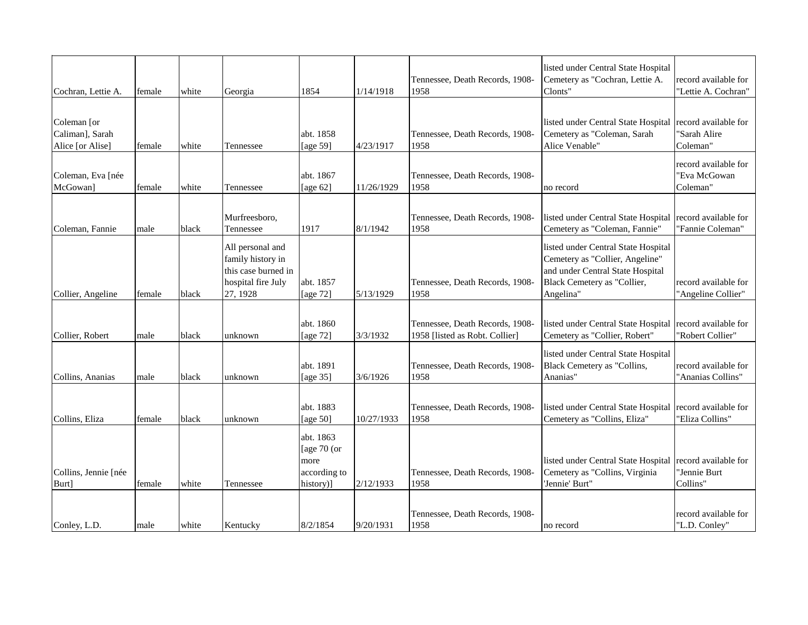| Cochran, Lettie A.                                 | female | white | Georgia                                                                                        | 1854                                                            | 1/14/1918  | Tennessee, Death Records, 1908-<br>1958                           | listed under Central State Hospital<br>Cemetery as "Cochran, Lettie A.<br>Clonts"                                                                      | record available for<br>"Lettie A. Cochran"      |
|----------------------------------------------------|--------|-------|------------------------------------------------------------------------------------------------|-----------------------------------------------------------------|------------|-------------------------------------------------------------------|--------------------------------------------------------------------------------------------------------------------------------------------------------|--------------------------------------------------|
| Coleman [or<br>Caliman], Sarah<br>Alice [or Alise] | female | white | Tennessee                                                                                      | abt. 1858<br>[age 59]                                           | 4/23/1917  | Tennessee, Death Records, 1908-<br>1958                           | listed under Central State Hospital<br>Cemetery as "Coleman, Sarah<br>Alice Venable"                                                                   | record available for<br>"Sarah Alire<br>Coleman" |
| Coleman, Eva [née<br>McGowan]                      | female | white | Tennessee                                                                                      | abt. 1867<br>[age $62$ ]                                        | 11/26/1929 | Tennessee, Death Records, 1908-<br>1958                           | no record                                                                                                                                              | record available for<br>"Eva McGowan<br>Coleman" |
| Coleman, Fannie                                    | male   | black | Murfreesboro,<br>Tennessee                                                                     | 1917                                                            | 8/1/1942   | Tennessee, Death Records, 1908-<br>1958                           | listed under Central State Hospital<br>Cemetery as "Coleman, Fannie"                                                                                   | record available for<br>"Fannie Coleman"         |
| Collier, Angeline                                  | female | black | All personal and<br>family history in<br>this case burned in<br>hospital fire July<br>27, 1928 | abt. 1857<br>[age 72]                                           | 5/13/1929  | Tennessee, Death Records, 1908-<br>1958                           | listed under Central State Hospital<br>Cemetery as "Collier, Angeline"<br>and under Central State Hospital<br>Black Cemetery as "Collier,<br>Angelina" | record available for<br>"Angeline Collier"       |
| Collier, Robert                                    | male   | black | unknown                                                                                        | abt. 1860<br>[age 72]                                           | 3/3/1932   | Tennessee, Death Records, 1908-<br>1958 [listed as Robt. Collier] | listed under Central State Hospital<br>Cemetery as "Collier, Robert"                                                                                   | record available for<br>"Robert Collier"         |
| Collins, Ananias                                   | male   | black | unknown                                                                                        | abt. 1891<br>[age 35]                                           | 3/6/1926   | Tennessee, Death Records, 1908-<br>1958                           | listed under Central State Hospital<br>Black Cemetery as "Collins,<br>Ananias"                                                                         | record available for<br>"Ananias Collins"        |
| Collins, Eliza                                     | female | black | unknown                                                                                        | abt. 1883<br>[age $50$ ]                                        | 10/27/1933 | Tennessee, Death Records, 1908-<br>1958                           | listed under Central State Hospital<br>Cemetery as "Collins, Eliza"                                                                                    | record available for<br>"Eliza Collins"          |
| Collins, Jennie [née<br>Burt]                      | female | white | Tennessee                                                                                      | abt. 1863<br>[age $70$ (or<br>more<br>according to<br>history)] | 2/12/1933  | Tennessee, Death Records, 1908-<br>1958                           | listed under Central State Hospital<br>Cemetery as "Collins, Virginia<br>'Jennie' Burt"                                                                | record available for<br>"Jennie Burt<br>Collins" |
| Conley, L.D.                                       | male   | white | Kentucky                                                                                       | 8/2/1854                                                        | 9/20/1931  | Tennessee, Death Records, 1908-<br>1958                           | no record                                                                                                                                              | record available for<br>"L.D. Conley"            |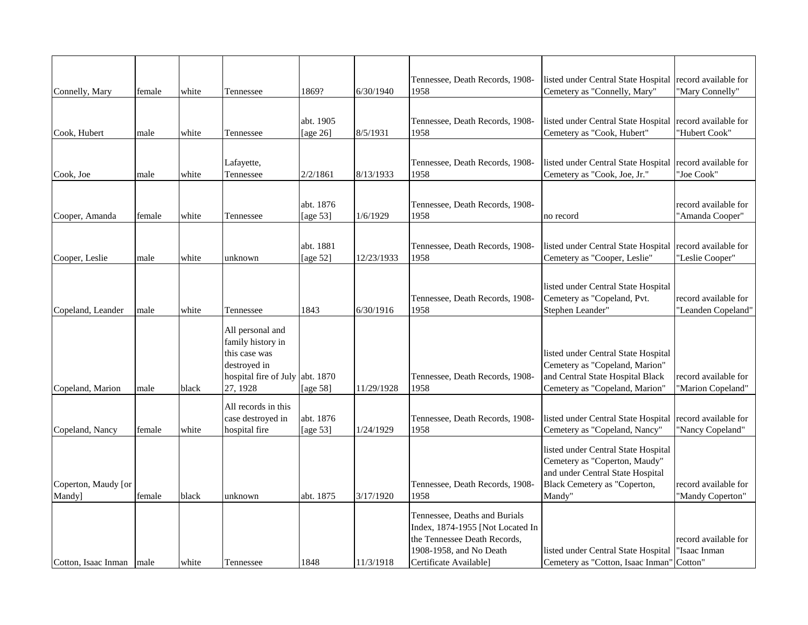|                            |        |       |                                 |             |            | Tennessee, Death Records, 1908-         | listed under Central State Hospital             | record available for                       |
|----------------------------|--------|-------|---------------------------------|-------------|------------|-----------------------------------------|-------------------------------------------------|--------------------------------------------|
| Connelly, Mary             | female | white | Tennessee                       | 1869?       | 6/30/1940  | 1958                                    | Cemetery as "Connelly, Mary"                    | 'Mary Connelly"                            |
|                            |        |       |                                 |             |            |                                         |                                                 |                                            |
|                            |        |       |                                 | abt. 1905   |            | Tennessee, Death Records, 1908-         | listed under Central State Hospital             | record available for                       |
| Cook, Hubert               | male   | white | Tennessee                       | [age 26]    | 8/5/1931   | 1958                                    | Cemetery as "Cook, Hubert"                      | "Hubert Cook"                              |
|                            |        |       |                                 |             |            |                                         |                                                 |                                            |
|                            |        |       |                                 |             |            |                                         |                                                 |                                            |
|                            |        |       | Lafayette,                      |             |            | Tennessee, Death Records, 1908-         | listed under Central State Hospital             | record available for                       |
| Cook, Joe                  | male   | white | Tennessee                       | 2/2/1861    | 8/13/1933  | 1958                                    | Cemetery as "Cook, Joe, Jr."                    | "Joe Cook"                                 |
|                            |        |       |                                 |             |            |                                         |                                                 |                                            |
|                            |        |       |                                 | abt. 1876   |            | Tennessee, Death Records, 1908-         |                                                 | record available for                       |
| Cooper, Amanda             | female | white | Tennessee                       | [age $53$ ] | 1/6/1929   | 1958                                    | no record                                       | "Amanda Cooper"                            |
|                            |        |       |                                 |             |            |                                         |                                                 |                                            |
|                            |        |       |                                 | abt. 1881   |            | Tennessee, Death Records, 1908-         | listed under Central State Hospital             | record available for                       |
| Cooper, Leslie             | male   | white | unknown                         | [age $52$ ] | 12/23/1933 | 1958                                    | Cemetery as "Cooper, Leslie"                    | "Leslie Cooper"                            |
|                            |        |       |                                 |             |            |                                         |                                                 |                                            |
|                            |        |       |                                 |             |            |                                         |                                                 |                                            |
|                            |        |       |                                 |             |            |                                         | listed under Central State Hospital             |                                            |
| Copeland, Leander          | male   | white | Tennessee                       | 1843        | 6/30/1916  | Tennessee, Death Records, 1908-<br>1958 | Cemetery as "Copeland, Pvt.<br>Stephen Leander" | record available for<br>"Leanden Copeland" |
|                            |        |       |                                 |             |            |                                         |                                                 |                                            |
|                            |        |       | All personal and                |             |            |                                         |                                                 |                                            |
|                            |        |       | family history in               |             |            |                                         |                                                 |                                            |
|                            |        |       | this case was                   |             |            |                                         | listed under Central State Hospital             |                                            |
|                            |        |       | destroyed in                    |             |            |                                         | Cemetery as "Copeland, Marion"                  |                                            |
|                            |        |       | hospital fire of July abt. 1870 |             |            | Tennessee, Death Records, 1908-         | and Central State Hospital Black                | record available for                       |
| Copeland, Marion           | male   | black | 27, 1928                        | [age $58$ ] | 11/29/1928 | 1958                                    | Cemetery as "Copeland, Marion"                  | "Marion Copeland"                          |
|                            |        |       | All records in this             |             |            |                                         |                                                 |                                            |
|                            |        |       | case destroyed in               | abt. 1876   |            | Tennessee, Death Records, 1908-         | listed under Central State Hospital             | record available for                       |
| Copeland, Nancy            | female | white | hospital fire                   | [age $53$ ] | 1/24/1929  | 1958                                    | Cemetery as "Copeland, Nancy"                   | "Nancy Copeland"                           |
|                            |        |       |                                 |             |            |                                         |                                                 |                                            |
|                            |        |       |                                 |             |            |                                         | listed under Central State Hospital             |                                            |
|                            |        |       |                                 |             |            |                                         | Cemetery as "Coperton, Maudy"                   |                                            |
|                            |        |       |                                 |             |            |                                         | and under Central State Hospital                |                                            |
| Coperton, Maudy [or        |        |       |                                 |             |            | Tennessee, Death Records, 1908-<br>1958 | Black Cemetery as "Coperton,                    | record available for                       |
| Mandy]                     | female | black | unknown                         | abt. 1875   | 3/17/1920  |                                         | Mandy"                                          | "Mandy Coperton"                           |
|                            |        |       |                                 |             |            | Tennessee, Deaths and Burials           |                                                 |                                            |
|                            |        |       |                                 |             |            | Index, 1874-1955 [Not Located In        |                                                 |                                            |
|                            |        |       |                                 |             |            | the Tennessee Death Records,            |                                                 | record available for                       |
|                            |        |       |                                 |             |            | 1908-1958, and No Death                 | listed under Central State Hospital             | 'Isaac Inman                               |
| Cotton, Isaac Inman   male |        | white | Tennessee                       | 1848        | 11/3/1918  | Certificate Available]                  | Cemetery as "Cotton, Isaac Inman" Cotton"       |                                            |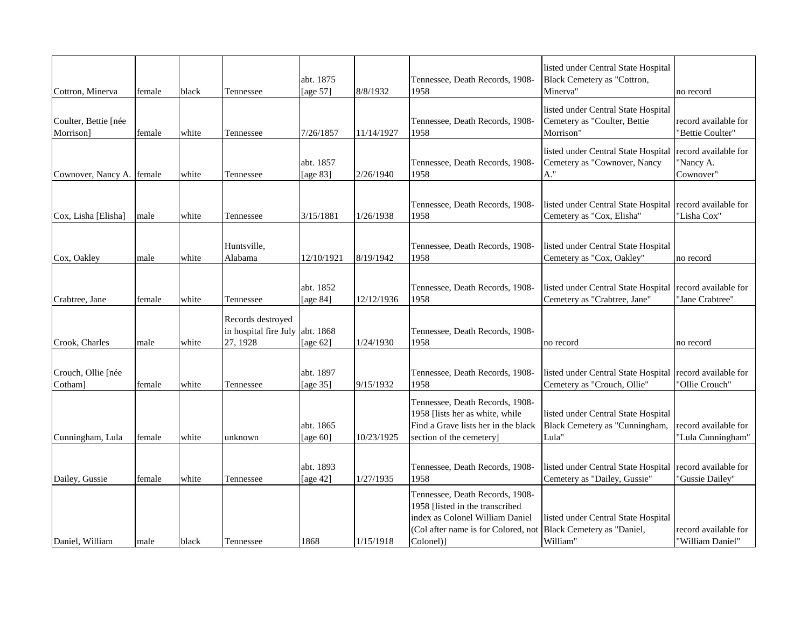| Cottron, Minerva                  | female | black | Tennessee                                              | abt. 1875<br>[age $57$ ] | 8/8/1932   | Tennessee, Death Records, 1908-<br>1958                                                                                                                   | listed under Central State Hospital<br>Black Cemetery as "Cottron,<br>Minerva"   | no record                                      |
|-----------------------------------|--------|-------|--------------------------------------------------------|--------------------------|------------|-----------------------------------------------------------------------------------------------------------------------------------------------------------|----------------------------------------------------------------------------------|------------------------------------------------|
| Coulter, Bettie [née<br>Morrison] | female | white | Tennessee                                              | 7/26/1857                | 11/14/1927 | Tennessee, Death Records, 1908-<br>1958                                                                                                                   | listed under Central State Hospital<br>Cemetery as "Coulter, Bettie<br>Morrison" | record available for<br>"Bettie Coulter"       |
| Cownover, Nancy A. female         |        | white | Tennessee                                              | abt. 1857<br>[age 83]    | 2/26/1940  | Tennessee, Death Records, 1908-<br>1958                                                                                                                   | listed under Central State Hospital<br>Cemetery as "Cownover, Nancy<br>A."       | record available for<br>"Nancy A.<br>Cownover" |
| Cox, Lisha [Elisha]               | male   | white | Tennessee                                              | 3/15/1881                | 1/26/1938  | Tennessee, Death Records, 1908-<br>1958                                                                                                                   | listed under Central State Hospital<br>Cemetery as "Cox, Elisha"                 | record available for<br>"Lisha Cox"            |
| Cox, Oakley                       | male   | white | Huntsville,<br>Alabama                                 | 12/10/1921               | 8/19/1942  | Tennessee, Death Records, 1908-<br>1958                                                                                                                   | listed under Central State Hospital<br>Cemetery as "Cox, Oakley"                 | no record                                      |
| Crabtree, Jane                    | female | white | Tennessee                                              | abt. 1852<br>[age 84]    | 12/12/1936 | Tennessee, Death Records, 1908-<br>1958                                                                                                                   | listed under Central State Hospital<br>Cemetery as "Crabtree, Jane"              | record available for<br>"Jane Crabtree"        |
| Crook, Charles                    | male   | white | Records destroyed<br>in hospital fire July<br>27, 1928 | abt. 1868<br>[age $62$ ] | 1/24/1930  | Tennessee, Death Records, 1908-<br>1958                                                                                                                   | no record                                                                        | no record                                      |
| Crouch, Ollie [née<br>Cotham]     | female | white | Tennessee                                              | abt. 1897<br>[age 35]    | 9/15/1932  | Tennessee, Death Records, 1908-<br>1958                                                                                                                   | listed under Central State Hospital<br>Cemetery as "Crouch, Ollie"               | record available for<br>"Ollie Crouch"         |
| Cunningham, Lula                  | female | white | unknown                                                | abt. 1865<br>[age 60]    | 10/23/1925 | Tennessee, Death Records, 1908-<br>1958 [lists her as white, while<br>Find a Grave lists her in the black<br>section of the cemetery]                     | listed under Central State Hospital<br>Black Cemetery as "Cunningham,<br>Lula"   | record available for<br>"Lula Cunningham"      |
| Dailey, Gussie                    | female | white | Tennessee                                              | abt. 1893<br>[age $42$ ] | 1/27/1935  | Tennessee, Death Records, 1908-<br>1958                                                                                                                   | listed under Central State Hospital<br>Cemetery as "Dailey, Gussie"              | record available for<br>"Gussie Dailey"        |
| Daniel, William                   | male   | black | Tennessee                                              | 1868                     | 1/15/1918  | Tennessee, Death Records, 1908-<br>1958 [listed in the transcribed<br>index as Colonel William Daniel<br>(Col after name is for Colored, not<br>Colonel)] | listed under Central State Hospital<br>Black Cemetery as "Daniel,<br>William"    | record available for<br>"William Daniel"       |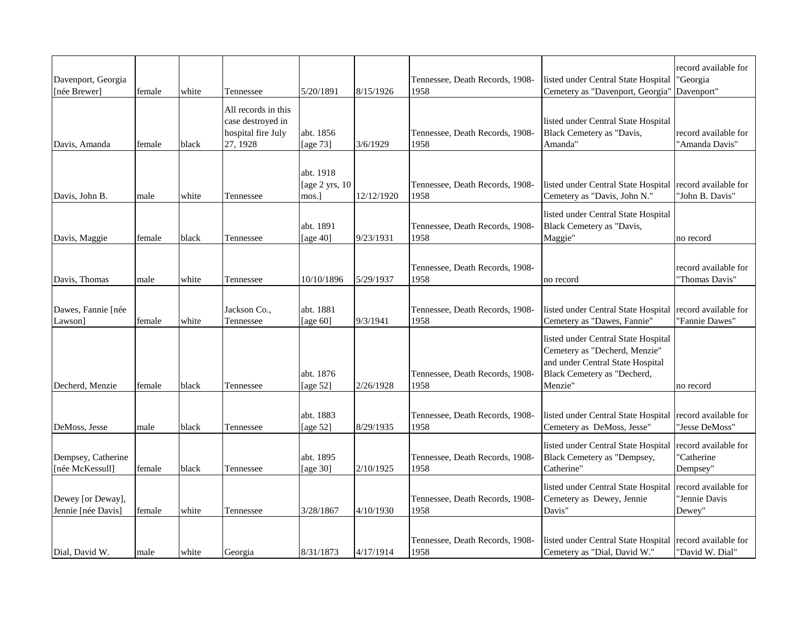| Davenport, Georgia<br>[née Brewer]      | female         | white          | Tennessee                                                                  | 5/20/1891                   | 8/15/1926              | Tennessee, Death Records, 1908-<br>1958         | listed under Central State Hospital<br>Cemetery as "Davenport, Georgia"                                                                            | record available for<br>"Georgia<br>Davenport"      |
|-----------------------------------------|----------------|----------------|----------------------------------------------------------------------------|-----------------------------|------------------------|-------------------------------------------------|----------------------------------------------------------------------------------------------------------------------------------------------------|-----------------------------------------------------|
| Davis, Amanda                           | female         | black          | All records in this<br>case destroyed in<br>hospital fire July<br>27, 1928 | abt. 1856<br>[age 73]       | 3/6/1929               | Tennessee, Death Records, 1908-<br>1958         | listed under Central State Hospital<br>Black Cemetery as "Davis,<br>Amanda"                                                                        | record available for<br>"Amanda Davis"              |
|                                         |                |                |                                                                            | abt. 1918<br>[age 2 yrs, 10 |                        | Tennessee, Death Records, 1908-                 | listed under Central State Hospital                                                                                                                | record available for                                |
| Davis, John B.                          | male           | white          | Tennessee                                                                  | mos.]<br>abt. 1891          | 12/12/1920             | 1958<br>Tennessee, Death Records, 1908-         | Cemetery as "Davis, John N."<br>listed under Central State Hospital<br>Black Cemetery as "Davis,                                                   | "John B. Davis"                                     |
| Davis, Maggie<br>Davis, Thomas          | female         | black          | Tennessee                                                                  | [age $40$ ]<br>10/10/1896   | 9/23/1931<br>5/29/1937 | 1958<br>Tennessee, Death Records, 1908-<br>1958 | Maggie"                                                                                                                                            | no record<br>record available for<br>"Thomas Davis" |
| Dawes, Fannie [née<br>Lawson]           | male<br>female | white<br>white | Tennessee<br>Jackson Co.,<br>Tennessee                                     | abt. 1881<br>[age 60]       | 9/3/1941               | Tennessee, Death Records, 1908-<br>1958         | no record<br>listed under Central State Hospital<br>Cemetery as "Dawes, Fannie"                                                                    | record available for<br>"Fannie Dawes"              |
| Decherd, Menzie                         | female         | black          | Tennessee                                                                  | abt. 1876<br>[age $52$ ]    | 2/26/1928              | Tennessee, Death Records, 1908-<br>1958         | listed under Central State Hospital<br>Cemetery as "Decherd, Menzie"<br>and under Central State Hospital<br>Black Cemetery as "Decherd,<br>Menzie" | no record                                           |
| DeMoss, Jesse                           | male           | black          | Tennessee                                                                  | abt. 1883<br>[age $52$ ]    | 8/29/1935              | Tennessee, Death Records, 1908-<br>1958         | listed under Central State Hospital<br>Cemetery as DeMoss, Jesse"                                                                                  | record available for<br>'Jesse DeMoss''             |
| Dempsey, Catherine<br>[née McKessull]   | female         | black          | Tennessee                                                                  | abt. 1895<br>[age 30]       | 2/10/1925              | Tennessee, Death Records, 1908-<br>1958         | listed under Central State Hospital<br>Black Cemetery as "Dempsey,<br>Catherine"                                                                   | record available for<br>'Catherine<br>Dempsey"      |
| Dewey [or Deway],<br>Jennie [née Davis] | female         | white          | Tennessee                                                                  | 3/28/1867                   | 4/10/1930              | Tennessee, Death Records, 1908-<br>1958         | listed under Central State Hospital<br>Cemetery as Dewey, Jennie<br>Davis"                                                                         | record available for<br>"Jennie Davis<br>Dewey"     |
| Dial, David W.                          | male           | white          | Georgia                                                                    | 8/31/1873                   | 4/17/1914              | Tennessee, Death Records, 1908-<br>1958         | listed under Central State Hospital record available for<br>Cemetery as "Dial, David W."                                                           | "David W. Dial"                                     |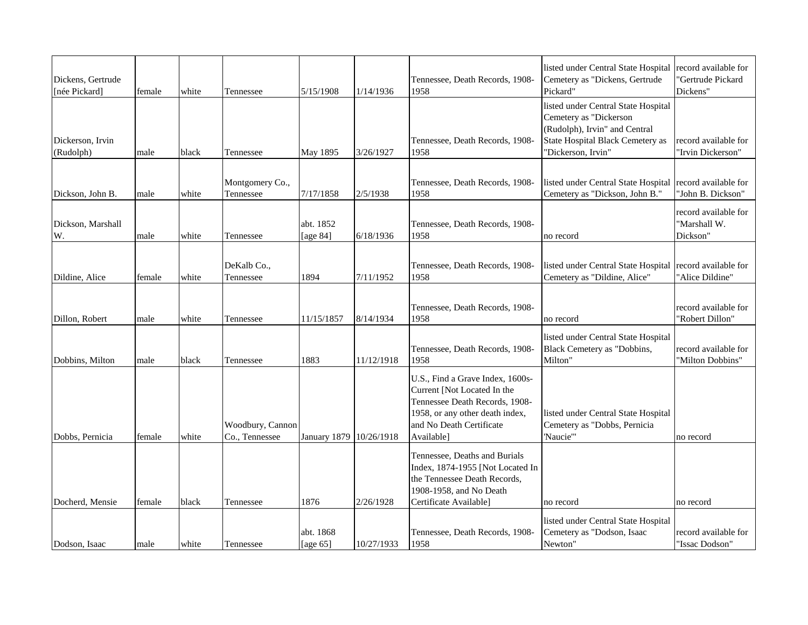| Dickens, Gertrude<br>[née Pickard] | female         | white          | Tennessee                          | 5/15/1908                        | 1/14/1936               | Tennessee, Death Records, 1908-<br>1958                                                                                                                                        | listed under Central State Hospital<br>Cemetery as "Dickens, Gertrude<br>Pickard"                                                                        | record available for<br>'Gertrude Pickard<br>Dickens" |
|------------------------------------|----------------|----------------|------------------------------------|----------------------------------|-------------------------|--------------------------------------------------------------------------------------------------------------------------------------------------------------------------------|----------------------------------------------------------------------------------------------------------------------------------------------------------|-------------------------------------------------------|
| Dickerson, Irvin<br>(Rudolph)      | male           | black          | Tennessee                          | May 1895                         | 3/26/1927               | Tennessee, Death Records, 1908-<br>1958                                                                                                                                        | listed under Central State Hospital<br>Cemetery as "Dickerson<br>(Rudolph), Irvin" and Central<br>State Hospital Black Cemetery as<br>'Dickerson, Irvin" | record available for<br>'Irvin Dickerson"             |
| Dickson, John B.                   | male           | white          | Montgomery Co.,<br>Tennessee       | 7/17/1858                        | 2/5/1938                | Tennessee, Death Records, 1908-<br>1958                                                                                                                                        | listed under Central State Hospital<br>Cemetery as "Dickson, John B."                                                                                    | record available for<br>"John B. Dickson"             |
| Dickson, Marshall<br>W.            | male           | white          | Tennessee                          | abt. 1852<br>[age 84]            | 6/18/1936               | Tennessee, Death Records, 1908-<br>1958                                                                                                                                        | no record                                                                                                                                                | record available for<br>"Marshall W.<br>Dickson"      |
| Dildine, Alice                     | female         | white          | DeKalb Co.,<br>Tennessee           | 1894                             | 7/11/1952               | Tennessee, Death Records, 1908-<br>1958                                                                                                                                        | listed under Central State Hospital<br>Cemetery as "Dildine, Alice"                                                                                      | record available for<br>"Alice Dildine"               |
| Dillon, Robert                     | male           | white          | Tennessee                          | 11/15/1857                       | 8/14/1934               | Tennessee, Death Records, 1908-<br>1958                                                                                                                                        | no record                                                                                                                                                | record available for<br>"Robert Dillon"               |
| Dobbins, Milton                    | male           | black          | Tennessee                          | 1883                             | 11/12/1918              | Tennessee, Death Records, 1908-<br>1958                                                                                                                                        | listed under Central State Hospital<br>Black Cemetery as "Dobbins,<br>Milton"                                                                            | record available for<br>'Milton Dobbins"              |
| Dobbs, Pernicia                    | female         | white          | Woodbury, Cannon<br>Co., Tennessee | January 1879 10/26/1918          |                         | U.S., Find a Grave Index, 1600s-<br>Current [Not Located In the<br>Tennessee Death Records, 1908-<br>1958, or any other death index,<br>and No Death Certificate<br>Available] | listed under Central State Hospital<br>Cemetery as "Dobbs, Pernicia<br>'Naucie'"                                                                         | no record                                             |
|                                    |                |                |                                    |                                  |                         | Tennessee, Deaths and Burials<br>Index, 1874-1955 [Not Located In<br>the Tennessee Death Records,<br>1908-1958, and No Death                                                   |                                                                                                                                                          |                                                       |
| Docherd, Mensie<br>Dodson, Isaac   | female<br>male | black<br>white | Tennessee<br>Tennessee             | 1876<br>abt. 1868<br>[age $65$ ] | 2/26/1928<br>10/27/1933 | Certificate Available]<br>Tennessee, Death Records, 1908-<br>1958                                                                                                              | no record<br>listed under Central State Hospital<br>Cemetery as "Dodson, Isaac<br>Newton"                                                                | no record<br>record available for<br>"Issac Dodson"   |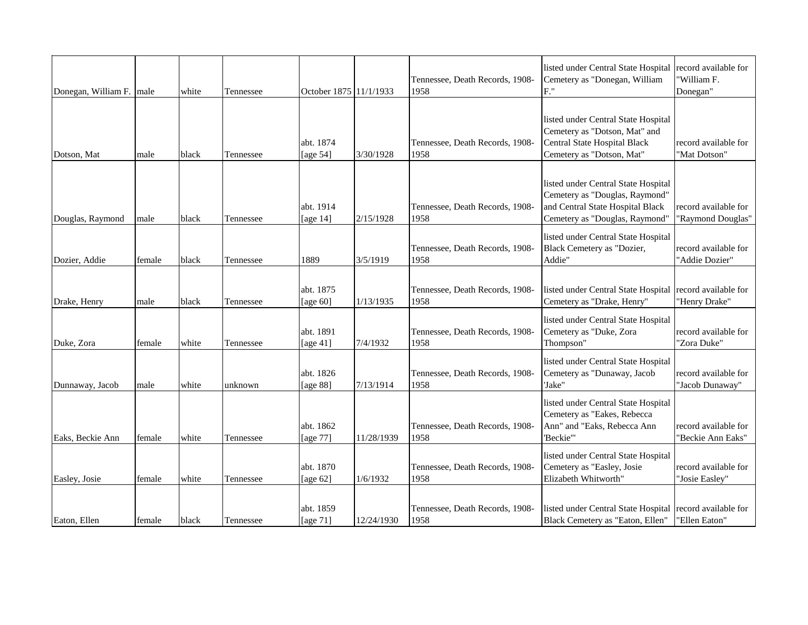| Donegan, William F. male |        | white | Tennessee | October 1875 11/1/1933   |            | Tennessee, Death Records, 1908-<br>1958 | listed under Central State Hospital<br>Cemetery as "Donegan, William<br>F.'                                                                 | record available for<br>'William F.<br>Donegan" |
|--------------------------|--------|-------|-----------|--------------------------|------------|-----------------------------------------|---------------------------------------------------------------------------------------------------------------------------------------------|-------------------------------------------------|
| Dotson, Mat              | male   | black | Tennessee | abt. 1874<br>[age $54$ ] | 3/30/1928  | Tennessee, Death Records, 1908-<br>1958 | listed under Central State Hospital<br>Cemetery as "Dotson, Mat" and<br>Central State Hospital Black<br>Cemetery as "Dotson, Mat"           | record available for<br>"Mat Dotson"            |
| Douglas, Raymond         | male   | black | Tennessee | abt. 1914<br>[age $14$ ] | 2/15/1928  | Tennessee, Death Records, 1908-<br>1958 | listed under Central State Hospital<br>Cemetery as "Douglas, Raymond"<br>and Central State Hospital Black<br>Cemetery as "Douglas, Raymond" | record available for<br>'Raymond Douglas"       |
| Dozier, Addie            | female | black | Tennessee | 1889                     | 3/5/1919   | Tennessee, Death Records, 1908-<br>1958 | listed under Central State Hospital<br>Black Cemetery as "Dozier,<br>Addie"                                                                 | record available for<br>"Addie Dozier"          |
| Drake, Henry             | male   | black | Tennessee | abt. 1875<br>[age $60$ ] | 1/13/1935  | Tennessee, Death Records, 1908-<br>1958 | listed under Central State Hospital<br>Cemetery as "Drake, Henry"                                                                           | record available for<br>"Henry Drake"           |
| Duke, Zora               | female | white | Tennessee | abt. 1891<br>[age $41$ ] | 7/4/1932   | Tennessee, Death Records, 1908-<br>1958 | listed under Central State Hospital<br>Cemetery as "Duke, Zora<br>Thompson"                                                                 | record available for<br>"Zora Duke"             |
| Dunnaway, Jacob          | male   | white | unknown   | abt. 1826<br>[age 88]    | 7/13/1914  | Tennessee, Death Records, 1908-<br>1958 | listed under Central State Hospital<br>Cemetery as "Dunaway, Jacob<br>'Jake"                                                                | record available for<br>"Jacob Dunaway"         |
| Eaks, Beckie Ann         | female | white | Tennessee | abt. 1862<br>[age 77]    | 11/28/1939 | Tennessee, Death Records, 1908-<br>1958 | listed under Central State Hospital<br>Cemetery as "Eakes, Rebecca<br>Ann" and "Eaks, Rebecca Ann<br>'Beckie'"                              | record available for<br>'Beckie Ann Eaks"       |
| Easley, Josie            | female | white | Tennessee | abt. 1870<br>[age 62]    | 1/6/1932   | Tennessee, Death Records, 1908-<br>1958 | listed under Central State Hospital<br>Cemetery as "Easley, Josie<br>Elizabeth Whitworth"                                                   | record available for<br>"Josie Easley"          |
| Eaton, Ellen             | female | black | Tennessee | abt. 1859<br>[age $71$ ] | 12/24/1930 | Tennessee, Death Records, 1908-<br>1958 | listed under Central State Hospital<br>Black Cemetery as "Eaton, Ellen"                                                                     | record available for<br>'Ellen Eaton"           |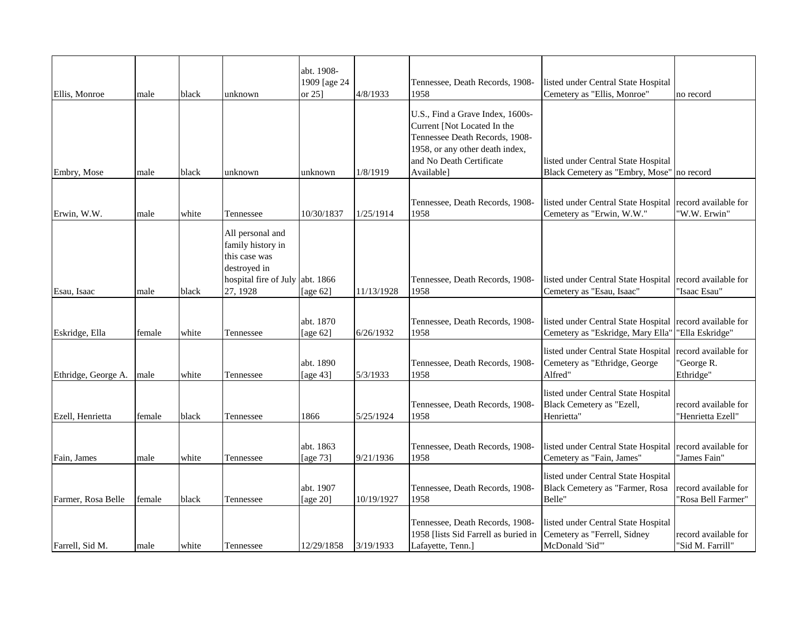|                     |        |       |                                                                                                                       | abt. 1908-               |            |                                                                                                                                                                                |                                                                                        |                                                 |
|---------------------|--------|-------|-----------------------------------------------------------------------------------------------------------------------|--------------------------|------------|--------------------------------------------------------------------------------------------------------------------------------------------------------------------------------|----------------------------------------------------------------------------------------|-------------------------------------------------|
|                     |        |       |                                                                                                                       | 1909 [age 24             |            | Tennessee, Death Records, 1908-                                                                                                                                                | listed under Central State Hospital                                                    |                                                 |
| Ellis, Monroe       | male   | black | unknown                                                                                                               | or $25$ ]                | 4/8/1933   | 1958                                                                                                                                                                           | Cemetery as "Ellis, Monroe"                                                            | no record                                       |
| Embry, Mose         | male   | black | unknown                                                                                                               | unknown                  | 1/8/1919   | U.S., Find a Grave Index, 1600s-<br>Current [Not Located In the<br>Tennessee Death Records, 1908-<br>1958, or any other death index,<br>and No Death Certificate<br>Available] | listed under Central State Hospital<br>Black Cemetery as "Embry, Mose"                 | no record                                       |
|                     |        |       |                                                                                                                       |                          |            |                                                                                                                                                                                |                                                                                        |                                                 |
| Erwin, W.W.         | male   | white | Tennessee                                                                                                             | 10/30/1837               | 1/25/1914  | Tennessee, Death Records, 1908-<br>1958                                                                                                                                        | listed under Central State Hospital<br>Cemetery as "Erwin, W.W."                       | record available for<br>"W.W. Erwin"            |
| Esau, Isaac         | male   | black | All personal and<br>family history in<br>this case was<br>destroyed in<br>hospital fire of July abt. 1866<br>27, 1928 | [age $62$ ]              | 11/13/1928 | Tennessee, Death Records, 1908-<br>1958                                                                                                                                        | listed under Central State Hospital record available for<br>Cemetery as "Esau, Isaac"  | "Isaac Esau"                                    |
| Eskridge, Ella      | female | white | Tennessee                                                                                                             | abt. 1870<br>[age $62$ ] | 6/26/1932  | Tennessee, Death Records, 1908-<br>1958                                                                                                                                        | listed under Central State Hospital<br>Cemetery as "Eskridge, Mary Ella"               | record available for<br>"Ella Eskridge"         |
| Ethridge, George A. | male   | white | Tennessee                                                                                                             | abt. 1890<br>[age 43]    | 5/3/1933   | Tennessee, Death Records, 1908-<br>1958                                                                                                                                        | listed under Central State Hospital<br>Cemetery as "Ethridge, George<br>Alfred"        | record available for<br>"George R.<br>Ethridge" |
| Ezell, Henrietta    | female | black | Tennessee                                                                                                             | 1866                     | 5/25/1924  | Tennessee, Death Records, 1908-<br>1958                                                                                                                                        | listed under Central State Hospital<br>Black Cemetery as "Ezell,<br>Henrietta"         | record available for<br>"Henrietta Ezell"       |
| Fain, James         | male   | white | Tennessee                                                                                                             | abt. 1863<br>[age 73]    | 9/21/1936  | Tennessee, Death Records, 1908-<br>1958                                                                                                                                        | listed under Central State Hospital<br>Cemetery as "Fain, James"                       | record available for<br>"James Fain"            |
| Farmer, Rosa Belle  | female | black | Tennessee                                                                                                             | abt. 1907<br>[age 20]    | 10/19/1927 | Tennessee, Death Records, 1908-<br>1958                                                                                                                                        | listed under Central State Hospital<br>Black Cemetery as "Farmer, Rosa<br>Belle"       | record available for<br>"Rosa Bell Farmer"      |
| Farrell, Sid M.     | male   | white | Tennessee                                                                                                             | 12/29/1858               | 3/19/1933  | Tennessee, Death Records, 1908-<br>1958 [lists Sid Farrell as buried in<br>Lafayette, Tenn.]                                                                                   | listed under Central State Hospital<br>Cemetery as "Ferrell, Sidney<br>McDonald 'Sid'" | record available for<br>"Sid M. Farrill"        |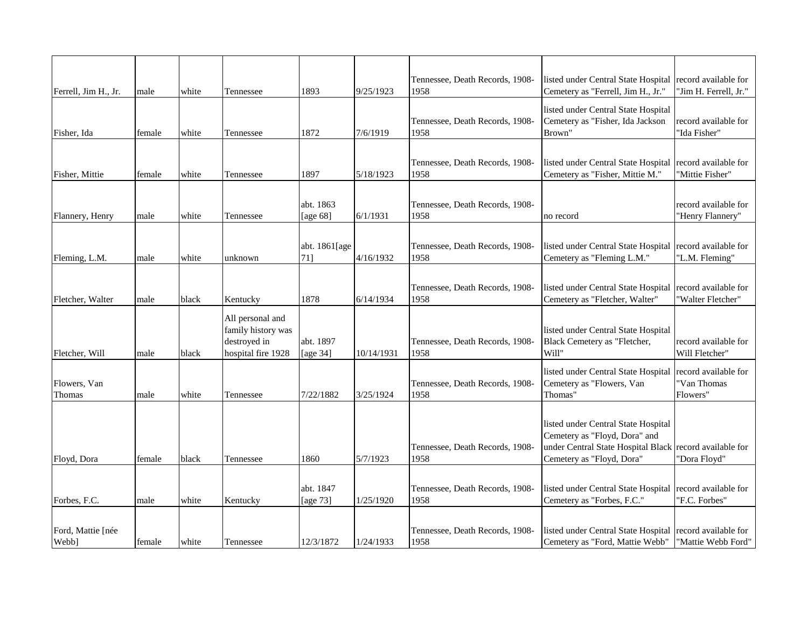| Ferrell, Jim H., Jr.       | male   | white | Tennessee                                                                    | 1893                  | 9/25/1923  | Tennessee, Death Records, 1908-<br>1958 | listed under Central State Hospital record available for<br>Cemetery as "Ferrell, Jim H., Jr."                                                               | "Jim H. Ferrell, Jr."                           |
|----------------------------|--------|-------|------------------------------------------------------------------------------|-----------------------|------------|-----------------------------------------|--------------------------------------------------------------------------------------------------------------------------------------------------------------|-------------------------------------------------|
| Fisher, Ida                | female | white | Tennessee                                                                    | 1872                  | 7/6/1919   | Tennessee, Death Records, 1908-<br>1958 | listed under Central State Hospital<br>Cemetery as "Fisher, Ida Jackson<br>Brown"                                                                            | record available for<br>"Ida Fisher"            |
|                            |        |       |                                                                              |                       |            |                                         |                                                                                                                                                              |                                                 |
| Fisher, Mittie             | female | white | Tennessee                                                                    | 1897                  | 5/18/1923  | Tennessee, Death Records, 1908-<br>1958 | listed under Central State Hospital record available for<br>Cemetery as "Fisher, Mittie M."                                                                  | "Mittie Fisher"                                 |
|                            |        |       |                                                                              | abt. 1863             |            | Tennessee, Death Records, 1908-         |                                                                                                                                                              | record available for                            |
| Flannery, Henry            | male   | white | Tennessee                                                                    | [age $68$ ]           | 6/1/1931   | 1958                                    | no record                                                                                                                                                    | "Henry Flannery"                                |
| Fleming, L.M.              | male   | white | unknown                                                                      | abt. 1861[age<br>71]  | 4/16/1932  | Tennessee, Death Records, 1908-<br>1958 | listed under Central State Hospital<br>Cemetery as "Fleming L.M."                                                                                            | record available for<br>"L.M. Fleming"          |
| Fletcher, Walter           | male   | black | Kentucky                                                                     | 1878                  | 6/14/1934  | Tennessee, Death Records, 1908-<br>1958 | listed under Central State Hospital<br>Cemetery as "Fletcher, Walter"                                                                                        | record available for<br>"Walter Fletcher"       |
| Fletcher, Will             | male   | black | All personal and<br>family history was<br>destroyed in<br>hospital fire 1928 | abt. 1897<br>[age 34] | 10/14/1931 | Tennessee, Death Records, 1908-<br>1958 | listed under Central State Hospital<br>Black Cemetery as "Fletcher,<br>Will"                                                                                 | record available for<br>Will Fletcher"          |
| Flowers, Van<br>Thomas     | male   | white | Tennessee                                                                    | 7/22/1882             | 3/25/1924  | Tennessee, Death Records, 1908-<br>1958 | listed under Central State Hospital<br>Cemetery as "Flowers, Van<br>Thomas"                                                                                  | record available for<br>"Van Thomas<br>Flowers" |
| Floyd, Dora                | female | black | Tennessee                                                                    | 1860                  | 5/7/1923   | Tennessee, Death Records, 1908-<br>1958 | listed under Central State Hospital<br>Cemetery as "Floyd, Dora" and<br>under Central State Hospital Black record available for<br>Cemetery as "Floyd, Dora" | "Dora Floyd"                                    |
|                            |        |       |                                                                              | abt. 1847             |            | Tennessee, Death Records, 1908-         | listed under Central State Hospital record available for                                                                                                     |                                                 |
| Forbes, F.C.               | male   | white | Kentucky                                                                     | [age 73]              | 1/25/1920  | 1958                                    | Cemetery as "Forbes, F.C."                                                                                                                                   | "F.C. Forbes"                                   |
| Ford, Mattie [née<br>Webb] | female | white | Tennessee                                                                    | 12/3/1872             | 1/24/1933  | Tennessee, Death Records, 1908-<br>1958 | listed under Central State Hospital record available for<br>Cemetery as "Ford, Mattie Webb"                                                                  | "Mattie Webb Ford"                              |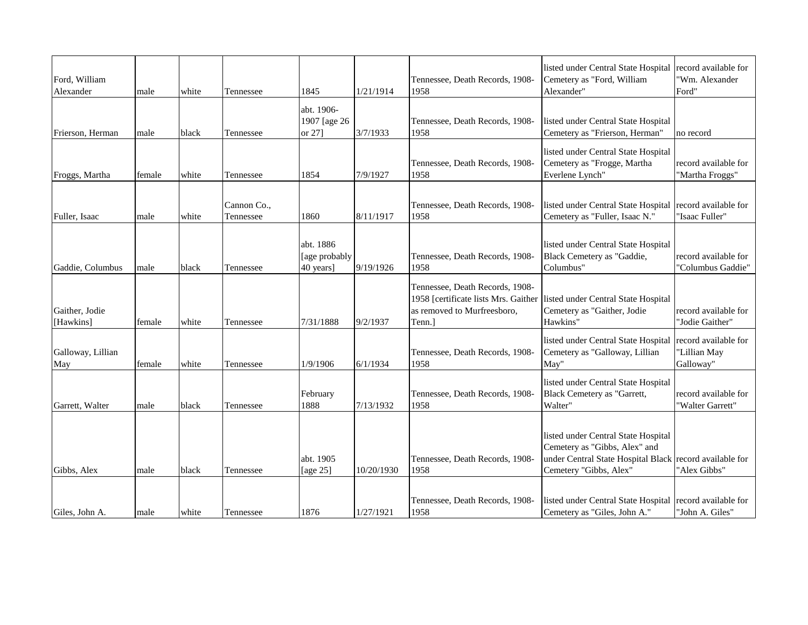| Ford, William<br>Alexander  | male   | white | Tennessee                | 1845                                    | 1/21/1914  | Tennessee, Death Records, 1908-<br>1958                                                                          | listed under Central State Hospital<br>Cemetery as "Ford, William<br>Alexander"                                                      | record available for<br>'Wm. Alexander<br>Ford"   |
|-----------------------------|--------|-------|--------------------------|-----------------------------------------|------------|------------------------------------------------------------------------------------------------------------------|--------------------------------------------------------------------------------------------------------------------------------------|---------------------------------------------------|
| Frierson, Herman            | male   | black | Tennessee                | abt. 1906-<br>1907 [age 26<br>or 27]    | 3/7/1933   | Tennessee, Death Records, 1908-<br>1958                                                                          | listed under Central State Hospital<br>Cemetery as "Frierson, Herman"                                                                | no record                                         |
| Froggs, Martha              | female | white | Tennessee                | 1854                                    | 7/9/1927   | Tennessee, Death Records, 1908-<br>1958                                                                          | listed under Central State Hospital<br>Cemetery as "Frogge, Martha<br>Everlene Lynch"                                                | record available for<br>"Martha Froggs"           |
| Fuller, Isaac               | male   | white | Cannon Co.,<br>Tennessee | 1860                                    | 8/11/1917  | Tennessee, Death Records, 1908-<br>1958                                                                          | listed under Central State Hospital<br>Cemetery as "Fuller, Isaac N."                                                                | record available for<br>'Isaac Fuller"            |
| Gaddie, Columbus            | male   | black | Tennessee                | abt. 1886<br>[age probably<br>40 years] | 9/19/1926  | Tennessee, Death Records, 1908-<br>1958                                                                          | listed under Central State Hospital<br>Black Cemetery as "Gaddie,<br>Columbus"                                                       | record available for<br>"Columbus Gaddie"         |
| Gaither, Jodie<br>[Hawkins] | female | white | Tennessee                | 7/31/1888                               | 9/2/1937   | Tennessee, Death Records, 1908-<br>1958 [certificate lists Mrs. Gaither<br>as removed to Murfreesboro,<br>Tenn.] | listed under Central State Hospital<br>Cemetery as "Gaither, Jodie<br>Hawkins"                                                       | record available for<br>"Jodie Gaither"           |
| Galloway, Lillian<br>May    | female | white | Tennessee                | 1/9/1906                                | 6/1/1934   | Tennessee, Death Records, 1908-<br>1958                                                                          | listed under Central State Hospital<br>Cemetery as "Galloway, Lillian<br>May"                                                        | record available for<br>"Lillian May<br>Galloway" |
| Garrett, Walter             | male   | black | Tennessee                | February<br>1888                        | 7/13/1932  | Tennessee, Death Records, 1908-<br>1958                                                                          | listed under Central State Hospital<br>Black Cemetery as "Garrett,<br>Walter"                                                        | record available for<br>"Walter Garrett"          |
| Gibbs, Alex                 | male   | black | Tennessee                | abt. 1905<br>[age 25]                   | 10/20/1930 | Tennessee, Death Records, 1908-<br>1958                                                                          | listed under Central State Hospital<br>Cemetery as "Gibbs, Alex" and<br>under Central State Hospital Black<br>Cemetery "Gibbs, Alex" | record available for<br>"Alex Gibbs"              |
| Giles, John A.              | male   | white | Tennessee                | 1876                                    | 1/27/1921  | Tennessee, Death Records, 1908-<br>1958                                                                          | listed under Central State Hospital<br>Cemetery as "Giles, John A."                                                                  | record available for<br>"John A. Giles'           |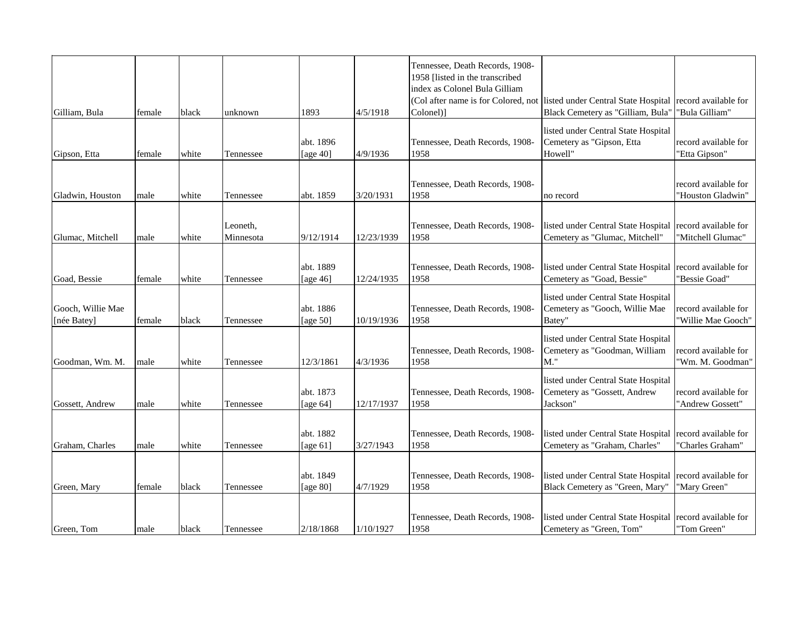| Gilliam, Bula                    | female | black | unknown               | 1893                     | 4/5/1918   | Tennessee, Death Records, 1908-<br>1958 [listed in the transcribed<br>index as Colonel Bula Gilliam<br>Colonel)] | (Col after name is for Colored, not listed under Central State Hospital<br>Black Cemetery as "Gilliam, Bula" | record available for<br>"Bula Gilliam"     |
|----------------------------------|--------|-------|-----------------------|--------------------------|------------|------------------------------------------------------------------------------------------------------------------|--------------------------------------------------------------------------------------------------------------|--------------------------------------------|
| Gipson, Etta                     | female | white | Tennessee             | abt. 1896<br>[age $40$ ] | 4/9/1936   | Tennessee, Death Records, 1908-<br>1958                                                                          | listed under Central State Hospital<br>Cemetery as "Gipson, Etta<br>Howell"                                  | record available for<br>"Etta Gipson"      |
| Gladwin, Houston                 | male   | white | Tennessee             | abt. 1859                | 3/20/1931  | Tennessee, Death Records, 1908-<br>1958                                                                          | no record                                                                                                    | record available for<br>"Houston Gladwin"  |
| Glumac, Mitchell                 | male   | white | Leoneth.<br>Minnesota | 9/12/1914                | 12/23/1939 | Tennessee, Death Records, 1908-<br>1958                                                                          | listed under Central State Hospital<br>Cemetery as "Glumac, Mitchell"                                        | record available for<br>"Mitchell Glumac"  |
| Goad, Bessie                     | female | white | Tennessee             | abt. 1889<br>[age 46]    | 12/24/1935 | Tennessee, Death Records, 1908-<br>1958                                                                          | listed under Central State Hospital<br>Cemetery as "Goad, Bessie"                                            | record available for<br>"Bessie Goad"      |
| Gooch, Willie Mae<br>[née Batey] | female | black | Tennessee             | abt. 1886<br>[age $50$ ] | 10/19/1936 | Tennessee, Death Records, 1908-<br>1958                                                                          | listed under Central State Hospital<br>Cemetery as "Gooch, Willie Mae<br>Batey"                              | record available for<br>"Willie Mae Gooch" |
| Goodman, Wm. M.                  | male   | white | Tennessee             | 12/3/1861                | 4/3/1936   | Tennessee, Death Records, 1908-<br>1958                                                                          | listed under Central State Hospital<br>Cemetery as "Goodman, William<br>M."                                  | record available for<br>"Wm. M. Goodman"   |
| Gossett, Andrew                  | male   | white | Tennessee             | abt. 1873<br>[age $64$ ] | 12/17/1937 | Tennessee, Death Records, 1908-<br>1958                                                                          | listed under Central State Hospital<br>Cemetery as "Gossett, Andrew<br>Jackson"                              | record available for<br>"Andrew Gossett"   |
| Graham, Charles                  | male   | white | Tennessee             | abt. 1882<br>[age $61$ ] | 3/27/1943  | Tennessee, Death Records, 1908-<br>1958                                                                          | listed under Central State Hospital<br>Cemetery as "Graham, Charles"                                         | record available for<br>"Charles Graham"   |
| Green, Mary                      | female | black | Tennessee             | abt. 1849<br>[age 80]    | 4/7/1929   | Tennessee, Death Records, 1908-<br>1958                                                                          | listed under Central State Hospital<br>Black Cemetery as "Green, Mary"                                       | record available for<br>"Mary Green"       |
| Green, Tom                       | male   | black | Tennessee             | 2/18/1868                | 1/10/1927  | Tennessee, Death Records, 1908-<br>1958                                                                          | listed under Central State Hospital<br>Cemetery as "Green, Tom"                                              | record available for<br>"Tom Green"        |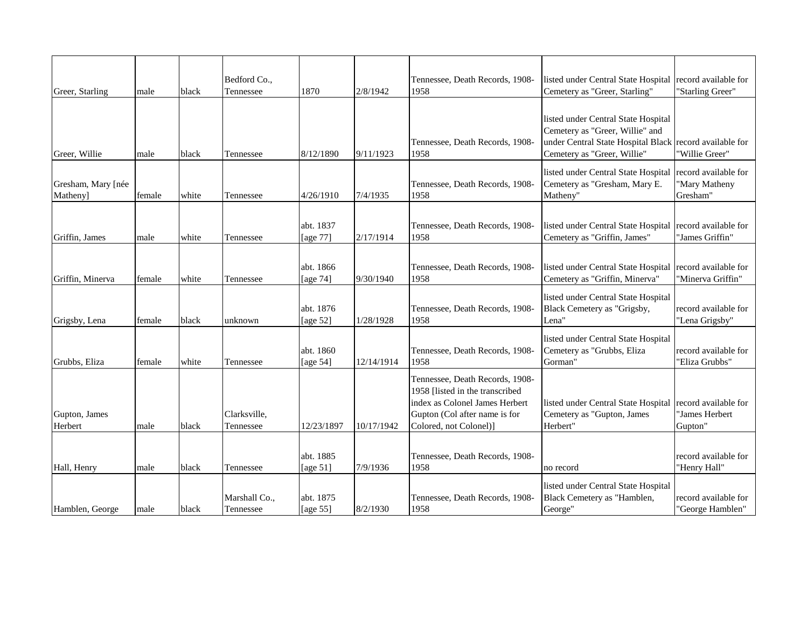| Greer, Starling                | male   | black | Bedford Co.,<br>Tennessee  | 1870                     | 2/8/1942   | Tennessee, Death Records, 1908-<br>1958                                                                                                                         | listed under Central State Hospital record available for<br>Cemetery as "Greer, Starling"                                                                        | "Starling Greer"                                  |
|--------------------------------|--------|-------|----------------------------|--------------------------|------------|-----------------------------------------------------------------------------------------------------------------------------------------------------------------|------------------------------------------------------------------------------------------------------------------------------------------------------------------|---------------------------------------------------|
| Greer, Willie                  | male   | black | Tennessee                  | 8/12/1890                | 9/11/1923  | Tennessee, Death Records, 1908-<br>1958                                                                                                                         | listed under Central State Hospital<br>Cemetery as "Greer, Willie" and<br>under Central State Hospital Black record available for<br>Cemetery as "Greer, Willie" | "Willie Greer"                                    |
| Gresham, Mary [née<br>Matheny] | female | white | Tennessee                  | 4/26/1910                | 7/4/1935   | Tennessee, Death Records, 1908-<br>1958                                                                                                                         | listed under Central State Hospital<br>Cemetery as "Gresham, Mary E.<br>Matheny"                                                                                 | record available for<br>'Mary Matheny<br>Gresham" |
| Griffin, James                 | male   | white | Tennessee                  | abt. 1837<br>[age 77]    | 2/17/1914  | Tennessee, Death Records, 1908-<br>1958                                                                                                                         | listed under Central State Hospital record available for<br>Cemetery as "Griffin, James"                                                                         | "James Griffin"                                   |
| Griffin, Minerva               | female | white | Tennessee                  | abt. 1866<br>[age 74]    | 9/30/1940  | Tennessee, Death Records, 1908-<br>1958                                                                                                                         | listed under Central State Hospital<br>Cemetery as "Griffin, Minerva"                                                                                            | record available for<br>"Minerva Griffin"         |
| Grigsby, Lena                  | female | black | unknown                    | abt. 1876<br>[age 52]    | 1/28/1928  | Tennessee, Death Records, 1908-<br>1958                                                                                                                         | listed under Central State Hospital<br>Black Cemetery as "Grigsby,<br>Lena"                                                                                      | record available for<br>"Lena Grigsby"            |
| Grubbs, Eliza                  | female | white | Tennessee                  | abt. 1860<br>[age 54]    | 12/14/1914 | Tennessee, Death Records, 1908-<br>1958                                                                                                                         | listed under Central State Hospital<br>Cemetery as "Grubbs, Eliza<br>Gorman"                                                                                     | record available for<br>'Eliza Grubbs'            |
| Gupton, James<br>Herbert       | male   | black | Clarksville,<br>Tennessee  | 12/23/1897               | 10/17/1942 | Tennessee, Death Records, 1908-<br>1958 [listed in the transcribed<br>index as Colonel James Herbert<br>Gupton (Col after name is for<br>Colored, not Colonel)] | listed under Central State Hospital record available for<br>Cemetery as "Gupton, James<br>Herbert"                                                               | "James Herbert<br>Gupton"                         |
| Hall, Henry                    | male   | black | Tennessee                  | abt. 1885<br>[age $51$ ] | 7/9/1936   | Tennessee, Death Records, 1908-<br>1958                                                                                                                         | no record                                                                                                                                                        | record available for<br>"Henry Hall"              |
| Hamblen, George                | male   | black | Marshall Co.,<br>Tennessee | abt. 1875<br>[age 55]    | 8/2/1930   | Tennessee, Death Records, 1908-<br>1958                                                                                                                         | listed under Central State Hospital<br>Black Cemetery as "Hamblen,<br>George"                                                                                    | record available for<br>"George Hamblen"          |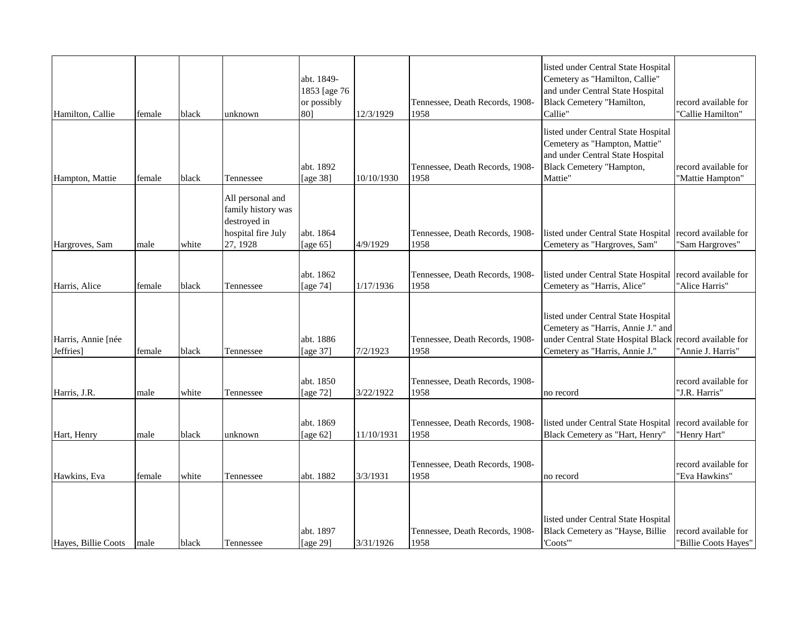| Hamilton, Callie                | female | black | unknown                                                                                  | abt. 1849-<br>1853 [age 76<br>or possibly<br>801 | 12/3/1929  | Tennessee, Death Records, 1908-<br>1958 | listed under Central State Hospital<br>Cemetery as "Hamilton, Callie"<br>and under Central State Hospital<br>Black Cemetery "Hamilton,<br>Callie" | record available for<br>"Callie Hamilton"    |
|---------------------------------|--------|-------|------------------------------------------------------------------------------------------|--------------------------------------------------|------------|-----------------------------------------|---------------------------------------------------------------------------------------------------------------------------------------------------|----------------------------------------------|
| Hampton, Mattie                 | female | black | Tennessee                                                                                | abt. 1892<br>[age 38]                            | 10/10/1930 | Tennessee, Death Records, 1908-<br>1958 | listed under Central State Hospital<br>Cemetery as "Hampton, Mattie"<br>and under Central State Hospital<br>Black Cemetery "Hampton,<br>Mattie"   | record available for<br>"Mattie Hampton"     |
| Hargroves, Sam                  | male   | white | All personal and<br>family history was<br>destroyed in<br>hospital fire July<br>27, 1928 | abt. 1864<br>[age $65$ ]                         | 4/9/1929   | Tennessee, Death Records, 1908-<br>1958 | listed under Central State Hospital<br>Cemetery as "Hargroves, Sam"                                                                               | record available for<br>"Sam Hargroves"      |
| Harris, Alice                   | female | black | Tennessee                                                                                | abt. 1862<br>[age 74]                            | 1/17/1936  | Tennessee, Death Records, 1908-<br>1958 | listed under Central State Hospital<br>Cemetery as "Harris, Alice"                                                                                | record available for<br>"Alice Harris"       |
| Harris, Annie [née<br>Jeffries] | female | black | Tennessee                                                                                | abt. 1886<br>[age 37]                            | 7/2/1923   | Tennessee, Death Records, 1908-<br>1958 | listed under Central State Hospital<br>Cemetery as "Harris, Annie J." and<br>under Central State Hospital Black<br>Cemetery as "Harris, Annie J." | record available for<br>"Annie J. Harris"    |
| Harris, J.R.                    | male   | white | Tennessee                                                                                | abt. 1850<br>[age 72]                            | 3/22/1922  | Tennessee, Death Records, 1908-<br>1958 | no record                                                                                                                                         | record available for<br>"J.R. Harris"        |
| Hart, Henry                     | male   | black | unknown                                                                                  | abt. 1869<br>[age $62$ ]                         | 11/10/1931 | Tennessee, Death Records, 1908-<br>1958 | listed under Central State Hospital<br>Black Cemetery as "Hart, Henry"                                                                            | record available for<br>"Henry Hart"         |
| Hawkins, Eva                    | female | white | Tennessee                                                                                | abt. 1882                                        | 3/3/1931   | Tennessee, Death Records, 1908-<br>1958 | no record                                                                                                                                         | record available for<br>"Eva Hawkins"        |
| Hayes, Billie Coots             | male   | black | Tennessee                                                                                | abt. 1897<br>[age 29]                            | 3/31/1926  | Tennessee, Death Records, 1908-<br>1958 | listed under Central State Hospital<br>Black Cemetery as "Hayse, Billie<br>'Coots'"                                                               | record available for<br>"Billie Coots Hayes" |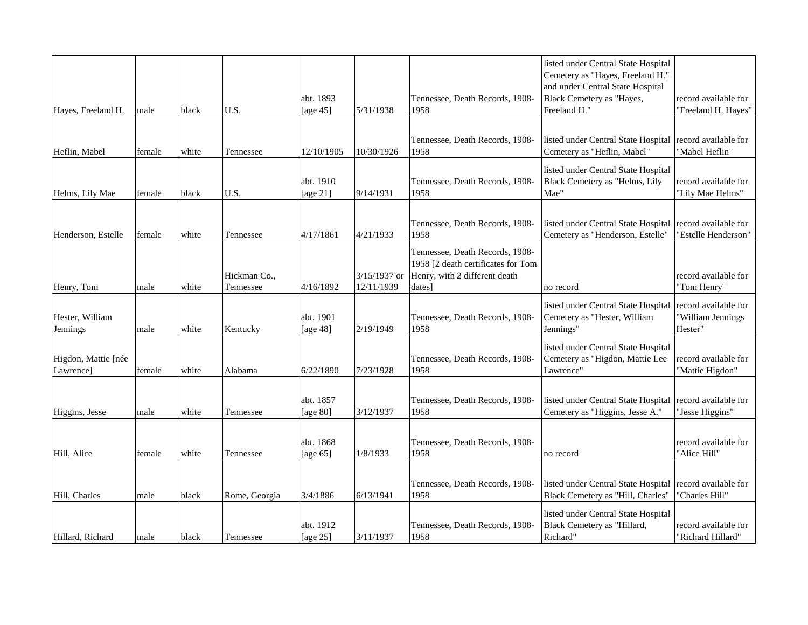| Hayes, Freeland H.               | male   | black | U.S.                      | abt. 1893<br>[age $45$ ] | 5/31/1938                  | Tennessee, Death Records, 1908-<br>1958                                                                          | listed under Central State Hospital<br>Cemetery as "Hayes, Freeland H."<br>and under Central State Hospital<br>Black Cemetery as "Hayes,<br>Freeland H." | record available for<br>"Freeland H. Hayes"          |
|----------------------------------|--------|-------|---------------------------|--------------------------|----------------------------|------------------------------------------------------------------------------------------------------------------|----------------------------------------------------------------------------------------------------------------------------------------------------------|------------------------------------------------------|
|                                  |        |       |                           |                          |                            |                                                                                                                  |                                                                                                                                                          |                                                      |
| Heflin, Mabel                    | female | white | Tennessee                 | 12/10/1905               | 10/30/1926                 | Tennessee, Death Records, 1908-<br>1958                                                                          | listed under Central State Hospital<br>Cemetery as "Heflin, Mabel"                                                                                       | record available for<br>"Mabel Heflin"               |
| Helms, Lily Mae                  | female | black | U.S.                      | abt. 1910<br>[age 21]    | 9/14/1931                  | Tennessee, Death Records, 1908-<br>1958                                                                          | listed under Central State Hospital<br>Black Cemetery as "Helms, Lily<br>Mae"                                                                            | record available for<br>"Lily Mae Helms"             |
|                                  |        |       |                           |                          |                            |                                                                                                                  |                                                                                                                                                          |                                                      |
| Henderson, Estelle               | female | white | Tennessee                 | 4/17/1861                | 4/21/1933                  | Tennessee, Death Records, 1908-<br>1958                                                                          | listed under Central State Hospital<br>Cemetery as "Henderson, Estelle"                                                                                  | record available for<br>"Estelle Henderson"          |
| Henry, Tom                       | male   | white | Hickman Co.,<br>Tennessee | 4/16/1892                | 3/15/1937 or<br>12/11/1939 | Tennessee, Death Records, 1908-<br>1958 [2 death certificates for Tom<br>Henry, with 2 different death<br>dates] | no record                                                                                                                                                | record available for<br>"Tom Henry"                  |
| Hester, William<br>Jennings      | male   | white | Kentucky                  | abt. 1901<br>[age 48]    | 2/19/1949                  | Tennessee, Death Records, 1908-<br>1958                                                                          | listed under Central State Hospital<br>Cemetery as "Hester, William<br>Jennings"                                                                         | record available for<br>'William Jennings<br>Hester" |
| Higdon, Mattie [née<br>Lawrence] | female | white | Alabama                   | 6/22/1890                | 7/23/1928                  | Tennessee, Death Records, 1908-<br>1958                                                                          | listed under Central State Hospital<br>Cemetery as "Higdon, Mattie Lee<br>Lawrence'                                                                      | record available for<br>"Mattie Higdon"              |
| Higgins, Jesse                   | male   | white | Tennessee                 | abt. 1857<br>[age 80]    | 3/12/1937                  | Tennessee, Death Records, 1908-<br>1958                                                                          | listed under Central State Hospital record available for<br>Cemetery as "Higgins, Jesse A."                                                              | "Jesse Higgins"                                      |
| Hill, Alice                      | female | white | Tennessee                 | abt. 1868<br>[age $65$ ] | 1/8/1933                   | Tennessee, Death Records, 1908-<br>1958                                                                          | no record                                                                                                                                                | record available for<br>"Alice Hill"                 |
| Hill, Charles                    | male   | black | Rome, Georgia             | 3/4/1886                 | 6/13/1941                  | Tennessee, Death Records, 1908-<br>1958                                                                          | listed under Central State Hospital<br>Black Cemetery as "Hill, Charles"                                                                                 | record available for<br>"Charles Hill"               |
| Hillard, Richard                 | male   | black | Tennessee                 | abt. 1912<br>[age 25]    | 3/11/1937                  | Tennessee, Death Records, 1908-<br>1958                                                                          | listed under Central State Hospital<br>Black Cemetery as "Hillard,<br>Richard"                                                                           | record available for<br>"Richard Hillard"            |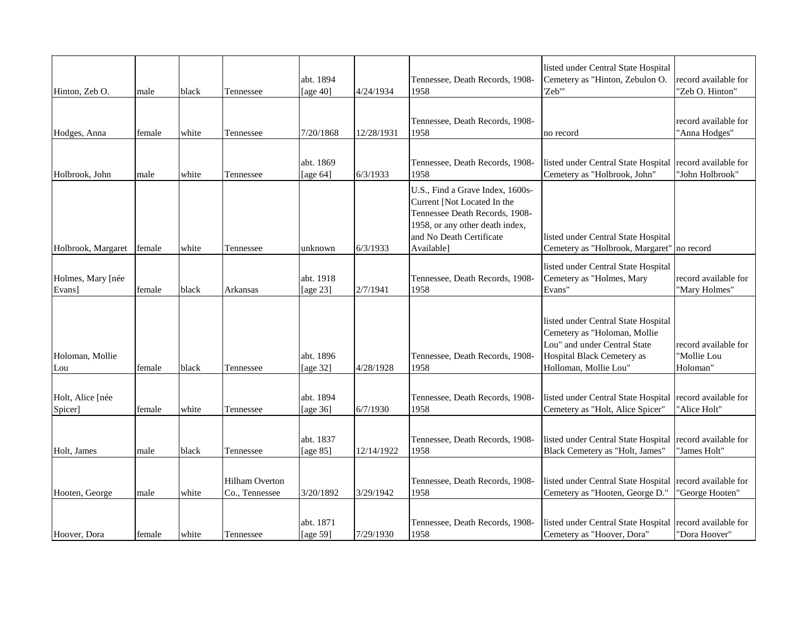| Hinton, Zeb O.              | male   | black | Tennessee                               | abt. 1894<br>[age $40$ ] | 4/24/1934  | Tennessee, Death Records, 1908-<br>1958                                                                                                                                        | listed under Central State Hospital<br>Cemetery as "Hinton, Zebulon O.<br>"Zeb"                                                                                   | record available for<br>"Zeb O. Hinton"         |
|-----------------------------|--------|-------|-----------------------------------------|--------------------------|------------|--------------------------------------------------------------------------------------------------------------------------------------------------------------------------------|-------------------------------------------------------------------------------------------------------------------------------------------------------------------|-------------------------------------------------|
| Hodges, Anna                | female | white | Tennessee                               | 7/20/1868                | 12/28/1931 | Tennessee, Death Records, 1908-<br>1958                                                                                                                                        | no record                                                                                                                                                         | record available for<br>"Anna Hodges"           |
| Holbrook, John              | male   | white | Tennessee                               | abt. 1869<br>[age $64$ ] | 6/3/1933   | Tennessee, Death Records, 1908-<br>1958                                                                                                                                        | listed under Central State Hospital<br>Cemetery as "Holbrook, John"                                                                                               | record available for<br>"John Holbrook"         |
| Holbrook, Margaret          | female | white | Tennessee                               | unknown                  | 6/3/1933   | U.S., Find a Grave Index, 1600s-<br>Current [Not Located In the<br>Tennessee Death Records, 1908-<br>1958, or any other death index,<br>and No Death Certificate<br>Available] | listed under Central State Hospital<br>Cemetery as "Holbrook, Margaret" no record                                                                                 |                                                 |
| Holmes, Mary [née<br>Evans] | female | black | Arkansas                                | abt. 1918<br>[age 23]    | 2/7/1941   | Tennessee, Death Records, 1908-<br>1958                                                                                                                                        | listed under Central State Hospital<br>Cemetery as "Holmes, Mary<br>Evans"                                                                                        | record available for<br>"Mary Holmes"           |
| Holoman, Mollie<br>Lou      | female | black | Tennessee                               | abt. 1896<br>[age 32]    | 4/28/1928  | Tennessee, Death Records, 1908-<br>1958                                                                                                                                        | listed under Central State Hospital<br>Cemetery as "Holoman, Mollie<br>Lou" and under Central State<br><b>Hospital Black Cemetery as</b><br>Holloman, Mollie Lou" | record available for<br>"Mollie Lou<br>Holoman" |
| Holt, Alice [née<br>Spicer] | female | white | Tennessee                               | abt. 1894<br>[age 36]    | 6/7/1930   | Tennessee, Death Records, 1908-<br>1958                                                                                                                                        | listed under Central State Hospital record available for<br>Cemetery as "Holt, Alice Spicer"                                                                      | "Alice Holt"                                    |
| Holt, James                 | male   | black | Tennessee                               | abt. 1837<br>[age 85]    | 12/14/1922 | Tennessee, Death Records, 1908-<br>1958                                                                                                                                        | listed under Central State Hospital<br>Black Cemetery as "Holt, James"                                                                                            | record available for<br>"James Holt"            |
| Hooten, George              | male   | white | <b>Hilham Overton</b><br>Co., Tennessee | 3/20/1892                | 3/29/1942  | Tennessee, Death Records, 1908-<br>1958                                                                                                                                        | listed under Central State Hospital<br>Cemetery as "Hooten, George D."                                                                                            | record available for<br>"George Hooten"         |
| Hoover, Dora                | female | white | Tennessee                               | abt. 1871<br>[age 59]    | 7/29/1930  | Tennessee, Death Records, 1908-<br>1958                                                                                                                                        | listed under Central State Hospital record available for<br>Cemetery as "Hoover, Dora"                                                                            | "Dora Hoover"                                   |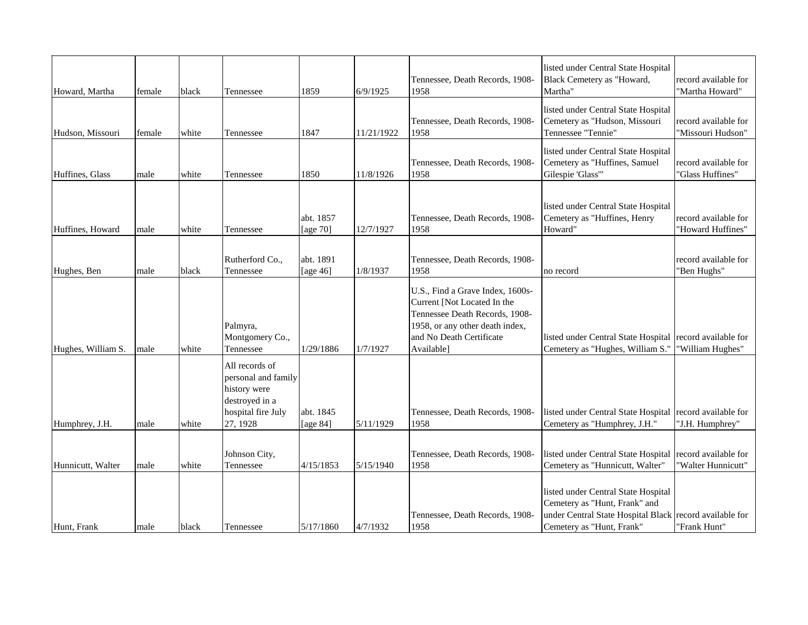| Howard, Martha     | female | black | Tennessee                                                                                                 | 1859                     | 6/9/1925   | Tennessee, Death Records, 1908-<br>1958                                                                                                                                        | listed under Central State Hospital<br>Black Cemetery as "Howard,<br>Martha"                                                                                 | record available for<br>"Martha Howard"    |
|--------------------|--------|-------|-----------------------------------------------------------------------------------------------------------|--------------------------|------------|--------------------------------------------------------------------------------------------------------------------------------------------------------------------------------|--------------------------------------------------------------------------------------------------------------------------------------------------------------|--------------------------------------------|
| Hudson, Missouri   | female | white | Tennessee                                                                                                 | 1847                     | 11/21/1922 | Tennessee, Death Records, 1908-<br>1958                                                                                                                                        | listed under Central State Hospital<br>Cemetery as "Hudson, Missouri<br>Tennessee "Tennie"                                                                   | record available for<br>"Missouri Hudson"  |
| Huffines, Glass    | male   | white | Tennessee                                                                                                 | 1850                     | 11/8/1926  | Tennessee, Death Records, 1908-<br>1958                                                                                                                                        | listed under Central State Hospital<br>Cemetery as "Huffines, Samuel<br>Gilespie 'Glass'"                                                                    | record available for<br>'Glass Huffines"   |
| Huffines, Howard   | male   | white | Tennessee                                                                                                 | abt. 1857<br>[age 70]    | 12/7/1927  | Tennessee, Death Records, 1908-<br>1958                                                                                                                                        | listed under Central State Hospital<br>Cemetery as "Huffines, Henry<br>Howard"                                                                               | record available for<br>"Howard Huffines"  |
| Hughes, Ben        | male   | black | Rutherford Co.,<br>Tennessee                                                                              | abt. 1891<br>[age $46$ ] | 1/8/1937   | Tennessee, Death Records, 1908-<br>1958                                                                                                                                        | no record                                                                                                                                                    | record available for<br>"Ben Hughs"        |
| Hughes, William S. | male   | white | Palmyra,<br>Montgomery Co.,<br>Tennessee                                                                  | 1/29/1886                | 1/7/1927   | U.S., Find a Grave Index, 1600s-<br>Current [Not Located In the<br>Tennessee Death Records, 1908-<br>1958, or any other death index,<br>and No Death Certificate<br>Available] | listed under Central State Hospital<br>Cemetery as "Hughes, William S."                                                                                      | record available for<br>'William Hughes"   |
| Humphrey, J.H.     | male   | white | All records of<br>personal and family<br>history were<br>destroyed in a<br>hospital fire July<br>27, 1928 | abt. 1845<br>[age 84]    | 5/11/1929  | Tennessee, Death Records, 1908-<br>1958                                                                                                                                        | listed under Central State Hospital<br>Cemetery as "Humphrey, J.H."                                                                                          | record available for<br>"J.H. Humphrey"    |
| Hunnicutt, Walter  | male   | white | Johnson City,<br>Tennessee                                                                                | 4/15/1853                | 5/15/1940  | Tennessee, Death Records, 1908-<br>1958                                                                                                                                        | listed under Central State Hospital<br>Cemetery as "Hunnicutt, Walter"                                                                                       | record available for<br>'Walter Hunnicutt" |
| Hunt, Frank        | male   | black | Tennessee                                                                                                 | 5/17/1860                | 4/7/1932   | Tennessee, Death Records, 1908-<br>1958                                                                                                                                        | listed under Central State Hospital<br>Cemetery as "Hunt, Frank" and<br>under Central State Hospital Black record available for<br>Cemetery as "Hunt, Frank" | "Frank Hunt"                               |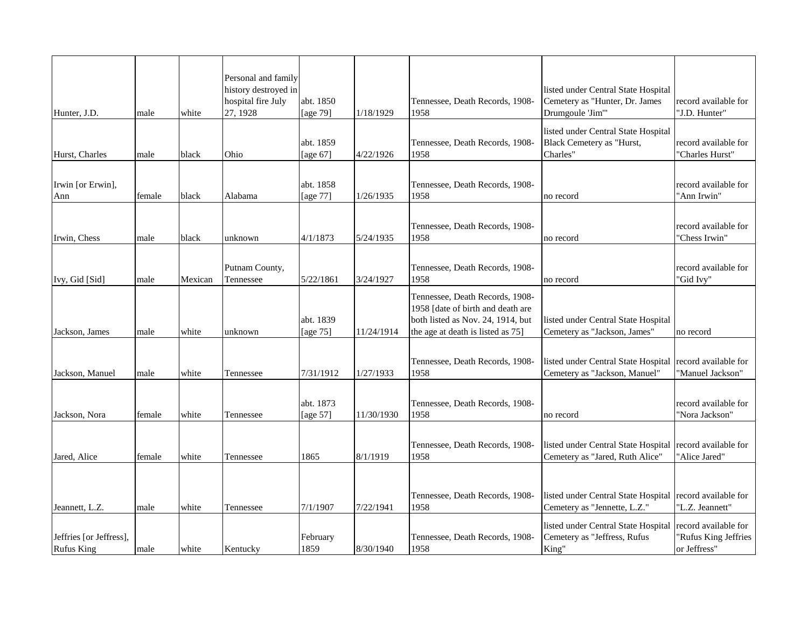|                         |        |         | Personal and family                        |                       |            |                                         |                                                                       |                                        |
|-------------------------|--------|---------|--------------------------------------------|-----------------------|------------|-----------------------------------------|-----------------------------------------------------------------------|----------------------------------------|
|                         |        |         | history destroyed in<br>hospital fire July | abt. 1850             |            | Tennessee, Death Records, 1908-         | listed under Central State Hospital<br>Cemetery as "Hunter, Dr. James | record available for                   |
| Hunter, J.D.            | male   | white   | 27, 1928                                   | [age 79]              | 1/18/1929  | 1958                                    | Drumgoule 'Jim'"                                                      | "J.D. Hunter"                          |
|                         |        |         |                                            |                       |            |                                         | listed under Central State Hospital                                   |                                        |
|                         |        |         |                                            | abt. 1859             |            | Tennessee, Death Records, 1908-         | Black Cemetery as "Hurst,                                             | record available for                   |
| Hurst, Charles          | male   | black   | Ohio                                       | [age 67]              | 4/22/1926  | 1958                                    | Charles"                                                              | "Charles Hurst"                        |
|                         |        |         |                                            |                       |            |                                         |                                                                       |                                        |
| Irwin [or Erwin],       |        |         |                                            | abt. 1858             |            | Tennessee, Death Records, 1908-         |                                                                       | record available for                   |
| Ann                     | female | black   | Alabama                                    | [age 77]              | 1/26/1935  | 1958                                    | no record                                                             | "Ann Irwin"                            |
|                         |        |         |                                            |                       |            |                                         |                                                                       |                                        |
| Irwin, Chess            |        | black   |                                            |                       |            | Tennessee, Death Records, 1908-<br>1958 |                                                                       | record available for<br>"Chess Irwin"  |
|                         | male   |         | unknown                                    | 4/1/1873              | 5/24/1935  |                                         | no record                                                             |                                        |
|                         |        |         |                                            |                       |            | Tennessee, Death Records, 1908-         |                                                                       |                                        |
| Ivy, Gid [Sid]          | male   | Mexican | Putnam County,<br>Tennessee                | 5/22/1861             | 3/24/1927  | 1958                                    | no record                                                             | record available for<br>'Gid Ivy"      |
|                         |        |         |                                            |                       |            | Tennessee, Death Records, 1908-         |                                                                       |                                        |
|                         |        |         |                                            |                       |            | 1958 [date of birth and death are       |                                                                       |                                        |
|                         |        |         |                                            | abt. 1839             |            | both listed as Nov. 24, 1914, but       | listed under Central State Hospital                                   |                                        |
| Jackson, James          | male   | white   | unknown                                    | [age 75]              | 11/24/1914 | the age at death is listed as 75]       | Cemetery as "Jackson, James"                                          | no record                              |
|                         |        |         |                                            |                       |            |                                         |                                                                       |                                        |
|                         |        |         |                                            |                       |            | Tennessee, Death Records, 1908-         | listed under Central State Hospital record available for              |                                        |
| Jackson, Manuel         | male   | white   | Tennessee                                  | 7/31/1912             | 1/27/1933  | 1958                                    | Cemetery as "Jackson, Manuel"                                         | "Manuel Jackson"                       |
|                         |        |         |                                            |                       |            |                                         |                                                                       |                                        |
| Jackson, Nora           | female | white   | Tennessee                                  | abt. 1873<br>[age 57] | 11/30/1930 | Tennessee, Death Records, 1908-<br>1958 | no record                                                             | record available for<br>'Nora Jackson" |
|                         |        |         |                                            |                       |            |                                         |                                                                       |                                        |
|                         |        |         |                                            |                       |            | Tennessee, Death Records, 1908-         | listed under Central State Hospital                                   | record available for                   |
| Jared, Alice            | female | white   | Tennessee                                  | 1865                  | 8/1/1919   | 1958                                    | Cemetery as "Jared, Ruth Alice"                                       | "Alice Jared"                          |
|                         |        |         |                                            |                       |            |                                         |                                                                       |                                        |
|                         |        |         |                                            |                       |            |                                         |                                                                       |                                        |
|                         |        |         |                                            |                       |            | Tennessee, Death Records, 1908-         | listed under Central State Hospital record available for              |                                        |
| Jeannett, L.Z.          | male   | white   | Tennessee                                  | 7/1/1907              | 7/22/1941  | 1958                                    | Cemetery as "Jennette, L.Z."                                          | "L.Z. Jeannett"                        |
|                         |        |         |                                            |                       |            |                                         | listed under Central State Hospital                                   | record available for                   |
| Jeffries [or Jeffress], |        |         |                                            | February              |            | Tennessee, Death Records, 1908-         | Cemetery as "Jeffress, Rufus                                          | 'Rufus King Jeffries                   |
| <b>Rufus King</b>       | male   | white   | Kentucky                                   | 1859                  | 8/30/1940  | 1958                                    | King"                                                                 | or Jeffress"                           |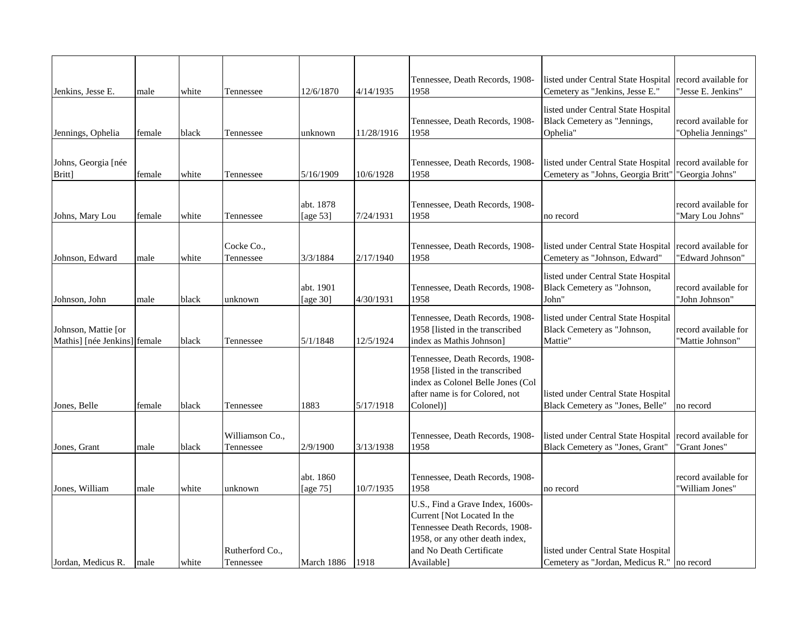| Jenkins, Jesse E.                                   | male   | white | Tennessee                    | 12/6/1870             | 4/14/1935  | Tennessee, Death Records, 1908-<br>1958                                                                                                                                        | listed under Central State Hospital<br>Cemetery as "Jenkins, Jesse E."            | record available for<br>'Jesse E. Jenkins" |
|-----------------------------------------------------|--------|-------|------------------------------|-----------------------|------------|--------------------------------------------------------------------------------------------------------------------------------------------------------------------------------|-----------------------------------------------------------------------------------|--------------------------------------------|
| Jennings, Ophelia                                   | female | black | Tennessee                    | unknown               | 11/28/1916 | Tennessee, Death Records, 1908-<br>1958                                                                                                                                        | listed under Central State Hospital<br>Black Cemetery as "Jennings,<br>Ophelia"   | record available for<br>"Ophelia Jennings" |
|                                                     |        |       |                              |                       |            |                                                                                                                                                                                |                                                                                   |                                            |
| Johns, Georgia [née<br>Britt]                       | female | white | Tennessee                    | 5/16/1909             | 10/6/1928  | Tennessee, Death Records, 1908-<br>1958                                                                                                                                        | listed under Central State Hospital<br>Cemetery as "Johns, Georgia Britt"         | record available for<br>"Georgia Johns"    |
| Johns, Mary Lou                                     | female | white | Tennessee                    | abt. 1878<br>[age 53] | 7/24/1931  | Tennessee, Death Records, 1908-<br>1958                                                                                                                                        | no record                                                                         | record available for<br>"Mary Lou Johns"   |
|                                                     |        |       |                              |                       |            |                                                                                                                                                                                |                                                                                   |                                            |
| Johnson, Edward                                     | male   | white | Cocke Co.,<br>Tennessee      | 3/3/1884              | 2/17/1940  | Tennessee, Death Records, 1908-<br>1958                                                                                                                                        | listed under Central State Hospital<br>Cemetery as "Johnson, Edward"              | record available for<br>"Edward Johnson"   |
| Johnson, John                                       | male   | black | unknown                      | abt. 1901<br>[age 30] | 4/30/1931  | Tennessee, Death Records, 1908-<br>1958                                                                                                                                        | listed under Central State Hospital<br>Black Cemetery as "Johnson,<br>John"       | record available for<br>"John Johnson"     |
| Johnson, Mattie [or<br>Mathis] [née Jenkins] female |        | black | Tennessee                    | 5/1/1848              | 12/5/1924  | Tennessee, Death Records, 1908-<br>1958 [listed in the transcribed<br>index as Mathis Johnson]                                                                                 | listed under Central State Hospital<br>Black Cemetery as "Johnson,<br>Mattie"     | record available for<br>'Mattie Johnson'   |
| Jones, Belle                                        | female | black | Tennessee                    | 1883                  | 5/17/1918  | Tennessee, Death Records, 1908-<br>1958 [listed in the transcribed<br>index as Colonel Belle Jones (Col<br>after name is for Colored, not<br>Colonel)                          | listed under Central State Hospital<br>Black Cemetery as "Jones, Belle"           | no record                                  |
|                                                     |        |       |                              |                       |            |                                                                                                                                                                                |                                                                                   |                                            |
| Jones, Grant                                        | male   | black | Williamson Co.,<br>Tennessee | 2/9/1900              | 3/13/1938  | Tennessee, Death Records, 1908-<br>1958                                                                                                                                        | listed under Central State Hospital<br>Black Cemetery as "Jones, Grant"           | record available for<br>'Grant Jones"      |
| Jones, William                                      | male   | white | unknown                      | abt. 1860<br>[age 75] | 10/7/1935  | Tennessee, Death Records, 1908-<br>1958                                                                                                                                        | no record                                                                         | record available for<br>'William Jones''   |
| Jordan, Medicus R.                                  | male   | white | Rutherford Co.,<br>Tennessee | March 1886            | 1918       | U.S., Find a Grave Index, 1600s-<br>Current [Not Located In the<br>Tennessee Death Records, 1908-<br>1958, or any other death index,<br>and No Death Certificate<br>Available] | listed under Central State Hospital<br>Cemetery as "Jordan, Medicus R." no record |                                            |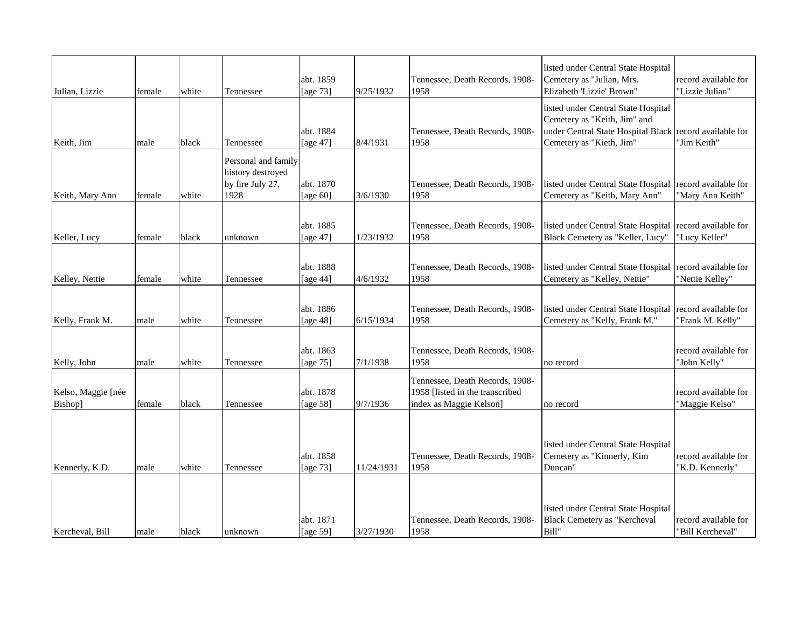| Julian, Lizzie                | female | white | Tennessee                                                            | abt. 1859<br>[age 73]    | 9/25/1932  | Tennessee, Death Records, 1908-<br>1958                                                       | listed under Central State Hospital<br>Cemetery as "Julian, Mrs.<br>Elizabeth 'Lizzie' Brown"                                                              | record available for<br>"Lizzie Julian"  |
|-------------------------------|--------|-------|----------------------------------------------------------------------|--------------------------|------------|-----------------------------------------------------------------------------------------------|------------------------------------------------------------------------------------------------------------------------------------------------------------|------------------------------------------|
| Keith, Jim                    | male   | black | Tennessee                                                            | abt. 1884<br>[age 47]    | 8/4/1931   | Tennessee, Death Records, 1908-<br>1958                                                       | listed under Central State Hospital<br>Cemetery as "Keith, Jim" and<br>under Central State Hospital Black record available for<br>Cemetery as "Kieth, Jim" | "Jim Keith"                              |
| Keith, Mary Ann               | female | white | Personal and family<br>history destroyed<br>by fire July 27,<br>1928 | abt. 1870<br>[age 60]    | 3/6/1930   | Tennessee, Death Records, 1908-<br>1958                                                       | listed under Central State Hospital record available for<br>Cemetery as "Keith, Mary Ann"                                                                  | "Mary Ann Keith"                         |
| Keller, Lucy                  | female | black | unknown                                                              | abt. 1885<br>[age 47]    | 1/23/1932  | Tennessee, Death Records, 1908-<br>1958                                                       | listed under Central State Hospital<br>Black Cemetery as "Keller, Lucy"                                                                                    | record available for<br>"Lucy Keller"    |
| Kelley, Nettie                | female | white | Tennessee                                                            | abt. 1888<br>[age 44]    | 4/6/1932   | Tennessee, Death Records, 1908-<br>1958                                                       | listed under Central State Hospital<br>Cemetery as "Kelley, Nettie"                                                                                        | record available for<br>"Nettie Kelley"  |
| Kelly, Frank M.               | male   | white | Tennessee                                                            | abt. 1886<br>[age 48]    | 6/15/1934  | Tennessee, Death Records, 1908-<br>1958                                                       | listed under Central State Hospital<br>Cemetery as "Kelly, Frank M."                                                                                       | record available for<br>'Frank M. Kelly" |
| Kelly, John                   | male   | white | Tennessee                                                            | abt. 1863<br>[age $75$ ] | 7/1/1938   | Tennessee, Death Records, 1908-<br>1958                                                       | no record                                                                                                                                                  | record available for<br>"John Kelly"     |
| Kelso, Maggie [née<br>Bishop] | female | black | Tennessee                                                            | abt. 1878<br>[age 58]    | 9/7/1936   | Tennessee, Death Records, 1908-<br>1958 [listed in the transcribed<br>index as Maggie Kelson] | no record                                                                                                                                                  | record available for<br>"Maggie Kelso"   |
| Kennerly, K.D.                | male   | white | Tennessee                                                            | abt. 1858<br>[age 73]    | 11/24/1931 | Tennessee, Death Records, 1908-<br>1958                                                       | listed under Central State Hospital<br>Cemetery as "Kinnerly, Kim<br>Duncan"                                                                               | record available for<br>'K.D. Kennerly"  |
| Kercheval, Bill               | male   | black | unknown                                                              | abt. 1871<br>[age 59]    | 3/27/1930  | Tennessee, Death Records, 1908-<br>1958                                                       | listed under Central State Hospital<br>Black Cemetery as "Kercheval<br>Bill"                                                                               | record available for<br>'Bill Kercheval" |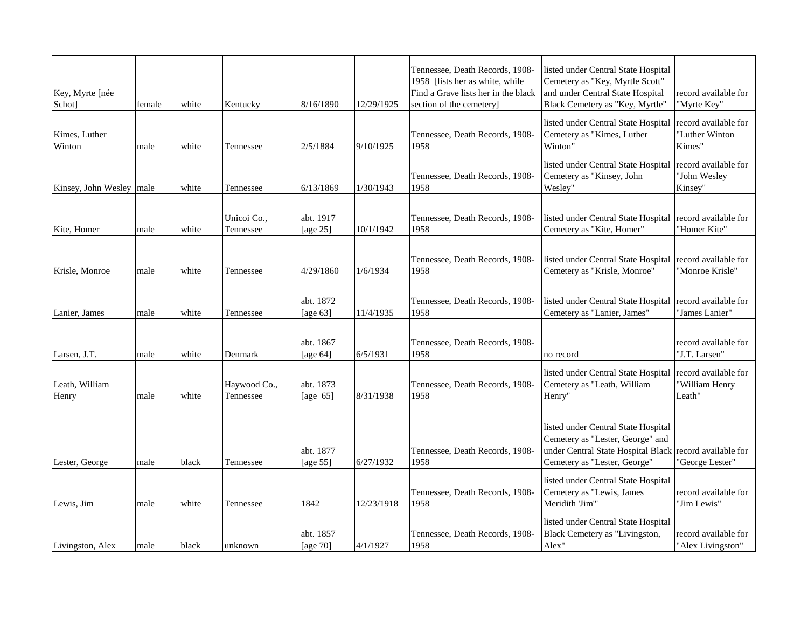| Key, Myrte [née<br>Schot]  | female | white | Kentucky                  | 8/16/1890                | 12/29/1925 | Tennessee, Death Records, 1908-<br>1958 [lists her as white, while<br>Find a Grave lists her in the black<br>section of the cemetery | listed under Central State Hospital<br>Cemetery as "Key, Myrtle Scott"<br>and under Central State Hospital<br>Black Cemetery as "Key, Myrtle"                      | record available for<br>"Myrte Key"              |
|----------------------------|--------|-------|---------------------------|--------------------------|------------|--------------------------------------------------------------------------------------------------------------------------------------|--------------------------------------------------------------------------------------------------------------------------------------------------------------------|--------------------------------------------------|
| Kimes, Luther<br>Winton    | male   | white | Tennessee                 | 2/5/1884                 | 9/10/1925  | Tennessee, Death Records, 1908-<br>1958                                                                                              | listed under Central State Hospital<br>Cemetery as "Kimes, Luther<br>Winton"                                                                                       | record available for<br>"Luther Winton<br>Kimes" |
| Kinsey, John Wesley   male |        | white | Tennessee                 | 6/13/1869                | 1/30/1943  | Tennessee, Death Records, 1908-<br>1958                                                                                              | listed under Central State Hospital<br>Cemetery as "Kinsey, John<br>Wesley"                                                                                        | record available for<br>"John Wesley<br>Kinsey"  |
| Kite, Homer                | male   | white | Unicoi Co.,<br>Tennessee  | abt. 1917<br>[age $25$ ] | 10/1/1942  | Tennessee, Death Records, 1908-<br>1958                                                                                              | listed under Central State Hospital<br>Cemetery as "Kite, Homer"                                                                                                   | record available for<br>"Homer Kite"             |
| Krisle, Monroe             | male   | white | Tennessee                 | 4/29/1860                | 1/6/1934   | Tennessee, Death Records, 1908-<br>1958                                                                                              | listed under Central State Hospital record available for<br>Cemetery as "Krisle, Monroe"                                                                           | "Monroe Krisle"                                  |
| Lanier, James              | male   | white | Tennessee                 | abt. 1872<br>[age $63$ ] | 11/4/1935  | Tennessee, Death Records, 1908-<br>1958                                                                                              | listed under Central State Hospital record available for<br>Cemetery as "Lanier, James"                                                                            | "James Lanier"                                   |
| Larsen, J.T.               | male   | white | Denmark                   | abt. 1867<br>[age $64$ ] | 6/5/1931   | Tennessee, Death Records, 1908-<br>1958                                                                                              | no record                                                                                                                                                          | record available for<br>"J.T. Larsen"            |
| Leath, William<br>Henry    | male   | white | Haywood Co.,<br>Tennessee | abt. 1873<br>[age $65$ ] | 8/31/1938  | Tennessee, Death Records, 1908-<br>1958                                                                                              | listed under Central State Hospital<br>Cemetery as "Leath, William<br>Henry"                                                                                       | record available for<br>"William Henry<br>Leath" |
| Lester, George             | male   | black | Tennessee                 | abt. 1877<br>[age 55]    | 6/27/1932  | Tennessee, Death Records, 1908-<br>1958                                                                                              | listed under Central State Hospital<br>Cemetery as "Lester, George" and<br>under Central State Hospital Black record available for<br>Cemetery as "Lester, George" | "George Lester"                                  |
| Lewis, Jim                 | male   | white | Tennessee                 | 1842                     | 12/23/1918 | Tennessee, Death Records, 1908-<br>1958                                                                                              | listed under Central State Hospital<br>Cemetery as "Lewis, James<br>Meridith 'Jim'"                                                                                | record available for<br>"Jim Lewis"              |
| Livingston, Alex           | male   | black | unknown                   | abt. 1857<br>[age $70$ ] | 4/1/1927   | Tennessee, Death Records, 1908-<br>1958                                                                                              | listed under Central State Hospital<br>Black Cemetery as "Livingston,<br>Alex"                                                                                     | record available for<br>"Alex Livingston"        |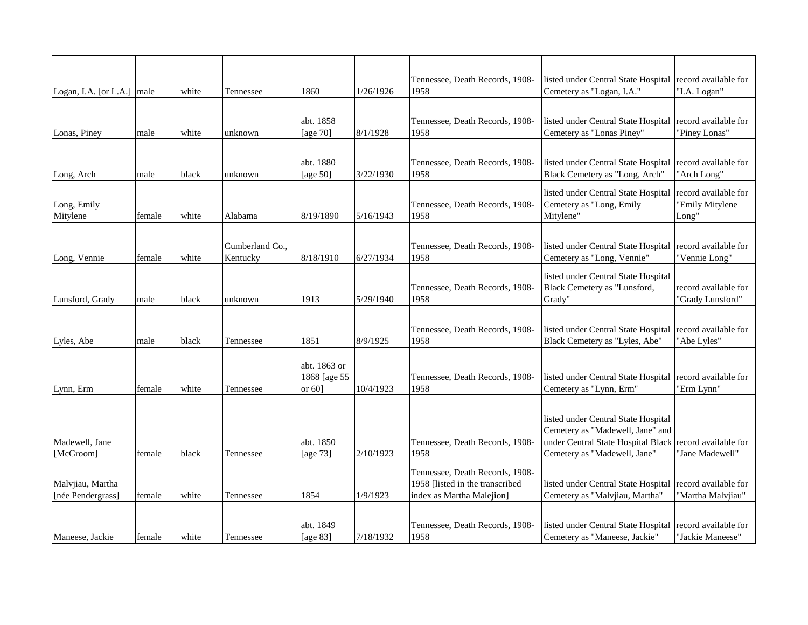|                            |        |       |                             |                          |           | Tennessee, Death Records, 1908-         | listed under Central State Hospital record available for              |                                          |
|----------------------------|--------|-------|-----------------------------|--------------------------|-----------|-----------------------------------------|-----------------------------------------------------------------------|------------------------------------------|
| Logan, I.A. [or L.A.] male |        | white | Tennessee                   | 1860                     | 1/26/1926 | 1958                                    | Cemetery as "Logan, I.A."                                             | "I.A. Logan"                             |
|                            |        |       |                             |                          |           |                                         |                                                                       |                                          |
| Lonas, Piney               |        |       |                             | abt. 1858<br>[age 70]    | 8/1/1928  | Tennessee, Death Records, 1908-<br>1958 | listed under Central State Hospital<br>Cemetery as "Lonas Piney"      | record available for<br>"Piney Lonas"    |
|                            | male   | white | unknown                     |                          |           |                                         |                                                                       |                                          |
|                            |        |       |                             |                          |           |                                         |                                                                       |                                          |
|                            | male   | black | unknown                     | abt. 1880<br>[age $50$ ] | 3/22/1930 | Tennessee, Death Records, 1908-<br>1958 | listed under Central State Hospital<br>Black Cemetery as "Long, Arch" | record available for<br>"Arch Long"      |
| Long, Arch                 |        |       |                             |                          |           |                                         |                                                                       |                                          |
|                            |        |       |                             |                          |           |                                         | listed under Central State Hospital                                   | record available for                     |
| Long, Emily<br>Mitylene    | female | white | Alabama                     | 8/19/1890                | 5/16/1943 | Tennessee, Death Records, 1908-<br>1958 | Cemetery as "Long, Emily<br>Mitylene"                                 | "Emily Mitylene<br>Long"                 |
|                            |        |       |                             |                          |           |                                         |                                                                       |                                          |
|                            |        |       |                             |                          |           |                                         |                                                                       |                                          |
| Long, Vennie               | female | white | Cumberland Co.,<br>Kentucky | 8/18/1910                | 6/27/1934 | Tennessee, Death Records, 1908-<br>1958 | listed under Central State Hospital<br>Cemetery as "Long, Vennie"     | record available for<br>"Vennie Long"    |
|                            |        |       |                             |                          |           |                                         |                                                                       |                                          |
|                            |        |       |                             |                          |           |                                         | listed under Central State Hospital                                   |                                          |
| Lunsford, Grady            |        | black | unknown                     | 1913                     | 5/29/1940 | Tennessee, Death Records, 1908-<br>1958 | Black Cemetery as "Lunsford,<br>Grady"                                | record available for<br>"Grady Lunsford" |
|                            | male   |       |                             |                          |           |                                         |                                                                       |                                          |
|                            |        |       |                             |                          |           |                                         |                                                                       |                                          |
| Lyles, Abe                 | male   | black | Tennessee                   | 1851                     | 8/9/1925  | Tennessee, Death Records, 1908-<br>1958 | listed under Central State Hospital<br>Black Cemetery as "Lyles, Abe" | record available for<br>"Abe Lyles"      |
|                            |        |       |                             |                          |           |                                         |                                                                       |                                          |
|                            |        |       |                             | abt. 1863 or             |           |                                         |                                                                       |                                          |
|                            |        |       |                             | 1868 [age 55             |           | Tennessee, Death Records, 1908-         | listed under Central State Hospital record available for              |                                          |
| Lynn, Erm                  | female | white | Tennessee                   | or $60$ ]                | 10/4/1923 | 1958                                    | Cemetery as "Lynn, Erm"                                               | 'Erm Lynn"                               |
|                            |        |       |                             |                          |           |                                         |                                                                       |                                          |
|                            |        |       |                             |                          |           |                                         | listed under Central State Hospital                                   |                                          |
|                            |        |       |                             |                          |           |                                         | Cemetery as "Madewell, Jane" and                                      |                                          |
| Madewell, Jane             |        |       |                             | abt. 1850                |           | Tennessee, Death Records, 1908-         | under Central State Hospital Black                                    | record available for                     |
| [McGroom]                  | female | black | Tennessee                   | [age 73]                 | 2/10/1923 | 1958                                    | Cemetery as "Madewell, Jane"                                          | "Jane Madewell"                          |
|                            |        |       |                             |                          |           | Tennessee, Death Records, 1908-         |                                                                       |                                          |
| Malvjiau, Martha           |        |       |                             |                          |           | 1958 [listed in the transcribed         | listed under Central State Hospital                                   | record available for                     |
| [née Pendergrass]          | female | white | Tennessee                   | 1854                     | 1/9/1923  | index as Martha Malejion]               | Cemetery as "Malvjiau, Martha"                                        | "Martha Malvjiau"                        |
|                            |        |       |                             |                          |           |                                         |                                                                       |                                          |
|                            |        |       |                             | abt. 1849                |           | Tennessee, Death Records, 1908-         | listed under Central State Hospital record available for              |                                          |
| Maneese, Jackie            | female | white | Tennessee                   | [age 83]                 | 7/18/1932 | 1958                                    | Cemetery as "Maneese, Jackie"                                         | "Jackie Maneese"                         |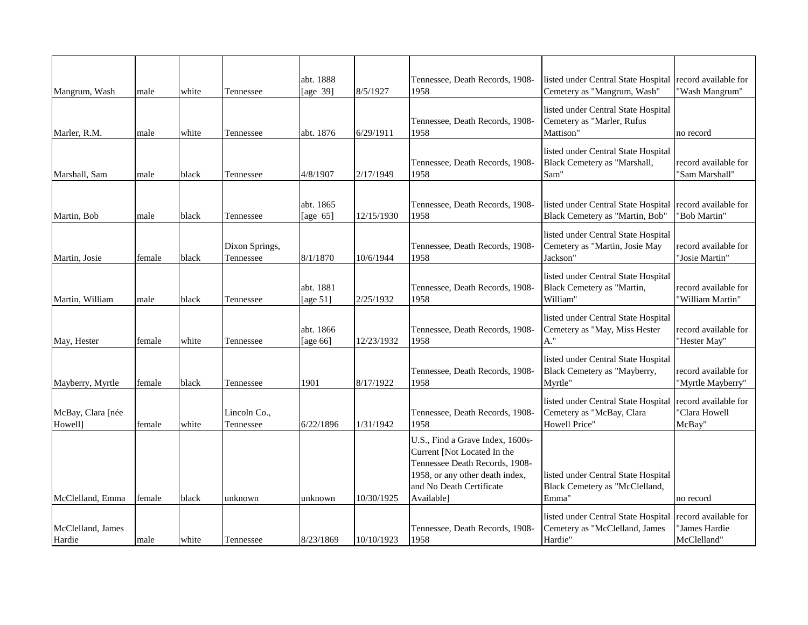| Mangrum, Wash                | male   | white | Tennessee                   | abt. 1888<br>[age 39]    | 8/5/1927   | Tennessee, Death Records, 1908-<br>1958                                                                                                                                        | listed under Central State Hospital record available for<br>Cemetery as "Mangrum, Wash" | "Wash Mangrum"                                       |
|------------------------------|--------|-------|-----------------------------|--------------------------|------------|--------------------------------------------------------------------------------------------------------------------------------------------------------------------------------|-----------------------------------------------------------------------------------------|------------------------------------------------------|
| Marler, R.M.                 | male   | white | Tennessee                   | abt. 1876                | 6/29/1911  | Tennessee, Death Records, 1908-<br>1958                                                                                                                                        | listed under Central State Hospital<br>Cemetery as "Marler, Rufus<br>Mattison"          | no record                                            |
| Marshall, Sam                | male   | black | Tennessee                   | 4/8/1907                 | 2/17/1949  | Tennessee, Death Records, 1908-<br>1958                                                                                                                                        | listed under Central State Hospital<br>Black Cemetery as "Marshall,<br>Sam"             | record available for<br>'Sam Marshall'               |
| Martin, Bob                  | male   | black | Tennessee                   | abt. 1865<br>[age $65$ ] | 12/15/1930 | Tennessee, Death Records, 1908-<br>1958                                                                                                                                        | listed under Central State Hospital<br>Black Cemetery as "Martin, Bob"                  | record available for<br>"Bob Martin"                 |
| Martin, Josie                | female | black | Dixon Springs,<br>Tennessee | 8/1/1870                 | 10/6/1944  | Tennessee, Death Records, 1908-<br>1958                                                                                                                                        | listed under Central State Hospital<br>Cemetery as "Martin, Josie May<br>Jackson"       | record available for<br>"Josie Martin"               |
| Martin, William              | male   | black | Tennessee                   | abt. 1881<br>[age $51$ ] | 2/25/1932  | Tennessee, Death Records, 1908-<br>1958                                                                                                                                        | listed under Central State Hospital<br>Black Cemetery as "Martin,<br>William"           | record available for<br>'William Martin"             |
| May, Hester                  | female | white | Tennessee                   | abt. 1866<br>[age 66]    | 12/23/1932 | Tennessee, Death Records, 1908-<br>1958                                                                                                                                        | listed under Central State Hospital<br>Cemetery as "May, Miss Hester<br>A."             | record available for<br>"Hester May"                 |
| Mayberry, Myrtle             | female | black | Tennessee                   | 1901                     | 8/17/1922  | Tennessee, Death Records, 1908-<br>1958                                                                                                                                        | listed under Central State Hospital<br>Black Cemetery as "Mayberry,<br>Myrtle"          | record available for<br>"Myrtle Mayberry"            |
| McBay, Clara [née<br>Howell] | female | white | Lincoln Co.,<br>Tennessee   | 6/22/1896                | 1/31/1942  | Tennessee, Death Records, 1908-<br>1958                                                                                                                                        | listed under Central State Hospital<br>Cemetery as "McBay, Clara<br>Howell Price"       | record available for<br>'Clara Howell<br>McBay"      |
| McClelland, Emma             | female | black | unknown                     | unknown                  | 10/30/1925 | U.S., Find a Grave Index, 1600s-<br>Current [Not Located In the<br>Tennessee Death Records, 1908-<br>1958, or any other death index,<br>and No Death Certificate<br>Available] | listed under Central State Hospital<br>Black Cemetery as "McClelland,<br>Emma"          | no record                                            |
| McClelland, James<br>Hardie  | male   | white | Tennessee                   | 8/23/1869                | 10/10/1923 | Tennessee, Death Records, 1908-<br>1958                                                                                                                                        | listed under Central State Hospital<br>Cemetery as "McClelland, James<br>Hardie"        | record available for<br>'James Hardie<br>McClelland" |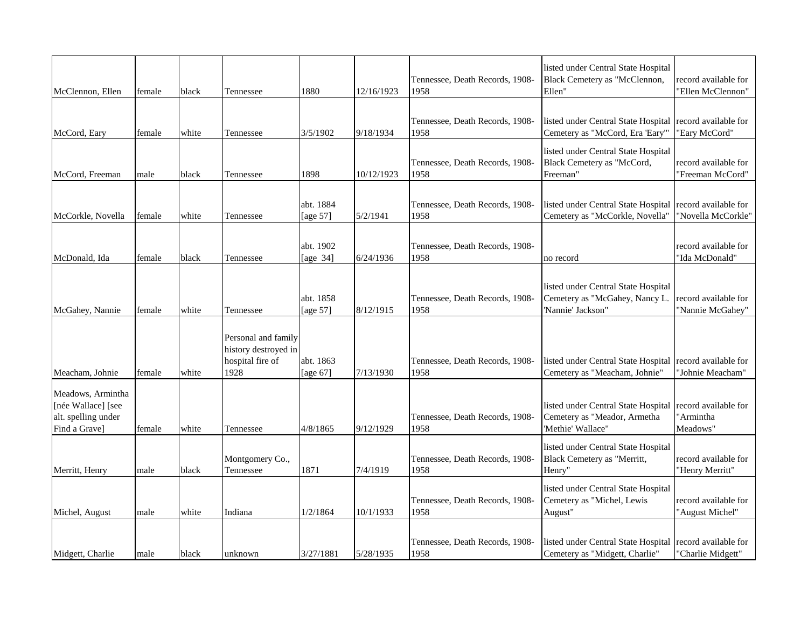| McClennon, Ellen                                                                | female | black | Tennessee                                                               | 1880                  | 12/16/1923 | Tennessee, Death Records, 1908-<br>1958 | listed under Central State Hospital<br>Black Cemetery as "McClennon,<br>Ellen"             | record available for<br>'Ellen McClennon"     |
|---------------------------------------------------------------------------------|--------|-------|-------------------------------------------------------------------------|-----------------------|------------|-----------------------------------------|--------------------------------------------------------------------------------------------|-----------------------------------------------|
| McCord, Eary                                                                    | female | white | Tennessee                                                               | 3/5/1902              | 9/18/1934  | Tennessee, Death Records, 1908-<br>1958 | listed under Central State Hospital<br>Cemetery as "McCord, Era 'Eary"                     | record available for<br>"Eary McCord"         |
| McCord, Freeman                                                                 | male   | black | Tennessee                                                               | 1898                  | 10/12/1923 | Tennessee, Death Records, 1908-<br>1958 | listed under Central State Hospital<br>Black Cemetery as "McCord,<br>Freeman"              | record available for<br>"Freeman McCord"      |
| McCorkle, Novella                                                               | female | white | Tennessee                                                               | abt. 1884<br>[age 57] | 5/2/1941   | Tennessee, Death Records, 1908-<br>1958 | listed under Central State Hospital<br>Cemetery as "McCorkle, Novella"                     | record available for<br>"Novella McCorkle"    |
| McDonald, Ida                                                                   | female | black | Tennessee                                                               | abt. 1902<br>[age 34] | 6/24/1936  | Tennessee, Death Records, 1908-<br>1958 | no record                                                                                  | record available for<br>"Ida McDonald"        |
| McGahey, Nannie                                                                 | female | white | Tennessee                                                               | abt. 1858<br>[age 57] | 8/12/1915  | Tennessee, Death Records, 1908-<br>1958 | listed under Central State Hospital<br>Cemetery as "McGahey, Nancy L.<br>'Nannie' Jackson" | record available for<br>"Nannie McGahey"      |
| Meacham, Johnie                                                                 | female | white | Personal and family<br>history destroyed in<br>hospital fire of<br>1928 | abt. 1863<br>[age 67] | 7/13/1930  | Tennessee, Death Records, 1908-<br>1958 | listed under Central State Hospital<br>Cemetery as "Meacham, Johnie"                       | record available for<br>'Johnie Meacham"      |
| Meadows, Armintha<br>[née Wallace] [see<br>alt. spelling under<br>Find a Gravel | female | white | Tennessee                                                               | 4/8/1865              | 9/12/1929  | Tennessee, Death Records, 1908-<br>1958 | listed under Central State Hospital<br>Cemetery as "Meador, Armetha<br>'Methie' Wallace"   | record available for<br>'Armintha<br>Meadows" |
| Merritt, Henry                                                                  | male   | black | Montgomery Co.,<br>Tennessee                                            | 1871                  | 7/4/1919   | Tennessee, Death Records, 1908-<br>1958 | listed under Central State Hospital<br>Black Cemetery as "Merritt,<br>Henry"               | record available for<br>"Henry Merritt"       |
| Michel, August                                                                  | male   | white | Indiana                                                                 | 1/2/1864              | 10/1/1933  | Tennessee, Death Records, 1908-<br>1958 | listed under Central State Hospital<br>Cemetery as "Michel, Lewis<br>August"               | record available for<br>"August Michel"       |
| Midgett, Charlie                                                                | male   | black | unknown                                                                 | 3/27/1881             | 5/28/1935  | Tennessee, Death Records, 1908-<br>1958 | listed under Central State Hospital<br>Cemetery as "Midgett, Charlie"                      | record available for<br>"Charlie Midgett"     |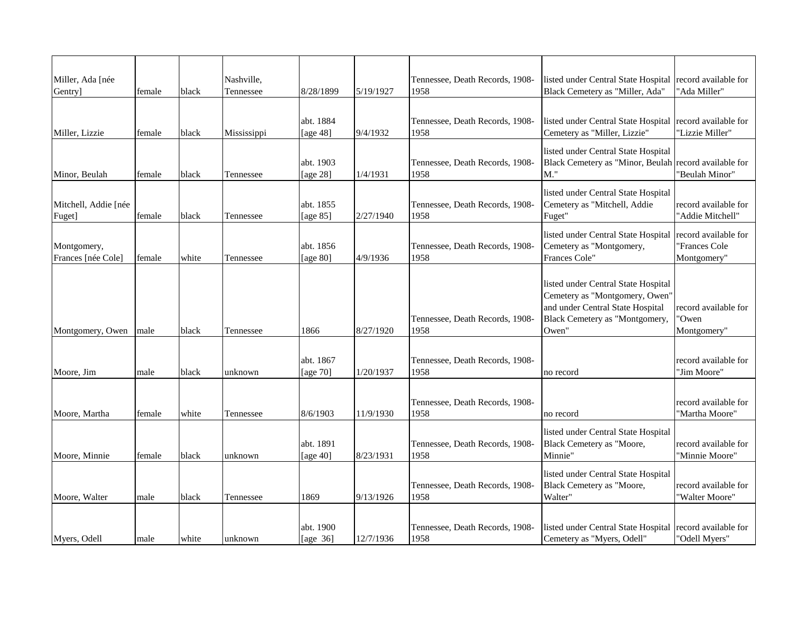| Miller, Ada [née<br>Gentry]       | female | black | Nashville,<br>Tennessee | 8/28/1899                | 5/19/1927 | Tennessee, Death Records, 1908-<br>1958 | listed under Central State Hospital record available for<br>Black Cemetery as "Miller, Ada"                                                          | "Ada Miller"                                         |
|-----------------------------------|--------|-------|-------------------------|--------------------------|-----------|-----------------------------------------|------------------------------------------------------------------------------------------------------------------------------------------------------|------------------------------------------------------|
|                                   |        |       |                         | abt. 1884                |           | Tennessee, Death Records, 1908-         | listed under Central State Hospital                                                                                                                  | record available for                                 |
| Miller, Lizzie                    | female | black | Mississippi             | [age 48]                 | 9/4/1932  | 1958                                    | Cemetery as "Miller, Lizzie"                                                                                                                         | "Lizzie Miller"                                      |
| Minor, Beulah                     | female | black | Tennessee               | abt. 1903<br>[age 28]    | 1/4/1931  | Tennessee, Death Records, 1908-<br>1958 | listed under Central State Hospital<br>Black Cemetery as "Minor, Beulah<br>М."                                                                       | record available for<br>'Beulah Minor"               |
| Mitchell, Addie [née<br>Fuget]    | female | black | Tennessee               | abt. 1855<br>[age $85$ ] | 2/27/1940 | Tennessee, Death Records, 1908-<br>1958 | listed under Central State Hospital<br>Cemetery as "Mitchell, Addie<br>Fuget"                                                                        | record available for<br>"Addie Mitchell"             |
| Montgomery,<br>Frances [née Cole] | female | white | Tennessee               | abt. 1856<br>[age 80]    | 4/9/1936  | Tennessee, Death Records, 1908-<br>1958 | listed under Central State Hospital<br>Cemetery as "Montgomery,<br>Frances Cole"                                                                     | record available for<br>'Frances Cole<br>Montgomery" |
| Montgomery, Owen                  | male   | black | Tennessee               | 1866                     | 8/27/1920 | Tennessee, Death Records, 1908-<br>1958 | listed under Central State Hospital<br>Cemetery as "Montgomery, Owen"<br>and under Central State Hospital<br>Black Cemetery as "Montgomery,<br>Owen' | record available for<br>'Owen<br>Montgomery"         |
| Moore, Jim                        | male   | black | unknown                 | abt. 1867<br>[age 70]    | 1/20/1937 | Tennessee, Death Records, 1908-<br>1958 | no record                                                                                                                                            | record available for<br>"Jim Moore"                  |
| Moore, Martha                     | female | white | Tennessee               | 8/6/1903                 | 11/9/1930 | Tennessee, Death Records, 1908-<br>1958 | no record                                                                                                                                            | record available for<br>"Martha Moore"               |
| Moore, Minnie                     | female | black | unknown                 | abt. 1891<br>[age 40]    | 8/23/1931 | Tennessee, Death Records, 1908-<br>1958 | listed under Central State Hospital<br>Black Cemetery as "Moore,<br>Minnie"                                                                          | record available for<br>"Minnie Moore"               |
| Moore, Walter                     | male   | black | Tennessee               | 1869                     | 9/13/1926 | Tennessee, Death Records, 1908-<br>1958 | listed under Central State Hospital<br>Black Cemetery as "Moore,<br>Walter"                                                                          | record available for<br>'Walter Moore"               |
| Myers, Odell                      | male   | white | unknown                 | abt. 1900<br>[age $36$ ] | 12/7/1936 | Tennessee, Death Records, 1908-<br>1958 | listed under Central State Hospital<br>Cemetery as "Myers, Odell"                                                                                    | record available for<br>"Odell Myers"                |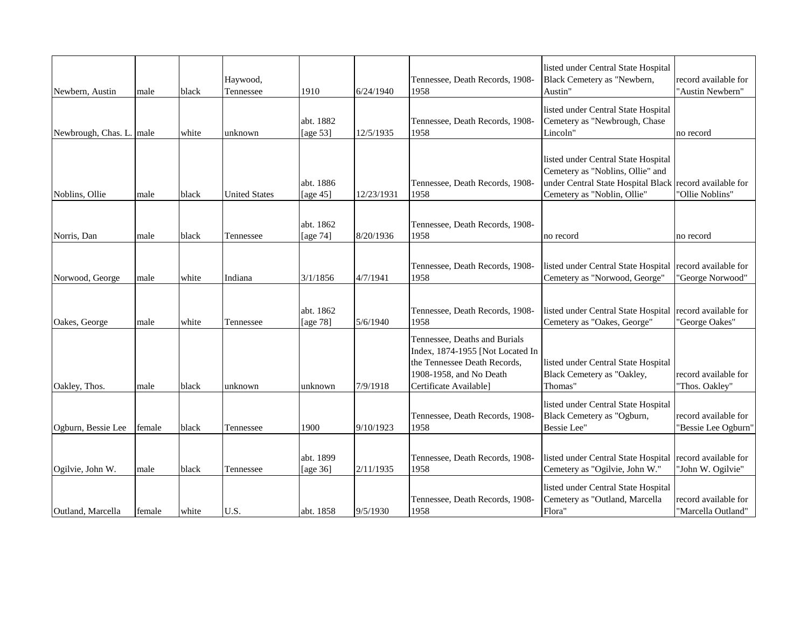| Newbern, Austin          | male   | black | Haywood,<br>Tennessee | 1910                     | 6/24/1940  | Tennessee, Death Records, 1908-<br>1958                                                                                                                | listed under Central State Hospital<br>Black Cemetery as "Newbern,<br>Austin"                                                                | record available for<br>"Austin Newbern"    |
|--------------------------|--------|-------|-----------------------|--------------------------|------------|--------------------------------------------------------------------------------------------------------------------------------------------------------|----------------------------------------------------------------------------------------------------------------------------------------------|---------------------------------------------|
| Newbrough, Chas. L. male |        | white | unknown               | abt. 1882<br>[age $53$ ] | 12/5/1935  | Tennessee, Death Records, 1908-<br>1958                                                                                                                | listed under Central State Hospital<br>Cemetery as "Newbrough, Chase<br>Lincoln"                                                             | no record                                   |
| Noblins, Ollie           | male   | black | <b>United States</b>  | abt. 1886<br>[age $45$ ] | 12/23/1931 | Tennessee, Death Records, 1908-<br>1958                                                                                                                | listed under Central State Hospital<br>Cemetery as "Noblins, Ollie" and<br>under Central State Hospital Black<br>Cemetery as "Noblin, Ollie" | record available for<br>"Ollie Noblins"     |
| Norris, Dan              | male   | black | Tennessee             | abt. 1862<br>[age 74]    | 8/20/1936  | Tennessee, Death Records, 1908-<br>1958                                                                                                                | no record                                                                                                                                    | no record                                   |
| Norwood, George          | male   | white | Indiana               | 3/1/1856                 | 4/7/1941   | Tennessee, Death Records, 1908-<br>1958                                                                                                                | listed under Central State Hospital<br>Cemetery as "Norwood, George"                                                                         | record available for<br>"George Norwood"    |
| Oakes, George            | male   | white | Tennessee             | abt. 1862<br>[age 78]    | 5/6/1940   | Tennessee, Death Records, 1908-<br>1958                                                                                                                | listed under Central State Hospital<br>Cemetery as "Oakes, George"                                                                           | record available for<br>"George Oakes"      |
| Oakley, Thos.            | male   | black | unknown               | unknown                  | 7/9/1918   | Tennessee, Deaths and Burials<br>Index, 1874-1955 [Not Located In<br>the Tennessee Death Records,<br>1908-1958, and No Death<br>Certificate Available] | listed under Central State Hospital<br>Black Cemetery as "Oakley,<br>Thomas"                                                                 | record available for<br>"Thos. Oakley"      |
| Ogburn, Bessie Lee       | female | black | Tennessee             | 1900                     | 9/10/1923  | Tennessee, Death Records, 1908-<br>1958                                                                                                                | listed under Central State Hospital<br>Black Cemetery as "Ogburn,<br>Bessie Lee"                                                             | record available for<br>"Bessie Lee Ogburn" |
| Ogilvie, John W.         | male   | black | Tennessee             | abt. 1899<br>[age 36]    | 2/11/1935  | Tennessee, Death Records, 1908-<br>1958                                                                                                                | listed under Central State Hospital<br>Cemetery as "Ogilvie, John W."                                                                        | record available for<br>"John W. Ogilvie"   |
| Outland, Marcella        | female | white | U.S.                  | abt. 1858                | 9/5/1930   | Tennessee, Death Records, 1908-<br>1958                                                                                                                | listed under Central State Hospital<br>Cemetery as "Outland, Marcella<br>Flora"                                                              | record available for<br>"Marcella Outland"  |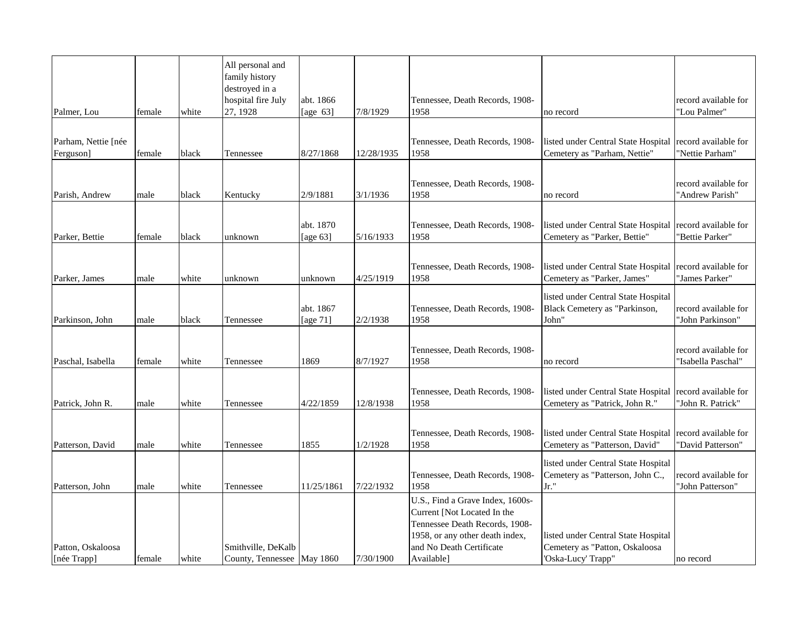| Palmer, Lou                      | female | white | All personal and<br>family history<br>destroyed in a<br>hospital fire July<br>27, 1928 | abt. 1866<br>[age $63$ ] | 7/8/1929   | Tennessee, Death Records, 1908-<br>1958                                                                                                                                        | no record                                                                                   | record available for<br>"Lou Palmer"       |
|----------------------------------|--------|-------|----------------------------------------------------------------------------------------|--------------------------|------------|--------------------------------------------------------------------------------------------------------------------------------------------------------------------------------|---------------------------------------------------------------------------------------------|--------------------------------------------|
|                                  |        |       |                                                                                        |                          |            |                                                                                                                                                                                |                                                                                             |                                            |
| Parham, Nettie [née<br>Ferguson] | female | black | Tennessee                                                                              | 8/27/1868                | 12/28/1935 | Tennessee, Death Records, 1908-<br>1958                                                                                                                                        | listed under Central State Hospital<br>Cemetery as "Parham, Nettie"                         | record available for<br>'Nettie Parham"    |
| Parish, Andrew                   | male   | black | Kentucky                                                                               | 2/9/1881                 | 3/1/1936   | Tennessee, Death Records, 1908-<br>1958                                                                                                                                        | no record                                                                                   | record available for<br>'Andrew Parish"    |
| Parker, Bettie                   | female | black | unknown                                                                                | abt. 1870<br>[age $63$ ] | 5/16/1933  | Tennessee, Death Records, 1908-<br>1958                                                                                                                                        | listed under Central State Hospital<br>Cemetery as "Parker, Bettie"                         | record available for<br>'Bettie Parker"    |
| Parker, James                    | male   | white | unknown                                                                                | unknown                  | 4/25/1919  | Tennessee, Death Records, 1908-<br>1958                                                                                                                                        | listed under Central State Hospital<br>Cemetery as "Parker, James"                          | record available for<br>'James Parker"     |
| Parkinson, John                  | male   | black | Tennessee                                                                              | abt. 1867<br>[age 71]    | 2/2/1938   | Tennessee, Death Records, 1908-<br>1958                                                                                                                                        | listed under Central State Hospital<br>Black Cemetery as "Parkinson,<br>John"               | record available for<br>'John Parkinson"   |
| Paschal, Isabella                | female | white | Tennessee                                                                              | 1869                     | 8/7/1927   | Tennessee, Death Records, 1908-<br>1958                                                                                                                                        | no record                                                                                   | record available for<br>"Isabella Paschal" |
| Patrick, John R.                 | male   | white | Tennessee                                                                              | 4/22/1859                | 12/8/1938  | Tennessee, Death Records, 1908-<br>1958                                                                                                                                        | listed under Central State Hospital<br>Cemetery as "Patrick, John R."                       | record available for<br>'John R. Patrick"  |
| Patterson, David                 | male   | white | Tennessee                                                                              | 1855                     | 1/2/1928   | Tennessee, Death Records, 1908-<br>1958                                                                                                                                        | listed under Central State Hospital<br>Cemetery as "Patterson, David"                       | record available for<br>'David Patterson"  |
| Patterson, John                  | male   | white | Tennessee                                                                              | 11/25/1861               | 7/22/1932  | Tennessee, Death Records, 1908-<br>1958                                                                                                                                        | listed under Central State Hospital<br>Cemetery as "Patterson, John C.,<br>Jr."             | record available for<br>"John Patterson"   |
| Patton, Oskaloosa<br>[née Trapp] | female | white | Smithville, DeKalb<br>County, Tennessee May 1860                                       |                          | 7/30/1900  | U.S., Find a Grave Index, 1600s-<br>Current [Not Located In the<br>Tennessee Death Records, 1908-<br>1958, or any other death index,<br>and No Death Certificate<br>Available] | listed under Central State Hospital<br>Cemetery as "Patton, Oskaloosa<br>'Oska-Lucy' Trapp" | no record                                  |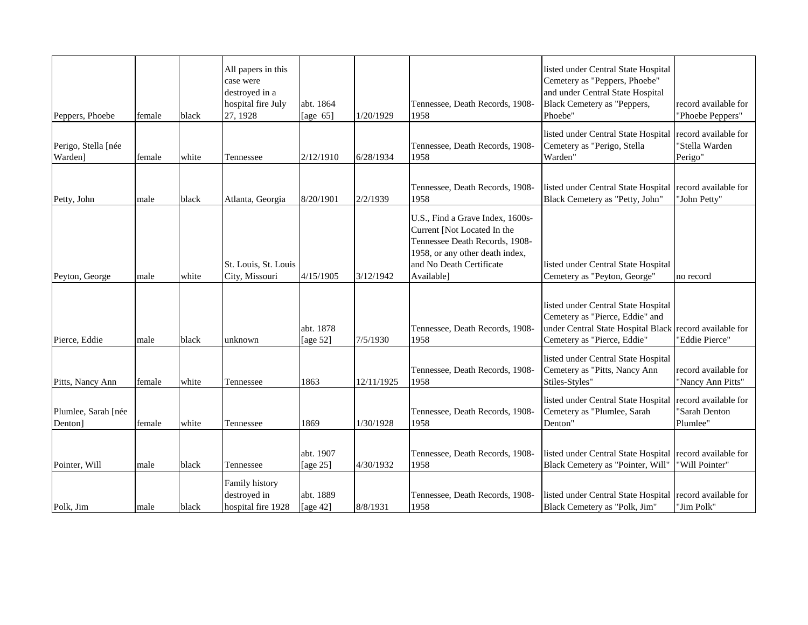| Peppers, Phoebe                | female | black | All papers in this<br>case were<br>destroyed in a<br>hospital fire July<br>27, 1928 | abt. 1864<br>[age $65$ ] | 1/20/1929  | Tennessee, Death Records, 1908-<br>1958                                                                                                                                        | listed under Central State Hospital<br>Cemetery as "Peppers, Phoebe"<br>and under Central State Hospital<br>Black Cemetery as "Peppers,<br>Phoebe"               | record available for<br>"Phoebe Peppers"          |
|--------------------------------|--------|-------|-------------------------------------------------------------------------------------|--------------------------|------------|--------------------------------------------------------------------------------------------------------------------------------------------------------------------------------|------------------------------------------------------------------------------------------------------------------------------------------------------------------|---------------------------------------------------|
| Perigo, Stella [née<br>Warden] | female | white | Tennessee                                                                           | 2/12/1910                | 6/28/1934  | Tennessee, Death Records, 1908-<br>1958                                                                                                                                        | listed under Central State Hospital<br>Cemetery as "Perigo, Stella<br>Warden"                                                                                    | record available for<br>'Stella Warden<br>Perigo" |
| Petty, John                    | male   | black | Atlanta, Georgia                                                                    | 8/20/1901                | 2/2/1939   | Tennessee, Death Records, 1908-<br>1958                                                                                                                                        | listed under Central State Hospital record available for<br>Black Cemetery as "Petty, John"                                                                      | "John Petty"                                      |
| Peyton, George                 | male   | white | St. Louis, St. Louis<br>City, Missouri                                              | 4/15/1905                | 3/12/1942  | U.S., Find a Grave Index, 1600s-<br>Current [Not Located In the<br>Tennessee Death Records, 1908-<br>1958, or any other death index,<br>and No Death Certificate<br>Available] | listed under Central State Hospital<br>Cemetery as "Peyton, George"                                                                                              | no record                                         |
| Pierce, Eddie                  | male   | black | unknown                                                                             | abt. 1878<br>[age 52]    | 7/5/1930   | Tennessee, Death Records, 1908-<br>1958                                                                                                                                        | listed under Central State Hospital<br>Cemetery as "Pierce, Eddie" and<br>under Central State Hospital Black record available for<br>Cemetery as "Pierce, Eddie" | "Eddie Pierce"                                    |
| Pitts, Nancy Ann               | female | white | Tennessee                                                                           | 1863                     | 12/11/1925 | Tennessee, Death Records, 1908-<br>1958                                                                                                                                        | listed under Central State Hospital<br>Cemetery as "Pitts, Nancy Ann<br>Stiles-Styles"                                                                           | record available for<br>"Nancy Ann Pitts"         |
| Plumlee, Sarah [née<br>Denton] | female | white | Tennessee                                                                           | 1869                     | 1/30/1928  | Tennessee, Death Records, 1908-<br>1958                                                                                                                                        | listed under Central State Hospital<br>Cemetery as "Plumlee, Sarah<br>Denton"                                                                                    | record available for<br>"Sarah Denton<br>Plumlee" |
| Pointer, Will                  | male   | black | Tennessee                                                                           | abt. 1907<br>[age 25]    | 4/30/1932  | Tennessee, Death Records, 1908-<br>1958                                                                                                                                        | listed under Central State Hospital<br>Black Cemetery as "Pointer, Will"                                                                                         | record available for<br>"Will Pointer"            |
| Polk, Jim                      | male   | black | Family history<br>destroyed in<br>hospital fire 1928                                | abt. 1889<br>[age $42$ ] | 8/8/1931   | Tennessee, Death Records, 1908-<br>1958                                                                                                                                        | listed under Central State Hospital record available for<br>Black Cemetery as "Polk, Jim"                                                                        | "Jim Polk"                                        |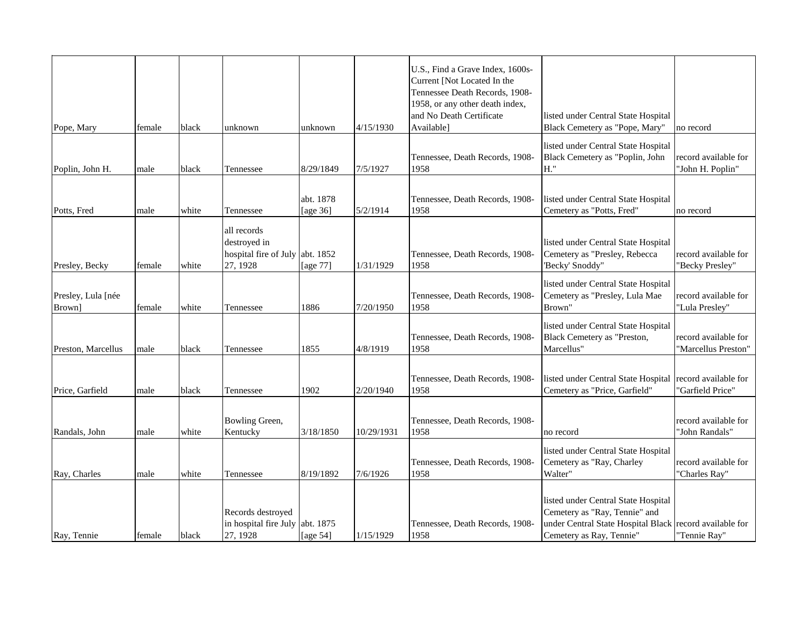| Pope, Mary                   | female | black | unknown                                                                    | unknown               | 4/15/1930  | U.S., Find a Grave Index, 1600s-<br>Current [Not Located In the<br>Tennessee Death Records, 1908-<br>1958, or any other death index,<br>and No Death Certificate<br>Available] | listed under Central State Hospital<br>Black Cemetery as "Pope, Mary"                                                                                       | no record                                   |
|------------------------------|--------|-------|----------------------------------------------------------------------------|-----------------------|------------|--------------------------------------------------------------------------------------------------------------------------------------------------------------------------------|-------------------------------------------------------------------------------------------------------------------------------------------------------------|---------------------------------------------|
| Poplin, John H.              | male   | black | Tennessee                                                                  | 8/29/1849             | 7/5/1927   | Tennessee, Death Records, 1908-<br>1958                                                                                                                                        | listed under Central State Hospital<br>Black Cemetery as "Poplin, John<br>H."                                                                               | record available for<br>"John H. Poplin"    |
| Potts, Fred                  | male   | white | Tennessee                                                                  | abt. 1878<br>[age 36] | 5/2/1914   | Tennessee, Death Records, 1908-<br>1958                                                                                                                                        | listed under Central State Hospital<br>Cemetery as "Potts, Fred"                                                                                            | no record                                   |
| Presley, Becky               | female | white | all records<br>destroyed in<br>hospital fire of July abt. 1852<br>27, 1928 | [age 77]              | 1/31/1929  | Tennessee, Death Records, 1908-<br>1958                                                                                                                                        | listed under Central State Hospital<br>Cemetery as "Presley, Rebecca<br>'Becky' Snoddy"                                                                     | record available for<br>"Becky Presley"     |
| Presley, Lula [née<br>Brown] | female | white | Tennessee                                                                  | 1886                  | 7/20/1950  | Tennessee, Death Records, 1908-<br>1958                                                                                                                                        | listed under Central State Hospital<br>Cemetery as "Presley, Lula Mae<br>Brown"                                                                             | record available for<br>"Lula Presley"      |
| Preston, Marcellus           | male   | black | Tennessee                                                                  | 1855                  | 4/8/1919   | Tennessee, Death Records, 1908-<br>1958                                                                                                                                        | listed under Central State Hospital<br>Black Cemetery as "Preston,<br>Marcellus"                                                                            | record available for<br>'Marcellus Preston" |
| Price, Garfield              | male   | black | Tennessee                                                                  | 1902                  | 2/20/1940  | Tennessee, Death Records, 1908-<br>1958                                                                                                                                        | listed under Central State Hospital record available for<br>Cemetery as "Price, Garfield"                                                                   | 'Garfield Price"                            |
| Randals, John                | male   | white | Bowling Green,<br>Kentucky                                                 | 3/18/1850             | 10/29/1931 | Tennessee, Death Records, 1908-<br>1958                                                                                                                                        | no record                                                                                                                                                   | record available for<br>"John Randals"      |
| Ray, Charles                 | male   | white | Tennessee                                                                  | 8/19/1892             | 7/6/1926   | Tennessee, Death Records, 1908-<br>1958                                                                                                                                        | listed under Central State Hospital<br>Cemetery as "Ray, Charley<br>Walter"                                                                                 | record available for<br>"Charles Ray"       |
| Ray, Tennie                  | female | black | Records destroyed<br>in hospital fire July<br>27, 1928                     | abt. 1875<br>[age 54] | 1/15/1929  | Tennessee, Death Records, 1908-<br>1958                                                                                                                                        | listed under Central State Hospital<br>Cemetery as "Ray, Tennie" and<br>under Central State Hospital Black record available for<br>Cemetery as Ray, Tennie" | "Tennie Ray"                                |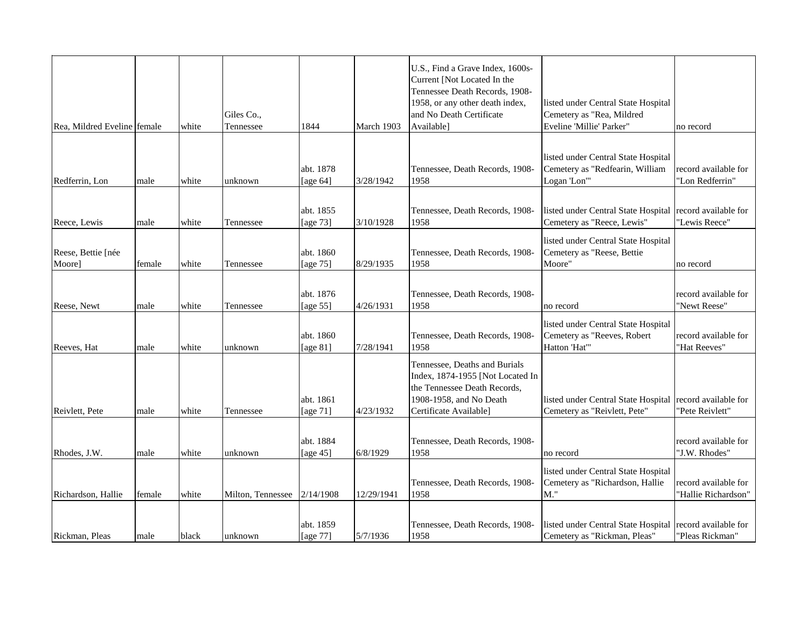| Rea, Mildred Eveline female  |        | white | Giles Co.,<br>Tennessee | 1844                     | March 1903 | U.S., Find a Grave Index, 1600s-<br>Current [Not Located In the<br>Tennessee Death Records, 1908-<br>1958, or any other death index,<br>and No Death Certificate<br>Available] | listed under Central State Hospital<br>Cemetery as "Rea, Mildred<br>Eveline 'Millie' Parker" | no record                                   |
|------------------------------|--------|-------|-------------------------|--------------------------|------------|--------------------------------------------------------------------------------------------------------------------------------------------------------------------------------|----------------------------------------------------------------------------------------------|---------------------------------------------|
|                              |        |       |                         |                          |            |                                                                                                                                                                                |                                                                                              |                                             |
| Redferrin, Lon               | male   | white | unknown                 | abt. 1878<br>[age $64$ ] | 3/28/1942  | Tennessee, Death Records, 1908-<br>1958                                                                                                                                        | listed under Central State Hospital<br>Cemetery as "Redfearin, William<br>Logan 'Lon'"       | record available for<br>"Lon Redferrin"     |
|                              |        |       |                         |                          |            |                                                                                                                                                                                |                                                                                              |                                             |
| Reece, Lewis                 | male   | white | Tennessee               | abt. 1855<br>[age 73]    | 3/10/1928  | Tennessee, Death Records, 1908-<br>1958                                                                                                                                        | listed under Central State Hospital<br>Cemetery as "Reece, Lewis"                            | record available for<br>"Lewis Reece"       |
| Reese, Bettie [née<br>Moore] | female | white | Tennessee               | abt. 1860<br>[age 75]    | 8/29/1935  | Tennessee, Death Records, 1908-<br>1958                                                                                                                                        | listed under Central State Hospital<br>Cemetery as "Reese, Bettie<br>Moore"                  | no record                                   |
|                              |        |       |                         |                          |            |                                                                                                                                                                                |                                                                                              |                                             |
| Reese, Newt                  | male   | white | Tennessee               | abt. 1876<br>[age $55$ ] | 4/26/1931  | Tennessee, Death Records, 1908-<br>1958                                                                                                                                        | no record                                                                                    | record available for<br>"Newt Reese"        |
| Reeves, Hat                  | male   | white | unknown                 | abt. 1860<br>[age 81]    | 7/28/1941  | Tennessee, Death Records, 1908-<br>1958                                                                                                                                        | listed under Central State Hospital<br>Cemetery as "Reeves, Robert<br>Hatton 'Hat"           | record available for<br>"Hat Reeves"        |
| Reivlett, Pete               | male   | white | Tennessee               | abt. 1861<br>[age $71$ ] | 4/23/1932  | Tennessee, Deaths and Burials<br>Index, 1874-1955 [Not Located In<br>the Tennessee Death Records,<br>1908-1958, and No Death<br>Certificate Available]                         | listed under Central State Hospital record available for<br>Cemetery as "Reivlett, Pete"     | "Pete Reivlett"                             |
|                              |        |       |                         |                          |            |                                                                                                                                                                                |                                                                                              |                                             |
| Rhodes, J.W.                 | male   | white | unknown                 | abt. 1884<br>[age 45]    | 6/8/1929   | Tennessee, Death Records, 1908-<br>1958                                                                                                                                        | no record                                                                                    | record available for<br>"J.W. Rhodes"       |
|                              |        |       |                         |                          |            |                                                                                                                                                                                | listed under Central State Hospital                                                          |                                             |
| Richardson, Hallie           | female | white | Milton, Tennessee       | 2/14/1908                | 12/29/1941 | Tennessee, Death Records, 1908-<br>1958                                                                                                                                        | Cemetery as "Richardson, Hallie<br>M."                                                       | record available for<br>"Hallie Richardson" |
|                              |        |       |                         |                          |            |                                                                                                                                                                                |                                                                                              |                                             |
| Rickman, Pleas               | male   | black | unknown                 | abt. 1859<br>[age 77]    | 5/7/1936   | Tennessee, Death Records, 1908-<br>1958                                                                                                                                        | listed under Central State Hospital record available for<br>Cemetery as "Rickman, Pleas"     | "Pleas Rickman"                             |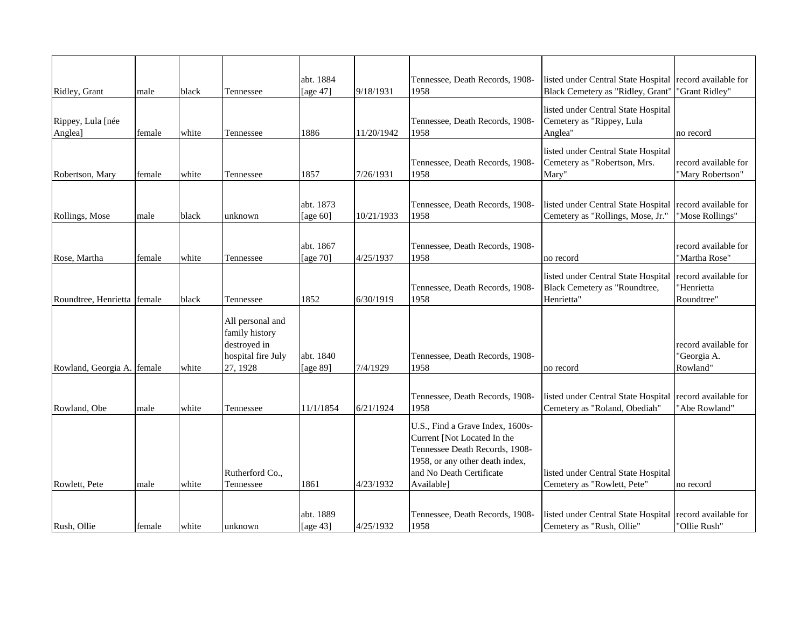| Ridley, Grant                | male   | black | Tennessee                                                                            | abt. 1884<br>[age 47]    | 9/18/1931  | Tennessee, Death Records, 1908-<br>1958                                                                                                                                        | listed under Central State Hospital record available for<br>Black Cemetery as "Ridley, Grant" | "Grant Ridley"                                   |
|------------------------------|--------|-------|--------------------------------------------------------------------------------------|--------------------------|------------|--------------------------------------------------------------------------------------------------------------------------------------------------------------------------------|-----------------------------------------------------------------------------------------------|--------------------------------------------------|
| Rippey, Lula [née<br>Anglea] | female | white | Tennessee                                                                            | 1886                     | 11/20/1942 | Tennessee, Death Records, 1908-<br>1958                                                                                                                                        | listed under Central State Hospital<br>Cemetery as "Rippey, Lula<br>Anglea"                   | no record                                        |
| Robertson, Mary              | female | white | Tennessee                                                                            | 1857                     | 7/26/1931  | Tennessee, Death Records, 1908-<br>1958                                                                                                                                        | listed under Central State Hospital<br>Cemetery as "Robertson, Mrs.<br>Mary"                  | record available for<br>"Mary Robertson"         |
| Rollings, Mose               | male   | black | unknown                                                                              | abt. 1873<br>[age $60$ ] | 10/21/1933 | Tennessee, Death Records, 1908-<br>1958                                                                                                                                        | listed under Central State Hospital<br>Cemetery as "Rollings, Mose, Jr."                      | record available for<br>"Mose Rollings"          |
| Rose, Martha                 | female | white | Tennessee                                                                            | abt. 1867<br>[age 70]    | 4/25/1937  | Tennessee, Death Records, 1908-<br>1958                                                                                                                                        | no record                                                                                     | record available for<br>"Martha Rose"            |
| Roundtree, Henrietta female  |        | black | Tennessee                                                                            | 1852                     | 6/30/1919  | Tennessee, Death Records, 1908-<br>1958                                                                                                                                        | listed under Central State Hospital<br>Black Cemetery as "Roundtree,<br>Henrietta"            | record available for<br>"Henrietta<br>Roundtree" |
| Rowland, Georgia A. female   |        | white | All personal and<br>family history<br>destroyed in<br>hospital fire July<br>27, 1928 | abt. 1840<br>[age 89]    | 7/4/1929   | Tennessee, Death Records, 1908-<br>1958                                                                                                                                        | no record                                                                                     | record available for<br>"Georgia A.<br>Rowland"  |
| Rowland, Obe                 | male   | white | Tennessee                                                                            | 11/1/1854                | 6/21/1924  | Tennessee, Death Records, 1908-<br>1958                                                                                                                                        | listed under Central State Hospital record available for<br>Cemetery as "Roland, Obediah"     | "Abe Rowland"                                    |
| Rowlett, Pete                | male   | white | Rutherford Co.,<br>Tennessee                                                         | 1861                     | 4/23/1932  | U.S., Find a Grave Index, 1600s-<br>Current [Not Located In the<br>Tennessee Death Records, 1908-<br>1958, or any other death index,<br>and No Death Certificate<br>Available] | listed under Central State Hospital<br>Cemetery as "Rowlett, Pete"                            | no record                                        |
| Rush, Ollie                  | female | white | unknown                                                                              | abt. 1889<br>[age $43$ ] | 4/25/1932  | Tennessee, Death Records, 1908-<br>1958                                                                                                                                        | listed under Central State Hospital record available for<br>Cemetery as "Rush, Ollie"         | "Ollie Rush"                                     |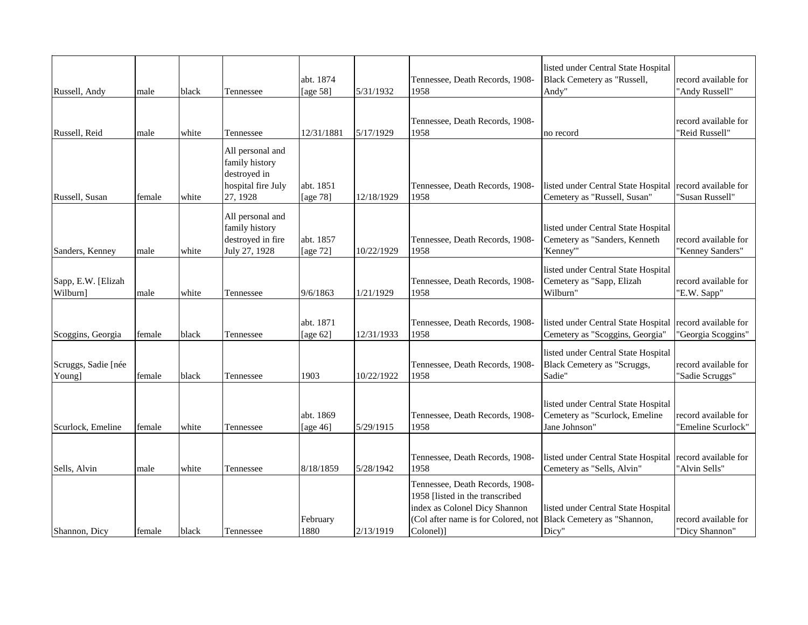| Russell, Andy                  | male   | black | Tennessee                                                                            | abt. 1874<br>[age 58]    | 5/31/1932  | Tennessee, Death Records, 1908-<br>1958                                                                                                                 | listed under Central State Hospital<br>Black Cemetery as "Russell,<br>Andy"            | record available for<br>"Andy Russell"     |
|--------------------------------|--------|-------|--------------------------------------------------------------------------------------|--------------------------|------------|---------------------------------------------------------------------------------------------------------------------------------------------------------|----------------------------------------------------------------------------------------|--------------------------------------------|
| Russell, Reid                  | male   | white | Tennessee                                                                            | 12/31/1881               | 5/17/1929  | Tennessee, Death Records, 1908-<br>1958                                                                                                                 | no record                                                                              | record available for<br>"Reid Russell"     |
| Russell, Susan                 | female | white | All personal and<br>family history<br>destroyed in<br>hospital fire July<br>27, 1928 | abt. 1851<br>[age 78]    | 12/18/1929 | Tennessee, Death Records, 1908-<br>1958                                                                                                                 | listed under Central State Hospital<br>Cemetery as "Russell, Susan"                    | record available for<br>"Susan Russell"    |
| Sanders, Kenney                | male   | white | All personal and<br>family history<br>destroyed in fire<br>July 27, 1928             | abt. 1857<br>[age 72]    | 10/22/1929 | Tennessee, Death Records, 1908-<br>1958                                                                                                                 | listed under Central State Hospital<br>Cemetery as "Sanders, Kenneth<br>'Kenney'"      | record available for<br>"Kenney Sanders"   |
| Sapp, E.W. [Elizah<br>Wilburn] | male   | white | Tennessee                                                                            | 9/6/1863                 | 1/21/1929  | Tennessee, Death Records, 1908-<br>1958                                                                                                                 | listed under Central State Hospital<br>Cemetery as "Sapp, Elizah<br>Wilburn"           | record available for<br>"E.W. Sapp"        |
| Scoggins, Georgia              | female | black | Tennessee                                                                            | abt. 1871<br>[age $62$ ] | 12/31/1933 | Tennessee, Death Records, 1908-<br>1958                                                                                                                 | listed under Central State Hospital<br>Cemetery as "Scoggins, Georgia"                 | record available for<br>'Georgia Scoggins" |
| Scruggs, Sadie [née<br>Young]  | female | black | Tennessee                                                                            | 1903                     | 10/22/1922 | Tennessee, Death Records, 1908-<br>1958                                                                                                                 | listed under Central State Hospital<br>Black Cemetery as "Scruggs,<br>Sadie"           | record available for<br>"Sadie Scruggs"    |
| Scurlock, Emeline              | female | white | Tennessee                                                                            | abt. 1869<br>[age $46$ ] | 5/29/1915  | Tennessee, Death Records, 1908-<br>1958                                                                                                                 | listed under Central State Hospital<br>Cemetery as "Scurlock, Emeline<br>Jane Johnson" | record available for<br>'Emeline Scurlock" |
| Sells, Alvin                   | male   | white | Tennessee                                                                            | 8/18/1859                | 5/28/1942  | Tennessee, Death Records, 1908-<br>1958                                                                                                                 | listed under Central State Hospital<br>Cemetery as "Sells, Alvin"                      | record available for<br>"Alvin Sells"      |
| Shannon, Dicy                  | female | black | Tennessee                                                                            | February<br>1880         | 2/13/1919  | Tennessee, Death Records, 1908-<br>1958 [listed in the transcribed<br>index as Colonel Dicy Shannon<br>(Col after name is for Colored, not<br>Colonel)] | listed under Central State Hospital<br>Black Cemetery as "Shannon,<br>Dicy"            | record available for<br>"Dicy Shannon"     |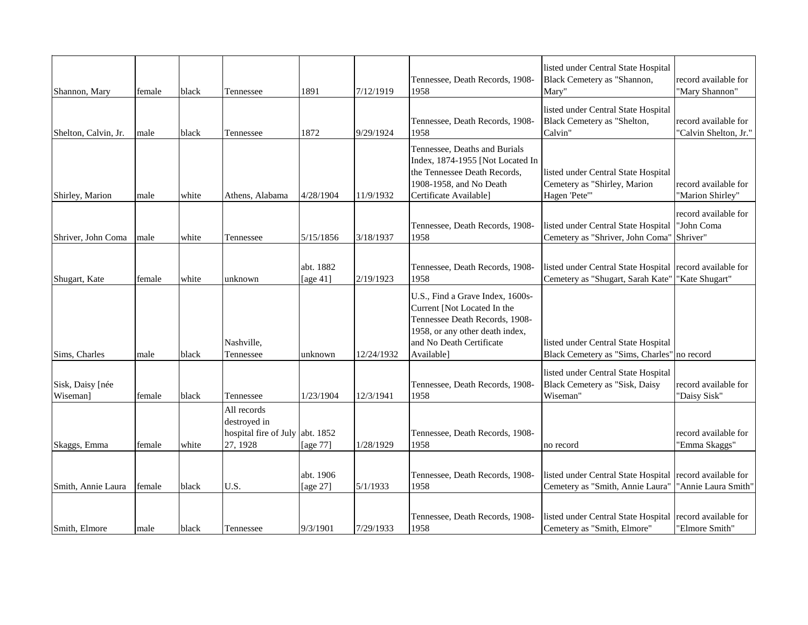| Shannon, Mary                | female | black | Tennessee                                                                  | 1891                     | 7/12/1919  | Tennessee, Death Records, 1908-<br>1958                                                                                                                                        | listed under Central State Hospital<br>Black Cemetery as "Shannon,<br>Mary"          | record available for<br>"Mary Shannon"         |
|------------------------------|--------|-------|----------------------------------------------------------------------------|--------------------------|------------|--------------------------------------------------------------------------------------------------------------------------------------------------------------------------------|--------------------------------------------------------------------------------------|------------------------------------------------|
| Shelton, Calvin, Jr.         | male   | black | Tennessee                                                                  | 1872                     | 9/29/1924  | Tennessee, Death Records, 1908-<br>1958                                                                                                                                        | listed under Central State Hospital<br>Black Cemetery as "Shelton,<br>Calvin"        | record available for<br>"Calvin Shelton, Jr."  |
| Shirley, Marion              | male   | white | Athens, Alabama                                                            | 4/28/1904                | 11/9/1932  | Tennessee, Deaths and Burials<br>Index, 1874-1955 [Not Located In<br>the Tennessee Death Records,<br>1908-1958, and No Death<br>Certificate Available]                         | listed under Central State Hospital<br>Cemetery as "Shirley, Marion<br>Hagen 'Pete'" | record available for<br>"Marion Shirley"       |
| Shriver, John Coma           | male   | white | Tennessee                                                                  | 5/15/1856                | 3/18/1937  | Tennessee, Death Records, 1908-<br>1958                                                                                                                                        | listed under Central State Hospital<br>Cemetery as "Shriver, John Coma"              | record available for<br>"John Coma<br>Shriver" |
| Shugart, Kate                | female | white | unknown                                                                    | abt. 1882<br>[age $41$ ] | 2/19/1923  | Tennessee, Death Records, 1908-<br>1958                                                                                                                                        | listed under Central State Hospital<br>Cemetery as "Shugart, Sarah Kate"             | record available for<br>"Kate Shugart"         |
| Sims, Charles                | male   | black | Nashville,<br>Tennessee                                                    | unknown                  | 12/24/1932 | U.S., Find a Grave Index, 1600s-<br>Current [Not Located In the<br>Tennessee Death Records, 1908-<br>1958, or any other death index,<br>and No Death Certificate<br>Available] | listed under Central State Hospital<br>Black Cemetery as "Sims, Charles" no record   |                                                |
| Sisk, Daisy [née<br>Wiseman] | female | black | Tennessee                                                                  | 1/23/1904                | 12/3/1941  | Tennessee, Death Records, 1908-<br>1958                                                                                                                                        | listed under Central State Hospital<br>Black Cemetery as "Sisk, Daisy<br>Wiseman"    | record available for<br>"Daisy Sisk"           |
| Skaggs, Emma                 | female | white | All records<br>destroyed in<br>hospital fire of July abt. 1852<br>27, 1928 | [age 77]                 | 1/28/1929  | Tennessee, Death Records, 1908-<br>1958                                                                                                                                        | no record                                                                            | record available for<br>"Emma Skaggs"          |
| Smith, Annie Laura           | female | black | U.S.                                                                       | abt. 1906<br>[age 27]    | 5/1/1933   | Tennessee, Death Records, 1908-<br>1958                                                                                                                                        | listed under Central State Hospital<br>Cemetery as "Smith, Annie Laura"              | record available for<br>"Annie Laura Smith"    |
| Smith, Elmore                | male   | black | Tennessee                                                                  | 9/3/1901                 | 7/29/1933  | Tennessee, Death Records, 1908-<br>1958                                                                                                                                        | listed under Central State Hospital<br>Cemetery as "Smith, Elmore"                   | record available for<br>"Elmore Smith"         |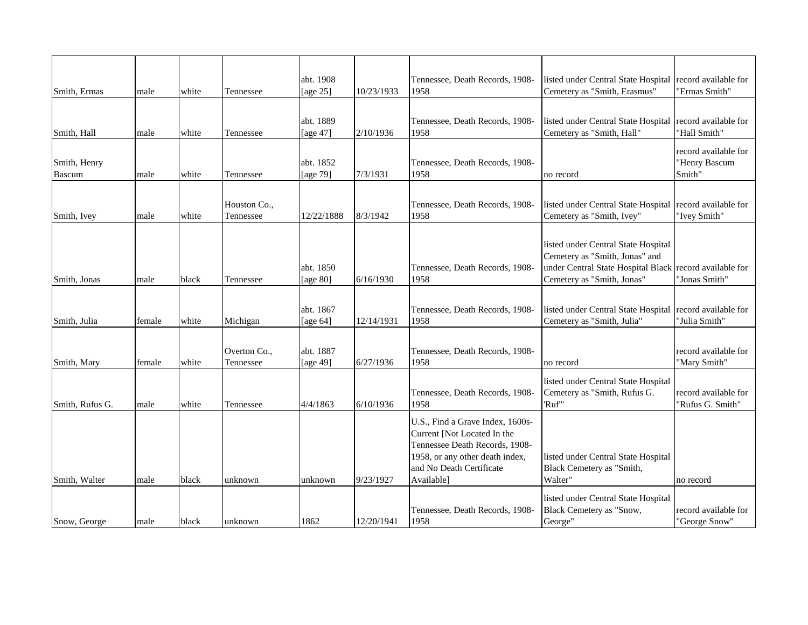| Smith, Ermas                  | male   | white | Tennessee                 | abt. 1908<br>[age $25$ ] | 10/23/1933 | Tennessee, Death Records, 1908-<br>1958                                                                                                                                        | listed under Central State Hospital record available for<br>Cemetery as "Smith, Erasmus"                                                                       | "Ermas Smith"                                   |
|-------------------------------|--------|-------|---------------------------|--------------------------|------------|--------------------------------------------------------------------------------------------------------------------------------------------------------------------------------|----------------------------------------------------------------------------------------------------------------------------------------------------------------|-------------------------------------------------|
| Smith, Hall                   | male   | white | Tennessee                 | abt. 1889<br>[age $47$ ] | 2/10/1936  | Tennessee, Death Records, 1908-<br>1958                                                                                                                                        | listed under Central State Hospital<br>Cemetery as "Smith, Hall"                                                                                               | record available for<br>"Hall Smith"            |
| Smith, Henry<br><b>Bascum</b> | male   | white | Tennessee                 | abt. 1852<br>[age 79]    | 7/3/1931   | Tennessee, Death Records, 1908-<br>1958                                                                                                                                        | no record                                                                                                                                                      | record available for<br>"Henry Bascum<br>Smith" |
| Smith, Ivey                   | male   | white | Houston Co.,<br>Tennessee | 12/22/1888               | 8/3/1942   | Tennessee, Death Records, 1908-<br>1958                                                                                                                                        | listed under Central State Hospital<br>Cemetery as "Smith, Ivey"                                                                                               | record available for<br>"Ivey Smith"            |
| Smith, Jonas                  | male   | black | Tennessee                 | abt. 1850<br>[age 80]    | 6/16/1930  | Tennessee, Death Records, 1908-<br>1958                                                                                                                                        | listed under Central State Hospital<br>Cemetery as "Smith, Jonas" and<br>under Central State Hospital Black record available for<br>Cemetery as "Smith, Jonas" | "Jonas Smith"                                   |
| Smith, Julia                  | female | white | Michigan                  | abt. 1867<br>[age $64$ ] | 12/14/1931 | Tennessee, Death Records, 1908-<br>1958                                                                                                                                        | listed under Central State Hospital<br>Cemetery as "Smith, Julia"                                                                                              | record available for<br>"Julia Smith"           |
| Smith, Mary                   | female | white | Overton Co.,<br>Tennessee | abt. 1887<br>[age 49]    | 6/27/1936  | Tennessee, Death Records, 1908-<br>1958                                                                                                                                        | no record                                                                                                                                                      | record available for<br>"Mary Smith"            |
| Smith, Rufus G.               | male   | white | Tennessee                 | 4/4/1863                 | 6/10/1936  | Tennessee, Death Records, 1908-<br>1958                                                                                                                                        | listed under Central State Hospital<br>Cemetery as "Smith, Rufus G.<br>'Ruf"                                                                                   | record available for<br>"Rufus G. Smith"        |
| Smith, Walter                 | male   | black | unknown                   | unknown                  | 9/23/1927  | U.S., Find a Grave Index, 1600s-<br>Current [Not Located In the<br>Tennessee Death Records, 1908-<br>1958, or any other death index,<br>and No Death Certificate<br>Available] | listed under Central State Hospital<br>Black Cemetery as "Smith,<br>Walter"                                                                                    | no record                                       |
| Snow, George                  | male   | black | unknown                   | 1862                     | 12/20/1941 | Tennessee, Death Records, 1908-<br>1958                                                                                                                                        | listed under Central State Hospital<br>Black Cemetery as "Snow,<br>George"                                                                                     | record available for<br>"George Snow"           |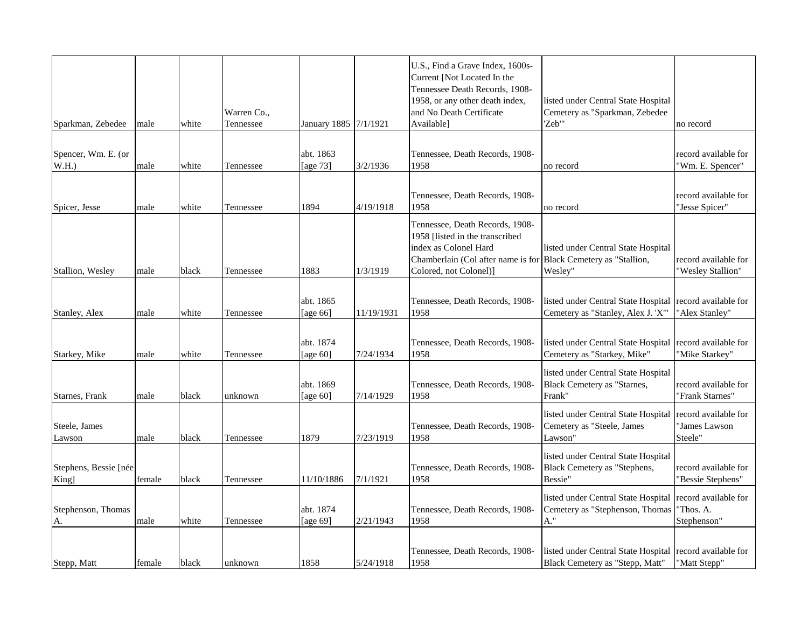| Sparkman, Zebedee              | male   | white | Warren Co.,<br>Tennessee | January 1885 7/1/1921    |            | U.S., Find a Grave Index, 1600s-<br>Current [Not Located In the<br>Tennessee Death Records, 1908-<br>1958, or any other death index,<br>and No Death Certificate<br>Available]           | listed under Central State Hospital<br>Cemetery as "Sparkman, Zebedee<br>'Zeb'"         | no record                                        |
|--------------------------------|--------|-------|--------------------------|--------------------------|------------|------------------------------------------------------------------------------------------------------------------------------------------------------------------------------------------|-----------------------------------------------------------------------------------------|--------------------------------------------------|
|                                |        |       |                          |                          |            |                                                                                                                                                                                          |                                                                                         |                                                  |
| Spencer, Wm. E. (or<br>W.H.    | male   | white | Tennessee                | abt. 1863<br>[age 73]    | 3/2/1936   | Tennessee, Death Records, 1908-<br>1958                                                                                                                                                  | no record                                                                               | record available for<br>'Wm. E. Spencer"         |
| Spicer, Jesse                  | male   | white | Tennessee                | 1894                     | 4/19/1918  | Tennessee, Death Records, 1908-<br>1958                                                                                                                                                  | no record                                                                               | record available for<br>'Jesse Spicer"           |
| Stallion, Wesley               | male   | black | Tennessee                | 1883                     | 1/3/1919   | Tennessee, Death Records, 1908-<br>1958 [listed in the transcribed<br>index as Colonel Hard<br>Chamberlain (Col after name is for Black Cemetery as "Stallion,<br>Colored, not Colonel)] | listed under Central State Hospital<br>Wesley"                                          | record available for<br>"Wesley Stallion"        |
| Stanley, Alex                  | male   | white | Tennessee                | abt. 1865<br>[age 66]    | 11/19/1931 | Tennessee, Death Records, 1908-<br>1958                                                                                                                                                  | listed under Central State Hospital<br>Cemetery as "Stanley, Alex J. 'X'"               | record available for<br>"Alex Stanley"           |
| Starkey, Mike                  | male   | white | Tennessee                | abt. 1874<br>[age $60$ ] | 7/24/1934  | Tennessee, Death Records, 1908-<br>1958                                                                                                                                                  | listed under Central State Hospital record available for<br>Cemetery as "Starkey, Mike" | "Mike Starkey"                                   |
| Starnes, Frank                 | male   | black | unknown                  | abt. 1869<br>[age $60$ ] | 7/14/1929  | Tennessee, Death Records, 1908-<br>1958                                                                                                                                                  | listed under Central State Hospital<br>Black Cemetery as "Starnes,<br>Frank"            | record available for<br>"Frank Starnes"          |
| Steele, James<br>Lawson        | male   | black | Tennessee                | 1879                     | 7/23/1919  | Tennessee, Death Records, 1908-<br>1958                                                                                                                                                  | listed under Central State Hospital<br>Cemetery as "Steele, James<br>Lawson"            | record available for<br>"James Lawson<br>Steele" |
| Stephens, Bessie [née<br>King] | female | black | Tennessee                | 11/10/1886               | 7/1/1921   | Tennessee, Death Records, 1908-<br>1958                                                                                                                                                  | listed under Central State Hospital<br>Black Cemetery as "Stephens,<br>Bessie"          | record available for<br>"Bessie Stephens"        |
| Stephenson, Thomas<br>A.       | male   | white | Tennessee                | abt. 1874<br>[age 69]    | 2/21/1943  | Tennessee, Death Records, 1908-<br>1958                                                                                                                                                  | listed under Central State Hospital<br>Cemetery as "Stephenson, Thomas<br>A."           | record available for<br>"Thos. A.<br>Stephenson" |
| Stepp, Matt                    | female | black | unknown                  | 1858                     | 5/24/1918  | Tennessee, Death Records, 1908-<br>1958                                                                                                                                                  | listed under Central State Hospital<br>Black Cemetery as "Stepp, Matt"                  | record available for<br>"Matt Stepp"             |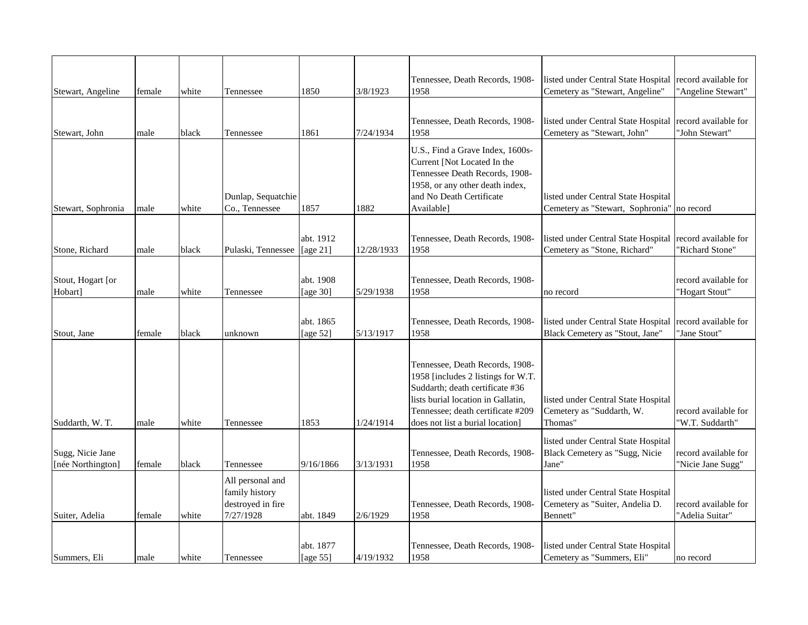| Stewart, Angeline                     | female | white | Tennessee                                                            | 1850                     | 3/8/1923   | Tennessee, Death Records, 1908-<br>1958                                                                                                                                                                                 | listed under Central State Hospital<br>Cemetery as "Stewart, Angeline"                   | record available for<br>"Angeline Stewart" |
|---------------------------------------|--------|-------|----------------------------------------------------------------------|--------------------------|------------|-------------------------------------------------------------------------------------------------------------------------------------------------------------------------------------------------------------------------|------------------------------------------------------------------------------------------|--------------------------------------------|
|                                       |        |       |                                                                      |                          |            |                                                                                                                                                                                                                         |                                                                                          |                                            |
| Stewart, John                         | male   | black | Tennessee                                                            | 1861                     | 7/24/1934  | Tennessee, Death Records, 1908-<br>1958                                                                                                                                                                                 | listed under Central State Hospital<br>Cemetery as "Stewart, John"                       | record available for<br>"John Stewart"     |
| Stewart, Sophronia                    | male   | white | Dunlap, Sequatchie<br>Co., Tennessee                                 | 1857                     | 1882       | U.S., Find a Grave Index, 1600s-<br>Current [Not Located In the<br>Tennessee Death Records, 1908-<br>1958, or any other death index,<br>and No Death Certificate<br>Available]                                          | listed under Central State Hospital<br>Cemetery as "Stewart, Sophronia"                  | no record                                  |
|                                       |        |       |                                                                      |                          |            |                                                                                                                                                                                                                         |                                                                                          |                                            |
| Stone, Richard                        | male   | black | Pulaski, Tennessee                                                   | abt. 1912<br>[age $21$ ] | 12/28/1933 | Tennessee, Death Records, 1908-<br>1958                                                                                                                                                                                 | listed under Central State Hospital record available for<br>Cemetery as "Stone, Richard" | "Richard Stone"                            |
|                                       |        |       |                                                                      |                          |            |                                                                                                                                                                                                                         |                                                                                          |                                            |
| Stout, Hogart [or                     |        |       |                                                                      | abt. 1908                | 5/29/1938  | Tennessee, Death Records, 1908-<br>1958                                                                                                                                                                                 |                                                                                          | record available for                       |
| Hobart]                               | male   | white | Tennessee                                                            | [age 30]                 |            |                                                                                                                                                                                                                         | no record                                                                                | "Hogart Stout"                             |
| Stout, Jane                           | female | black | unknown                                                              | abt. 1865<br>[age $52$ ] | 5/13/1917  | Tennessee, Death Records, 1908-<br>1958                                                                                                                                                                                 | listed under Central State Hospital<br>Black Cemetery as "Stout, Jane"                   | record available for<br>"Jane Stout"       |
| Suddarth, W. T.                       | male   | white | Tennessee                                                            | 1853                     | 1/24/1914  | Tennessee, Death Records, 1908-<br>1958 [includes 2 listings for W.T.<br>Suddarth; death certificate #36<br>lists burial location in Gallatin,<br>Tennessee; death certificate #209<br>does not list a burial location] | listed under Central State Hospital<br>Cemetery as "Suddarth, W.<br>Thomas"              | record available for<br>"W.T. Suddarth"    |
|                                       |        |       |                                                                      |                          |            |                                                                                                                                                                                                                         | listed under Central State Hospital                                                      |                                            |
| Sugg, Nicie Jane<br>[née Northington] | female | black | Tennessee                                                            | 9/16/1866                | 3/13/1931  | Tennessee, Death Records, 1908-<br>1958                                                                                                                                                                                 | Black Cemetery as "Sugg, Nicie<br>Jane"                                                  | record available for<br>"Nicie Jane Sugg"  |
| Suiter, Adelia                        | female | white | All personal and<br>family history<br>destroyed in fire<br>7/27/1928 | abt. 1849                | 2/6/1929   | Tennessee, Death Records, 1908-<br>1958                                                                                                                                                                                 | listed under Central State Hospital<br>Cemetery as "Suiter, Andelia D.<br>Bennett"       | record available for<br>'Adelia Suitar'    |
| Summers, Eli                          | male   | white | Tennessee                                                            | abt. 1877<br>[age 55]    | 4/19/1932  | Tennessee, Death Records, 1908-<br>1958                                                                                                                                                                                 | listed under Central State Hospital<br>Cemetery as "Summers, Eli"                        | no record                                  |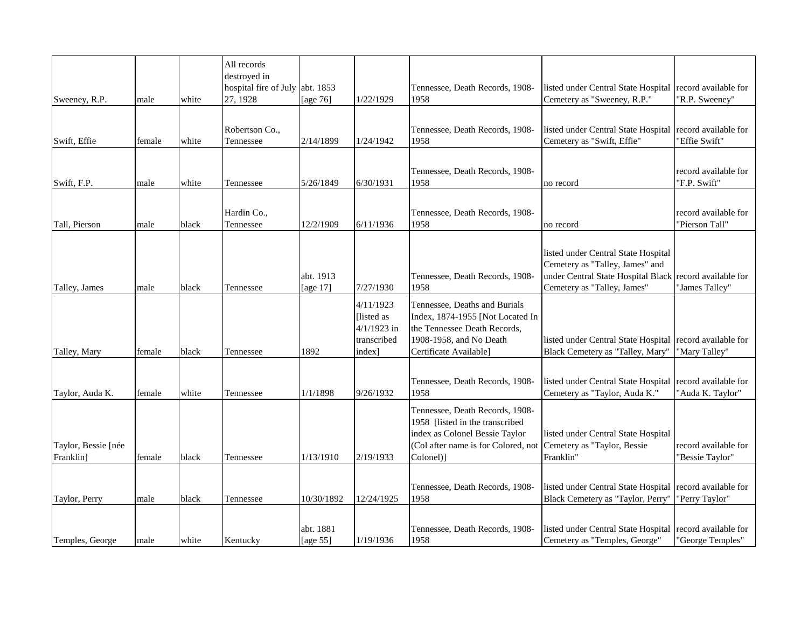| Sweeney, R.P.                    | male   | white | All records<br>destroyed in<br>hospital fire of July abt. 1853<br>27, 1928 | [age $76$ ]           | 1/22/1929                                                         | Tennessee, Death Records, 1908-<br>1958                                                                                                                  | listed under Central State Hospital<br>Cemetery as "Sweeney, R.P."                                                                          | record available for<br>'R.P. Sweeney"   |
|----------------------------------|--------|-------|----------------------------------------------------------------------------|-----------------------|-------------------------------------------------------------------|----------------------------------------------------------------------------------------------------------------------------------------------------------|---------------------------------------------------------------------------------------------------------------------------------------------|------------------------------------------|
|                                  |        |       |                                                                            |                       |                                                                   |                                                                                                                                                          |                                                                                                                                             |                                          |
| Swift, Effie                     | female | white | Robertson Co.,<br>Tennessee                                                | 2/14/1899             | 1/24/1942                                                         | Tennessee, Death Records, 1908-<br>1958                                                                                                                  | listed under Central State Hospital<br>Cemetery as "Swift, Effie"                                                                           | record available for<br>'Effie Swift"    |
|                                  |        |       |                                                                            |                       |                                                                   |                                                                                                                                                          |                                                                                                                                             |                                          |
| Swift, F.P.                      | male   | white | Tennessee                                                                  | 5/26/1849             | 6/30/1931                                                         | Tennessee, Death Records, 1908-<br>1958                                                                                                                  | no record                                                                                                                                   | record available for<br>"F.P. Swift"     |
|                                  |        |       |                                                                            |                       |                                                                   |                                                                                                                                                          |                                                                                                                                             |                                          |
| Tall, Pierson                    | male   | black | Hardin Co.,<br>Tennessee                                                   | 12/2/1909             | 6/11/1936                                                         | Tennessee, Death Records, 1908-<br>1958                                                                                                                  | no record                                                                                                                                   | record available for<br>"Pierson Tall"   |
| Talley, James                    | male   | black | Tennessee                                                                  | abt. 1913<br>[age 17] | 7/27/1930                                                         | Tennessee, Death Records, 1908-<br>1958                                                                                                                  | listed under Central State Hospital<br>Cemetery as "Talley, James" and<br>under Central State Hospital Black<br>Cemetery as "Talley, James" | record available for<br>"James Talley"   |
| Talley, Mary                     | female | black | Tennessee                                                                  | 1892                  | 4/11/1923<br>[listed as<br>$4/1/1923$ in<br>transcribed<br>index] | Tennessee, Deaths and Burials<br>Index, 1874-1955 [Not Located In<br>the Tennessee Death Records,<br>1908-1958, and No Death<br>Certificate Available]   | listed under Central State Hospital<br>Black Cemetery as "Talley, Mary"                                                                     | record available for<br>"Mary Talley"    |
| Taylor, Auda K.                  | female | white | Tennessee                                                                  | 1/1/1898              | 9/26/1932                                                         | Tennessee, Death Records, 1908-<br>1958                                                                                                                  | listed under Central State Hospital<br>Cemetery as "Taylor, Auda K."                                                                        | record available for<br>'Auda K. Taylor' |
| Taylor, Bessie [née<br>Franklin] | female | black | Tennessee                                                                  | 1/13/1910             | 2/19/1933                                                         | Tennessee, Death Records, 1908-<br>1958 [listed in the transcribed<br>index as Colonel Bessie Taylor<br>(Col after name is for Colored, not<br>Colonel)] | listed under Central State Hospital<br>Cemetery as "Taylor, Bessie<br>Franklin"                                                             | record available for<br>"Bessie Taylor"  |
| Taylor, Perry                    | male   | black | Tennessee                                                                  | 10/30/1892            | 12/24/1925                                                        | Tennessee, Death Records, 1908-<br>1958                                                                                                                  | listed under Central State Hospital<br>Black Cemetery as "Taylor, Perry"                                                                    | record available for<br>"Perry Taylor"   |
| Temples, George                  | male   | white | Kentucky                                                                   | abt. 1881<br>[age 55] | 1/19/1936                                                         | Tennessee, Death Records, 1908-<br>1958                                                                                                                  | listed under Central State Hospital<br>Cemetery as "Temples, George"                                                                        | record available for<br>"George Temples" |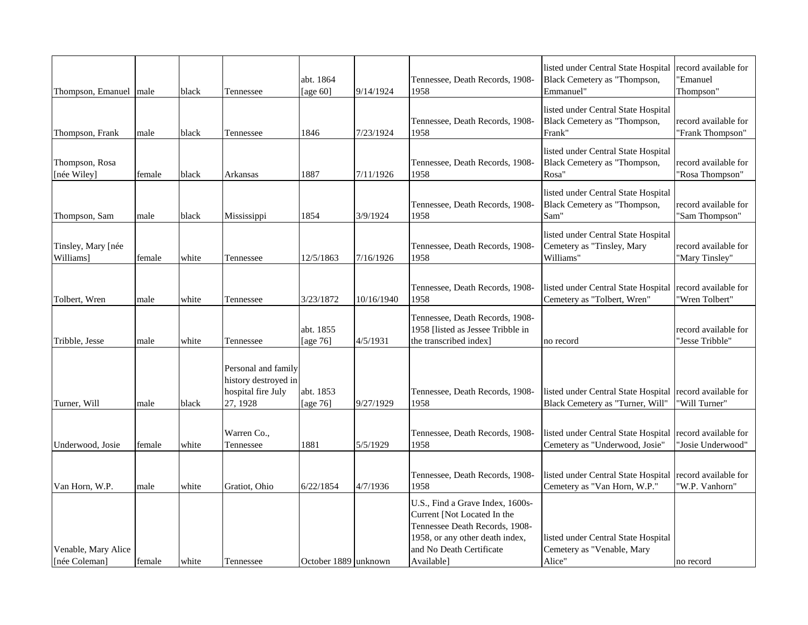| Thompson, Emanuel   male             |        | black | Tennessee                                                                     | abt. 1864<br>[age 60]    | 9/14/1924  | Tennessee, Death Records, 1908-<br>1958                                                                                                                                        | listed under Central State Hospital<br>Black Cemetery as "Thompson,<br>Emmanuel" | record available for<br>'Emanuel<br>Thompson" |
|--------------------------------------|--------|-------|-------------------------------------------------------------------------------|--------------------------|------------|--------------------------------------------------------------------------------------------------------------------------------------------------------------------------------|----------------------------------------------------------------------------------|-----------------------------------------------|
| Thompson, Frank                      | male   | black | Tennessee                                                                     | 1846                     | 7/23/1924  | Tennessee, Death Records, 1908-<br>1958                                                                                                                                        | listed under Central State Hospital<br>Black Cemetery as "Thompson,<br>Frank"    | record available for<br>"Frank Thompson"      |
| Thompson, Rosa<br>[née Wiley]        | female | black | Arkansas                                                                      | 1887                     | 7/11/1926  | Tennessee, Death Records, 1908-<br>1958                                                                                                                                        | listed under Central State Hospital<br>Black Cemetery as "Thompson,<br>Rosa"     | record available for<br>"Rosa Thompson"       |
| Thompson, Sam                        | male   | black | Mississippi                                                                   | 1854                     | 3/9/1924   | Tennessee, Death Records, 1908-<br>1958                                                                                                                                        | listed under Central State Hospital<br>Black Cemetery as "Thompson,<br>Sam"      | record available for<br>"Sam Thompson"        |
| Tinsley, Mary [née<br>Williams]      | female | white | Tennessee                                                                     | 12/5/1863                | 7/16/1926  | Tennessee, Death Records, 1908-<br>1958                                                                                                                                        | listed under Central State Hospital<br>Cemetery as "Tinsley, Mary<br>Williams"   | record available for<br>"Mary Tinsley"        |
| Tolbert, Wren                        | male   | white | Tennessee                                                                     | 3/23/1872                | 10/16/1940 | Tennessee, Death Records, 1908-<br>1958                                                                                                                                        | listed under Central State Hospital<br>Cemetery as "Tolbert, Wren"               | record available for<br>'Wren Tolbert"        |
| Tribble, Jesse                       | male   | white | Tennessee                                                                     | abt. 1855<br>[age $76$ ] | 4/5/1931   | Tennessee, Death Records, 1908-<br>1958 [listed as Jessee Tribble in<br>the transcribed index]                                                                                 | no record                                                                        | record available for<br>"Jesse Tribble"       |
| Turner, Will                         | male   | black | Personal and family<br>history destroyed in<br>hospital fire July<br>27, 1928 | abt. 1853<br>[age 76]    | 9/27/1929  | Tennessee, Death Records, 1908-<br>1958                                                                                                                                        | listed under Central State Hospital<br>Black Cemetery as "Turner, Will"          | record available for<br>'Will Turner"         |
| Underwood, Josie                     | female | white | Warren Co.,<br>Tennessee                                                      | 1881                     | 5/5/1929   | Tennessee, Death Records, 1908-<br>1958                                                                                                                                        | listed under Central State Hospital<br>Cemetery as "Underwood, Josie"            | record available for<br>"Josie Underwood"     |
| Van Horn, W.P.                       | male   | white | Gratiot, Ohio                                                                 | 6/22/1854                | 4/7/1936   | Tennessee, Death Records, 1908-<br>1958                                                                                                                                        | listed under Central State Hospital<br>Cemetery as "Van Horn, W.P."              | record available for<br>'W.P. Vanhorn"        |
| Venable, Mary Alice<br>[née Coleman] | female | white | Tennessee                                                                     | October 1889 unknown     |            | U.S., Find a Grave Index, 1600s-<br>Current [Not Located In the<br>Tennessee Death Records, 1908-<br>1958, or any other death index,<br>and No Death Certificate<br>Available] | listed under Central State Hospital<br>Cemetery as "Venable, Mary<br>Alice"      | no record                                     |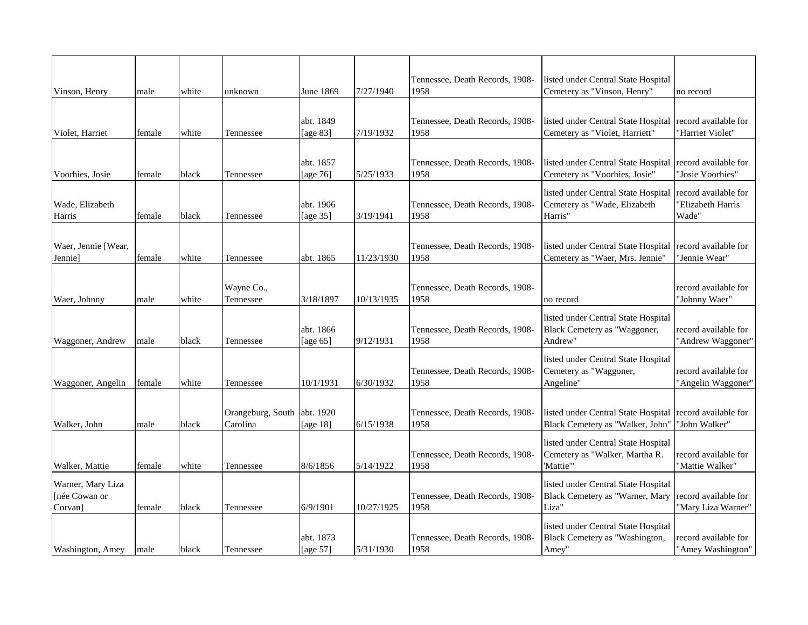|                     |        |       |                   |             |            | Tennessee, Death Records, 1908- | listed under Central State Hospital                                   |                      |
|---------------------|--------|-------|-------------------|-------------|------------|---------------------------------|-----------------------------------------------------------------------|----------------------|
| Vinson, Henry       | male   | white | unknown           | June 1869   | 7/27/1940  | 1958                            | Cemetery as "Vinson, Henry"                                           | no record            |
|                     |        |       |                   |             |            |                                 |                                                                       |                      |
|                     |        |       |                   | abt. 1849   |            | Tennessee, Death Records, 1908- | listed under Central State Hospital                                   | record available for |
| Violet, Harriet     | female | white | Tennessee         | [age 83]    | 7/19/1932  | 1958                            | Cemetery as "Violet, Harriett"                                        | "Harriet Violet"     |
|                     |        |       |                   |             |            |                                 |                                                                       |                      |
|                     |        |       |                   | abt. 1857   |            | Tennessee, Death Records, 1908- | listed under Central State Hospital                                   | record available for |
| Voorhies, Josie     | female | black | Tennessee         | [age 76]    | 5/25/1933  | 1958                            | Cemetery as "Voorhies, Josie"                                         | "Josie Voorhies"     |
|                     |        |       |                   |             |            |                                 | listed under Central State Hospital                                   | record available for |
| Wade, Elizabeth     |        |       |                   | abt. 1906   |            | Tennessee, Death Records, 1908- | Cemetery as "Wade, Elizabeth                                          | 'Elizabeth Harris    |
| Harris              | female | black | Tennessee         | [age 35]    | 3/19/1941  | 1958                            | Harris"                                                               | Wade"                |
|                     |        |       |                   |             |            |                                 |                                                                       |                      |
| Waer, Jennie [Wear, |        |       |                   |             |            | Tennessee, Death Records, 1908- | listed under Central State Hospital                                   | record available for |
| Jennie]             | female | white | Tennessee         | abt. 1865   | 11/23/1930 | 1958                            | Cemetery as "Waer, Mrs. Jennie"                                       | 'Jennie Wear"        |
|                     |        |       |                   |             |            |                                 |                                                                       |                      |
|                     |        |       | Wayne Co.,        |             |            | Tennessee, Death Records, 1908- |                                                                       | record available for |
| Waer, Johnny        | male   | white | Tennessee         | 3/18/1897   | 10/13/1935 | 1958                            | no record                                                             | 'Johnny Waer"        |
|                     |        |       |                   |             |            |                                 | listed under Central State Hospital                                   |                      |
|                     |        |       |                   | abt. 1866   |            | Tennessee, Death Records, 1908- | Black Cemetery as "Waggoner,                                          | record available for |
| Waggoner, Andrew    | male   | black | Tennessee         | [age $65$ ] | 9/12/1931  | 1958                            | Andrew"                                                               | "Andrew Waggoner"    |
|                     |        |       |                   |             |            |                                 | listed under Central State Hospital                                   |                      |
|                     |        |       |                   |             |            | Tennessee, Death Records, 1908- | Cemetery as "Waggoner,                                                | record available for |
| Waggoner, Angelin   | female | white | Tennessee         | 10/1/1931   | 6/30/1932  | 1958                            | Angeline"                                                             | "Angelin Waggoner"   |
|                     |        |       |                   |             |            |                                 |                                                                       |                      |
|                     |        |       | Orangeburg, South | abt. 1920   |            | Tennessee, Death Records, 1908- | listed under Central State Hospital                                   | record available for |
| Walker, John        | male   | black | Carolina          | [age 18]    | 6/15/1938  | 1958                            | Black Cemetery as "Walker, John'                                      | "John Walker"        |
|                     |        |       |                   |             |            |                                 | listed under Central State Hospital                                   |                      |
|                     |        |       |                   |             |            | Tennessee, Death Records, 1908- | Cemetery as "Walker, Martha R.                                        | record available for |
| Walker, Mattie      | female | white | Tennessee         | 8/6/1856    | 5/14/1922  | 1958                            | 'Mattie'"                                                             | "Mattie Walker"      |
| Warner, Mary Liza   |        |       |                   |             |            |                                 | listed under Central State Hospital                                   |                      |
| [née Cowan or       |        |       |                   |             |            | Tennessee, Death Records, 1908- | Black Cemetery as "Warner, Mary                                       | record available for |
| Corvan]             | female | black | Tennessee         | 6/9/1901    | 10/27/1925 | 1958                            | Liza"                                                                 | "Mary Liza Warner"   |
|                     |        |       |                   |             |            |                                 |                                                                       |                      |
|                     |        |       |                   | abt. 1873   |            | Tennessee, Death Records, 1908- | listed under Central State Hospital<br>Black Cemetery as "Washington, | record available for |
| Washington, Amey    | male   | black | Tennessee         | [age 57]    | 5/31/1930  | 1958                            | Amey"                                                                 | "Amey Washington"    |
|                     |        |       |                   |             |            |                                 |                                                                       |                      |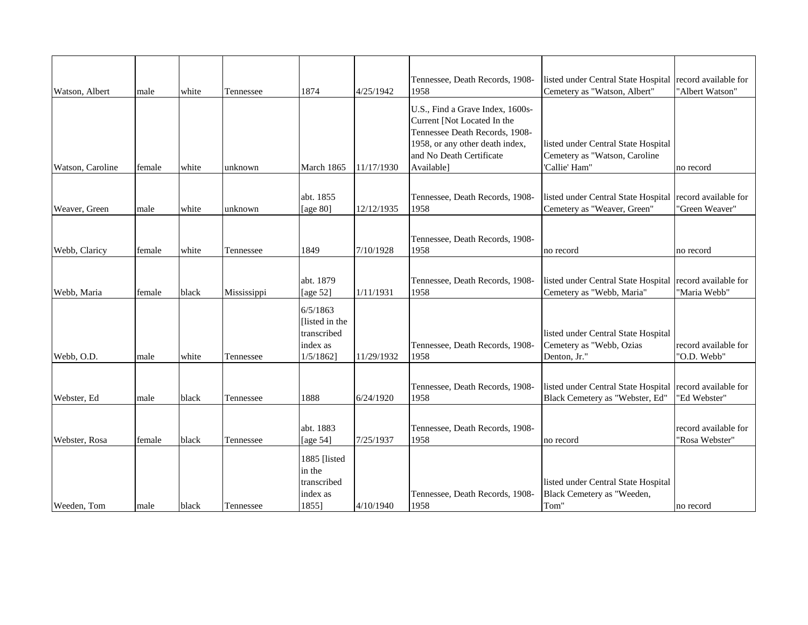| Watson, Albert   | male   | white | Tennessee   | 1874                                                              | 4/25/1942  | Tennessee, Death Records, 1908-<br>1958                                                                                                                                        | listed under Central State Hospital<br>Cemetery as "Watson, Albert"                         | record available for<br>"Albert Watson" |
|------------------|--------|-------|-------------|-------------------------------------------------------------------|------------|--------------------------------------------------------------------------------------------------------------------------------------------------------------------------------|---------------------------------------------------------------------------------------------|-----------------------------------------|
| Watson, Caroline | female | white | unknown     | March 1865                                                        | 11/17/1930 | U.S., Find a Grave Index, 1600s-<br>Current [Not Located In the<br>Tennessee Death Records, 1908-<br>1958, or any other death index,<br>and No Death Certificate<br>Available] | listed under Central State Hospital<br>Cemetery as "Watson, Caroline<br>'Callie' Ham"       | no record                               |
| Weaver, Green    | male   | white | unknown     | abt. 1855<br>[age $80$ ]                                          | 12/12/1935 | Tennessee, Death Records, 1908-<br>1958                                                                                                                                        | listed under Central State Hospital<br>Cemetery as "Weaver, Green"                          | record available for<br>"Green Weaver"  |
| Webb, Claricy    | female | white | Tennessee   | 1849                                                              | 7/10/1928  | Tennessee, Death Records, 1908-<br>1958                                                                                                                                        | no record                                                                                   | no record                               |
| Webb, Maria      | female | black | Mississippi | abt. 1879<br>[age $52$ ]                                          | 1/11/1931  | Tennessee, Death Records, 1908-<br>1958                                                                                                                                        | listed under Central State Hospital<br>Cemetery as "Webb, Maria"                            | record available for<br>"Maria Webb"    |
| Webb, O.D.       | male   | white | Tennessee   | 6/5/1863<br>Ilisted in the<br>transcribed<br>index as<br>1/5/1862 | 11/29/1932 | Tennessee, Death Records, 1908-<br>1958                                                                                                                                        | listed under Central State Hospital<br>Cemetery as "Webb, Ozias<br>Denton, Jr."             | record available for<br>"O.D. Webb"     |
| Webster, Ed      | male   | black | Tennessee   | 1888                                                              | 6/24/1920  | Tennessee, Death Records, 1908-<br>1958                                                                                                                                        | listed under Central State Hospital record available for<br>Black Cemetery as "Webster, Ed" | "Ed Webster"                            |
| Webster, Rosa    | female | black | Tennessee   | abt. 1883<br>[age $54$ ]                                          | 7/25/1937  | Tennessee, Death Records, 1908-<br>1958                                                                                                                                        | no record                                                                                   | record available for<br>"Rosa Webster"  |
| Weeden, Tom      | male   | black | Tennessee   | 1885 [listed<br>in the<br>transcribed<br>index as<br>1855]        | 4/10/1940  | Tennessee, Death Records, 1908-<br>1958                                                                                                                                        | listed under Central State Hospital<br>Black Cemetery as "Weeden,<br>Tom"                   | no record                               |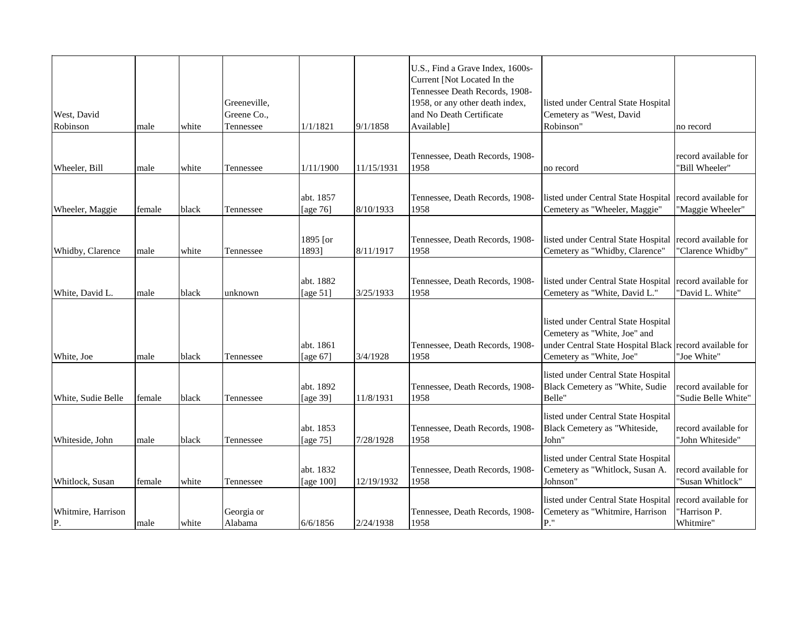| West, David<br>Robinson  | male   | white | Greeneville,<br>Greene Co.,<br>Tennessee | 1/1/1821                 | 9/1/1858   | U.S., Find a Grave Index, 1600s-<br>Current [Not Located In the<br>Tennessee Death Records, 1908-<br>1958, or any other death index,<br>and No Death Certificate<br>Available] | listed under Central State Hospital<br>Cemetery as "West, David<br>Robinson"                                                                               | no record                                         |
|--------------------------|--------|-------|------------------------------------------|--------------------------|------------|--------------------------------------------------------------------------------------------------------------------------------------------------------------------------------|------------------------------------------------------------------------------------------------------------------------------------------------------------|---------------------------------------------------|
|                          |        |       |                                          |                          |            |                                                                                                                                                                                |                                                                                                                                                            |                                                   |
| Wheeler, Bill            | male   | white | Tennessee                                | 1/11/1900                | 11/15/1931 | Tennessee, Death Records, 1908-<br>1958                                                                                                                                        | no record                                                                                                                                                  | record available for<br>"Bill Wheeler"            |
|                          |        |       |                                          |                          |            |                                                                                                                                                                                |                                                                                                                                                            |                                                   |
| Wheeler, Maggie          | female | black | Tennessee                                | abt. 1857<br>[age 76]    | 8/10/1933  | Tennessee, Death Records, 1908-<br>1958                                                                                                                                        | listed under Central State Hospital record available for<br>Cemetery as "Wheeler, Maggie"                                                                  | "Maggie Wheeler"                                  |
|                          |        |       |                                          |                          |            |                                                                                                                                                                                |                                                                                                                                                            |                                                   |
| Whidby, Clarence         | male   | white | Tennessee                                | 1895 [or<br>1893]        | 8/11/1917  | Tennessee, Death Records, 1908-<br>1958                                                                                                                                        | listed under Central State Hospital<br>Cemetery as "Whidby, Clarence"                                                                                      | record available for<br>"Clarence Whidby"         |
|                          |        |       |                                          |                          |            |                                                                                                                                                                                |                                                                                                                                                            |                                                   |
| White, David L.          | male   | black | unknown                                  | abt. 1882<br>[age $51$ ] | 3/25/1933  | Tennessee, Death Records, 1908-<br>1958                                                                                                                                        | listed under Central State Hospital record available for<br>Cemetery as "White, David L."                                                                  | "David L. White"                                  |
| White, Joe               | male   | black | Tennessee                                | abt. 1861<br>[age 67]    | 3/4/1928   | Tennessee, Death Records, 1908-<br>1958                                                                                                                                        | listed under Central State Hospital<br>Cemetery as "White, Joe" and<br>under Central State Hospital Black record available for<br>Cemetery as "White, Joe" | "Joe White"                                       |
|                          |        |       |                                          |                          |            |                                                                                                                                                                                | listed under Central State Hospital                                                                                                                        |                                                   |
| White, Sudie Belle       | female | black | Tennessee                                | abt. 1892<br>[age 39]    | 11/8/1931  | Tennessee, Death Records, 1908-<br>1958                                                                                                                                        | Black Cemetery as "White, Sudie<br>Belle"                                                                                                                  | record available for<br>"Sudie Belle White"       |
| Whiteside, John          | male   | black | Tennessee                                | abt. 1853<br>[age $75$ ] | 7/28/1928  | Tennessee, Death Records, 1908-<br>1958                                                                                                                                        | listed under Central State Hospital<br>Black Cemetery as "Whiteside,<br>John"                                                                              | record available for<br>"John Whiteside"          |
| Whitlock, Susan          | female | white | Tennessee                                | abt. 1832<br>[age 100]   | 12/19/1932 | Tennessee, Death Records, 1908-<br>1958                                                                                                                                        | listed under Central State Hospital<br>Cemetery as "Whitlock, Susan A.<br>Johnson"                                                                         | record available for<br>"Susan Whitlock"          |
|                          |        |       |                                          |                          |            |                                                                                                                                                                                |                                                                                                                                                            |                                                   |
| Whitmire, Harrison<br>P. | male   | white | Georgia or<br>Alabama                    | 6/6/1856                 | 2/24/1938  | Tennessee, Death Records, 1908-<br>1958                                                                                                                                        | listed under Central State Hospital<br>Cemetery as "Whitmire, Harrison<br>$P.$ "                                                                           | record available for<br>"Harrison P.<br>Whitmire" |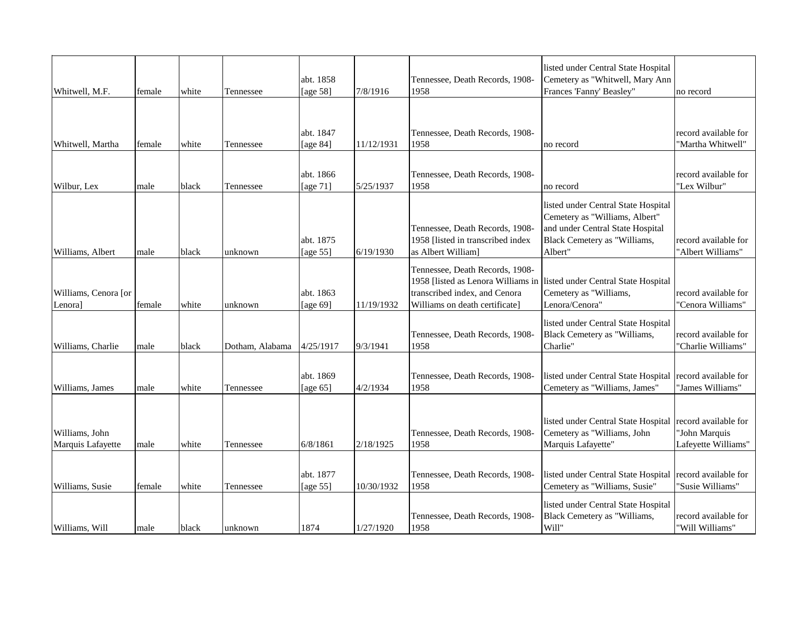| Whitwell, M.F.                      | female | white | Tennessee       | abt. 1858<br>[age 58]    | 7/8/1916   | Tennessee, Death Records, 1908-<br>1958                                                            | listed under Central State Hospital<br>Cemetery as "Whitwell, Mary Ann<br>Frances 'Fanny' Beasley"                                                   | no record                                                    |
|-------------------------------------|--------|-------|-----------------|--------------------------|------------|----------------------------------------------------------------------------------------------------|------------------------------------------------------------------------------------------------------------------------------------------------------|--------------------------------------------------------------|
|                                     |        |       |                 |                          |            |                                                                                                    |                                                                                                                                                      |                                                              |
| Whitwell, Martha                    | female | white | Tennessee       | abt. 1847<br>[age 84]    | 11/12/1931 | Tennessee, Death Records, 1908-<br>1958                                                            | no record                                                                                                                                            | record available for<br>"Martha Whitwell"                    |
|                                     |        |       |                 |                          |            |                                                                                                    |                                                                                                                                                      |                                                              |
| Wilbur, Lex                         | male   | black | Tennessee       | abt. 1866<br>[age $71$ ] | 5/25/1937  | Tennessee, Death Records, 1908-<br>1958                                                            | no record                                                                                                                                            | record available for<br>"Lex Wilbur"                         |
| Williams, Albert                    | male   | black | unknown         | abt. 1875<br>[age 55]    | 6/19/1930  | Tennessee, Death Records, 1908-<br>1958 [listed in transcribed index<br>as Albert William]         | listed under Central State Hospital<br>Cemetery as "Williams, Albert"<br>and under Central State Hospital<br>Black Cemetery as "Williams,<br>Albert" | record available for<br>'Albert Williams"                    |
| Williams, Cenora [or<br>Lenora]     | female | white | unknown         | abt. 1863<br>[age 69]    | 11/19/1932 | Tennessee, Death Records, 1908-<br>transcribed index, and Cenora<br>Williams on death certificate] | 1958 [listed as Lenora Williams in listed under Central State Hospital<br>Cemetery as "Williams,<br>Lenora/Cenora"                                   | record available for<br>"Cenora Williams"                    |
| Williams, Charlie                   | male   | black | Dotham, Alabama | 4/25/1917                | 9/3/1941   | Tennessee, Death Records, 1908-<br>1958                                                            | listed under Central State Hospital<br>Black Cemetery as "Williams,<br>Charlie"                                                                      | record available for<br>"Charlie Williams"                   |
| Williams, James                     | male   | white | Tennessee       | abt. 1869<br>[age $65$ ] | 4/2/1934   | Tennessee, Death Records, 1908-<br>1958                                                            | listed under Central State Hospital<br>Cemetery as "Williams, James"                                                                                 | record available for<br>"James Williams"                     |
| Williams, John<br>Marquis Lafayette | male   | white | Tennessee       | 6/8/1861                 | 2/18/1925  | Tennessee, Death Records, 1908-<br>1958                                                            | listed under Central State Hospital<br>Cemetery as "Williams, John<br>Marquis Lafayette"                                                             | record available for<br>"John Marquis<br>Lafeyette Williams" |
| Williams, Susie                     | female | white | Tennessee       | abt. 1877<br>[age $55$ ] | 10/30/1932 | Tennessee, Death Records, 1908-<br>1958                                                            | listed under Central State Hospital<br>Cemetery as "Williams, Susie"                                                                                 | record available for<br>"Susie Williams"                     |
| Williams, Will                      | male   | black | unknown         | 1874                     | 1/27/1920  | Tennessee, Death Records, 1908-<br>1958                                                            | listed under Central State Hospital<br>Black Cemetery as "Williams,<br>Will"                                                                         | record available for<br>"Will Williams"                      |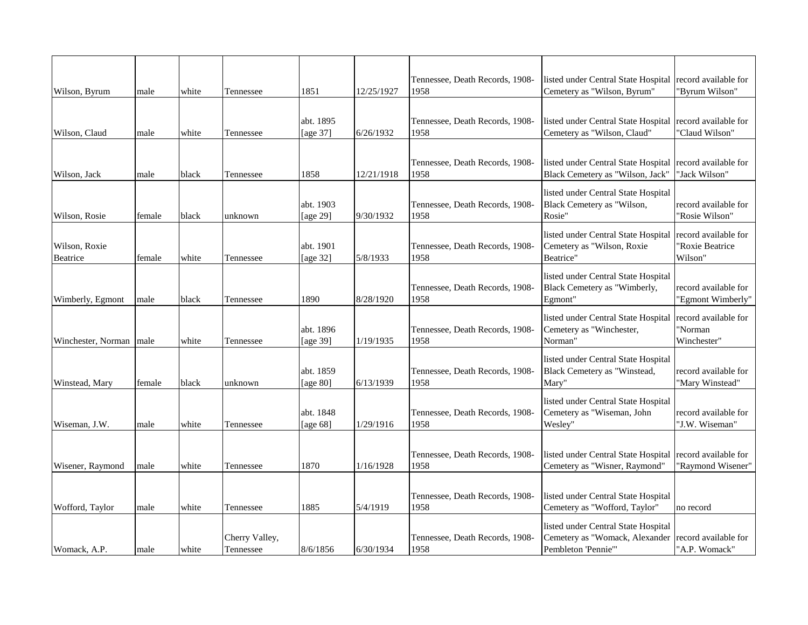| Wilson, Byrum             | male   | white | Tennessee                   | 1851                     | 12/25/1927 | Tennessee, Death Records, 1908-<br>1958 | listed under Central State Hospital<br>Cemetery as "Wilson, Byrum"                          | record available for<br>"Byrum Wilson"             |
|---------------------------|--------|-------|-----------------------------|--------------------------|------------|-----------------------------------------|---------------------------------------------------------------------------------------------|----------------------------------------------------|
|                           |        |       |                             |                          |            |                                         |                                                                                             |                                                    |
| Wilson, Claud             | male   | white | Tennessee                   | abt. 1895<br>[age 37]    | 6/26/1932  | Tennessee, Death Records, 1908-<br>1958 | listed under Central State Hospital   record available for<br>Cemetery as "Wilson, Claud"   | "Claud Wilson"                                     |
|                           |        |       |                             |                          |            |                                         |                                                                                             |                                                    |
| Wilson, Jack              | male   | black | Tennessee                   | 1858                     | 12/21/1918 | Tennessee, Death Records, 1908-<br>1958 | listed under Central State Hospital<br>Black Cemetery as "Wilson, Jack"                     | record available for<br>"Jack Wilson"              |
| Wilson, Rosie             | female | black | unknown                     | abt. 1903<br>[age 29]    | 9/30/1932  | Tennessee, Death Records, 1908-<br>1958 | listed under Central State Hospital<br>Black Cemetery as "Wilson,<br>Rosie"                 | record available for<br>"Rosie Wilson"             |
| Wilson, Roxie<br>Beatrice | female | white | Tennessee                   | abt. 1901<br>[age 32]    | 5/8/1933   | Tennessee, Death Records, 1908-<br>1958 | listed under Central State Hospital<br>Cemetery as "Wilson, Roxie<br>Beatrice"              | record available for<br>'Roxie Beatrice<br>Wilson" |
| Wimberly, Egmont          | male   | black | Tennessee                   | 1890                     | 8/28/1920  | Tennessee, Death Records, 1908-<br>1958 | listed under Central State Hospital<br>Black Cemetery as "Wimberly,<br>Egmont"              | record available for<br>'Egmont Wimberly"          |
| Winchester, Norman   male |        | white | Tennessee                   | abt. 1896<br>[age 39]    | 1/19/1935  | Tennessee, Death Records, 1908-<br>1958 | listed under Central State Hospital<br>Cemetery as "Winchester,<br>Norman"                  | record available for<br>'Norman<br>Winchester"     |
| Winstead, Mary            | female | black | unknown                     | abt. 1859<br>[age $80$ ] | 6/13/1939  | Tennessee, Death Records, 1908-<br>1958 | listed under Central State Hospital<br>Black Cemetery as "Winstead,<br>Mary"                | record available for<br>"Mary Winstead"            |
| Wiseman, J.W.             | male   | white | Tennessee                   | abt. 1848<br>[age 68]    | 1/29/1916  | Tennessee, Death Records, 1908-<br>1958 | listed under Central State Hospital<br>Cemetery as "Wiseman, John<br>Wesley"                | record available for<br>'J.W. Wiseman"             |
|                           |        |       |                             |                          |            | Tennessee, Death Records, 1908-         | listed under Central State Hospital                                                         | record available for                               |
| Wisener, Raymond          | male   | white | Tennessee                   | 1870                     | 1/16/1928  | 1958                                    | Cemetery as "Wisner, Raymond"                                                               | 'Raymond Wisener"                                  |
| Wofford, Taylor           | male   | white | Tennessee                   | 1885                     | 5/4/1919   | Tennessee, Death Records, 1908-<br>1958 | listed under Central State Hospital<br>Cemetery as "Wofford, Taylor"                        | no record                                          |
| Womack, A.P.              | male   | white | Cherry Valley,<br>Tennessee | 8/6/1856                 | 6/30/1934  | Tennessee, Death Records, 1908-<br>1958 | listed under Central State Hospital<br>Cemetery as "Womack, Alexander<br>Pembleton 'Pennie" | record available for<br>"A.P. Womack"              |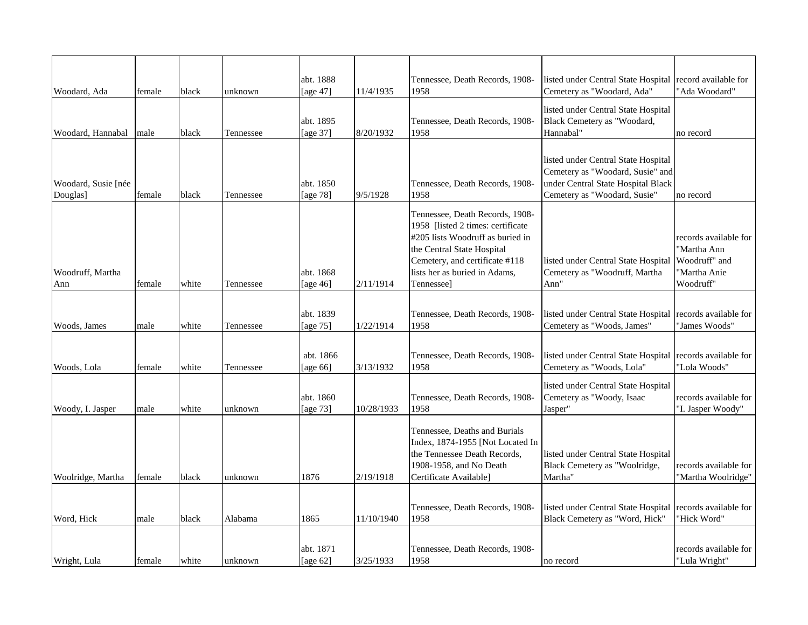| Woodard, Ada                    | female | black | unknown   | abt. 1888<br>[age 47]    | 11/4/1935  | Tennessee, Death Records, 1908-<br>1958                                                                                                                                                                                          | listed under Central State Hospital<br>Cemetery as "Woodard, Ada"                                                                             | record available for<br>"Ada Woodard"                                              |
|---------------------------------|--------|-------|-----------|--------------------------|------------|----------------------------------------------------------------------------------------------------------------------------------------------------------------------------------------------------------------------------------|-----------------------------------------------------------------------------------------------------------------------------------------------|------------------------------------------------------------------------------------|
| Woodard, Hannabal               | male   | black | Tennessee | abt. 1895<br>[age 37]    | 8/20/1932  | Tennessee, Death Records, 1908-<br>1958                                                                                                                                                                                          | listed under Central State Hospital<br>Black Cemetery as "Woodard,<br>Hannabal"                                                               | no record                                                                          |
| Woodard, Susie [née<br>Douglas] | female | black | Tennessee | abt. 1850<br>[age 78]    | 9/5/1928   | Tennessee, Death Records, 1908-<br>1958                                                                                                                                                                                          | listed under Central State Hospital<br>Cemetery as "Woodard, Susie" and<br>under Central State Hospital Black<br>Cemetery as "Woodard, Susie" | no record                                                                          |
| Woodruff, Martha<br>Ann         | female | white | Tennessee | abt. 1868<br>[age $46$ ] | 2/11/1914  | Tennessee, Death Records, 1908-<br>1958 [listed 2 times: certificate]<br>#205 lists Woodruff as buried in<br>the Central State Hospital<br>Cemetery, and certificate #118<br>lists her as buried in Adams,<br><b>Tennessee</b> ] | listed under Central State Hospital<br>Cemetery as "Woodruff, Martha<br>Ann"                                                                  | records available for<br>'Martha Ann<br>Woodruff" and<br>'Martha Anie<br>Woodruff" |
| Woods, James                    | male   | white | Tennessee | abt. 1839<br>[age 75]    | 1/22/1914  | Tennessee, Death Records, 1908-<br>1958                                                                                                                                                                                          | listed under Central State Hospital<br>Cemetery as "Woods, James"                                                                             | records available for<br>"James Woods"                                             |
| Woods, Lola                     | female | white | Tennessee | abt. 1866<br>[age $66$ ] | 3/13/1932  | Tennessee, Death Records, 1908-<br>1958                                                                                                                                                                                          | listed under Central State Hospital<br>Cemetery as "Woods, Lola"                                                                              | records available for<br>"Lola Woods"                                              |
| Woody, I. Jasper                | male   | white | unknown   | abt. 1860<br>[age 73]    | 10/28/1933 | Tennessee, Death Records, 1908-<br>1958                                                                                                                                                                                          | listed under Central State Hospital<br>Cemetery as "Woody, Isaac<br>Jasper"                                                                   | records available for<br>"I. Jasper Woody"                                         |
| Woolridge, Martha               | female | black | unknown   | 1876                     | 2/19/1918  | Tennessee, Deaths and Burials<br>Index, 1874-1955 [Not Located In<br>the Tennessee Death Records,<br>1908-1958, and No Death<br>Certificate Available]                                                                           | listed under Central State Hospital<br>Black Cemetery as "Woolridge,<br>Martha"                                                               | records available for<br>"Martha Woolridge"                                        |
| Word, Hick                      | male   | black | Alabama   | 1865                     | 11/10/1940 | Tennessee, Death Records, 1908-<br>1958                                                                                                                                                                                          | listed under Central State Hospital<br>Black Cemetery as "Word, Hick"                                                                         | records available for<br>"Hick Word"                                               |
| Wright, Lula                    | female | white | unknown   | abt. 1871<br>[age $62$ ] | 3/25/1933  | Tennessee, Death Records, 1908-<br>1958                                                                                                                                                                                          | no record                                                                                                                                     | records available for<br>"Lula Wright"                                             |